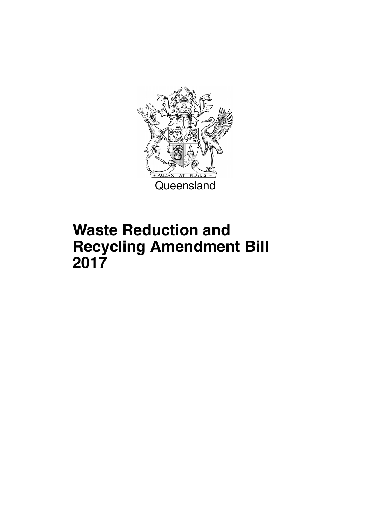

# **Waste Reduction and Recycling Amendment Bill 2017**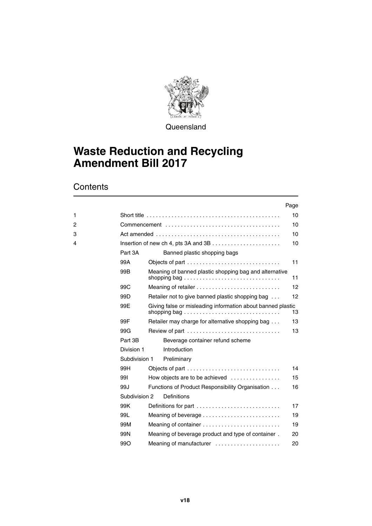

**Queensland** 

# **Waste Reduction and Recycling Amendment Bill 2017**

|   |                 | Page                                                        |                   |
|---|-----------------|-------------------------------------------------------------|-------------------|
| 1 |                 |                                                             | 10                |
| 2 |                 |                                                             | 10                |
| 3 |                 |                                                             | 10                |
| 4 |                 |                                                             | 10                |
|   | Part 3A         | Banned plastic shopping bags                                |                   |
|   | 99A             | Objects of part                                             | 11                |
|   | 99 <sub>B</sub> | Meaning of banned plastic shopping bag and alternative      | 11                |
|   | 99 <sub>C</sub> |                                                             | 12                |
|   | 99 <sub>D</sub> | Retailer not to give banned plastic shopping bag            | $12 \overline{ }$ |
|   | 99E             | Giving false or misleading information about banned plastic | 13                |
|   | 99F             | Retailer may charge for alternative shopping bag            | 13                |
|   | 99G             | Review of part                                              | 13                |
|   | Part 3B         | Beverage container refund scheme                            |                   |
|   | Division 1      | Introduction                                                |                   |
|   | Subdivision 1   | Preliminary                                                 |                   |
|   | 99H             | Objects of part                                             | 14                |
|   | 991             | How objects are to be achieved                              | 15                |
|   | 99J             | Functions of Product Responsibility Organisation            | 16                |
|   | Subdivision 2   | Definitions                                                 |                   |
|   | 99K             | Definitions for part                                        | 17                |
|   | 99L             |                                                             | 19                |
|   | 99M             |                                                             | 19                |
|   | 99N             | Meaning of beverage product and type of container.          | 20                |
|   | 99O             | Meaning of manufacturer                                     | 20                |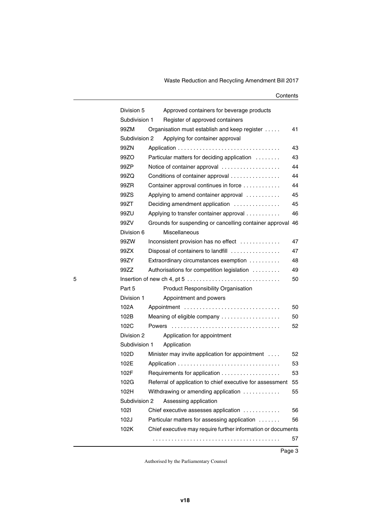|   | Division 5    |        | Approved containers for beverage products                    |    |
|---|---------------|--------|--------------------------------------------------------------|----|
|   | Subdivision 1 |        | Register of approved containers                              |    |
|   | 99ZM          |        | Organisation must establish and keep register                | 41 |
|   | Subdivision 2 |        | Applying for container approval                              |    |
|   | 99ZN          |        |                                                              | 43 |
|   | 99ZO          |        | Particular matters for deciding application                  | 43 |
|   | 99ZP          |        | Notice of container approval                                 | 44 |
|   | 99ZQ          |        | Conditions of container approval                             | 44 |
|   | 99ZR          |        | Container approval continues in force                        | 44 |
|   | 99ZS          |        | Applying to amend container approval                         | 45 |
|   | 99ZT          |        | Deciding amendment application                               | 45 |
|   | 99ZU          |        | Applying to transfer container approval                      | 46 |
|   | 99ZV          |        | Grounds for suspending or cancelling container approval      | 46 |
|   | Division 6    |        | Miscellaneous                                                |    |
|   | 99ZW          |        | Inconsistent provision has no effect                         | 47 |
|   | 99ZX          |        | Disposal of containers to landfill                           | 47 |
|   | 99ZY          |        | Extraordinary circumstances exemption                        | 48 |
|   | 99ZZ          |        | Authorisations for competition legislation                   | 49 |
| 5 |               |        |                                                              | 50 |
|   | Part 5        |        | Product Responsibility Organisation                          |    |
|   | Division 1    |        | Appointment and powers                                       |    |
|   | 102A          |        | Appointment                                                  | 50 |
|   | 102B          |        | Meaning of eligible company                                  | 50 |
|   | 102C          | Powers |                                                              | 52 |
|   | Division 2    |        | Application for appointment                                  |    |
|   | Subdivision 1 |        | Application                                                  |    |
|   | 102D          |        | Minister may invite application for appointment              | 52 |
|   | 102E          |        |                                                              | 53 |
|   | 102F          |        |                                                              | 53 |
|   | 102G          |        | Referral of application to chief executive for assessment    | 55 |
|   | 102H          |        | Withdrawing or amending application                          | 55 |
|   | Subdivision 2 |        | Assessing application                                        |    |
|   | 1021          |        | Chief executive assesses application                         | 56 |
|   | 102J          |        | Particular matters for assessing application                 | 56 |
|   | 102K          |        | Chief executive may require further information or documents |    |
|   |               |        |                                                              | 57 |
|   |               |        |                                                              |    |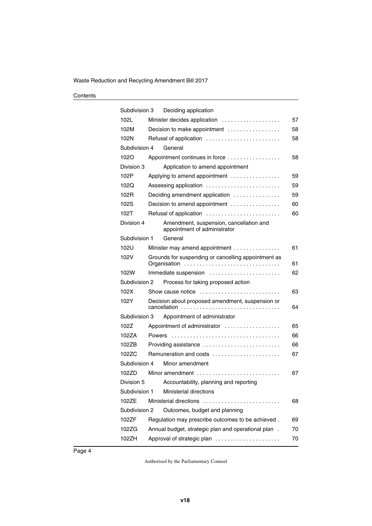| Subdivision 3 |               | Deciding application                                                    |    |
|---------------|---------------|-------------------------------------------------------------------------|----|
| 102L          |               | Minister decides application                                            | 57 |
| 102M          |               | Decision to make appointment                                            | 58 |
| 102N          |               | Refusal of application                                                  | 58 |
| Subdivision 4 |               | General                                                                 |    |
| 1020          |               | Appointment continues in force                                          | 58 |
| Division 3    |               | Application to amend appointment                                        |    |
| 102P          |               | Applying to amend appointment                                           | 59 |
| 102Q          |               | Assessing application                                                   | 59 |
| 102R          |               | Deciding amendment application                                          | 59 |
| 102S          |               | Decision to amend appointment                                           | 60 |
| 102T          |               | Refusal of application                                                  | 60 |
| Division 4    |               | Amendment, suspension, cancellation and<br>appointment of administrator |    |
| Subdivision 1 |               | General                                                                 |    |
| 102U          |               | Minister may amend appointment                                          | 61 |
| 102V          |               | Grounds for suspending or cancelling appointment as<br>Organisation     | 61 |
| 102W          |               | Immediate suspension                                                    | 62 |
| Subdivision 2 |               | Process for taking proposed action                                      |    |
| 102X          |               | Show cause notice                                                       | 63 |
| 102Y          |               | Decision about proposed amendment, suspension or<br>cancellation        | 64 |
| Subdivision 3 |               | Appointment of administrator                                            |    |
| 102Z          |               | Appointment of administrator                                            | 65 |
| 102ZA         | <b>Powers</b> |                                                                         | 66 |
| 102ZB         |               | Providing assistance                                                    | 66 |
| 102ZC         |               | Remuneration and costs                                                  | 67 |
| Subdivision 4 |               | Minor amendment                                                         |    |
| 102ZD         |               | Minor amendment                                                         | 67 |
| Division 5    |               | Accountability, planning and reporting                                  |    |
| Subdivision 1 |               | Ministerial directions                                                  |    |
| 102ZE         |               | Ministerial directions                                                  | 68 |
| Subdivision 2 |               | Outcomes, budget and planning                                           |    |
| 102ZF         |               | Regulation may prescribe outcomes to be achieved.                       | 69 |
| 102ZG         |               | Annual budget, strategic plan and operational plan.                     | 70 |
| 102ZH         |               | Approval of strategic plan                                              | 70 |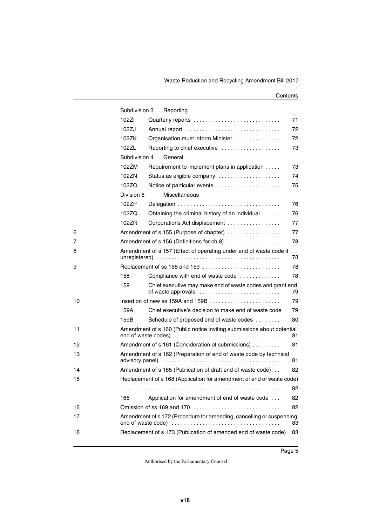|    | Subdivision 3   | Reporting                                                                       |    |
|----|-----------------|---------------------------------------------------------------------------------|----|
|    | 102ZI           |                                                                                 | 71 |
|    | 102ZJ           |                                                                                 | 72 |
|    | 102ZK           | Organisation must inform Minister                                               | 72 |
|    | 102ZL           | Reporting to chief executive                                                    | 73 |
|    | Subdivision 4   | General                                                                         |    |
|    | 102ZM           | Requirement to implement plans in application                                   | 73 |
|    | 102ZN           | Status as eligible company                                                      | 74 |
|    | 102ZO           | Notice of particular events                                                     | 75 |
|    | Division 6      | <b>Miscellaneous</b>                                                            |    |
|    | 102ZP           | Delegation                                                                      | 76 |
|    | 102ZQ           | Obtaining the criminal history of an individual                                 | 76 |
|    | 102ZR           | Corporations Act displacement                                                   | 77 |
| 6  |                 | Amendment of s 155 (Purpose of chapter)                                         | 77 |
| 7  |                 | Amendment of s 156 (Definitions for ch 8)                                       | 78 |
| 8  |                 | Amendment of s 157 (Effect of operating under end of waste code if              | 78 |
| 9  |                 | Replacement of ss 158 and 159                                                   | 78 |
|    | 158             | Compliance with end of waste code                                               | 78 |
|    | 159             | Chief executive may make end of waste codes and grant end<br>of waste approvals | 79 |
| 10 |                 |                                                                                 | 79 |
|    | 159A            | Chief executive's decision to make end of waste code                            | 79 |
|    | 159B            | Schedule of proposed end of waste codes                                         | 80 |
| 11 |                 | Amendment of s 160 (Public notice inviting submissions about potential          | 81 |
| 12 |                 | Amendment of s 161 (Consideration of submissions)                               | 81 |
| 13 | advisory panel) | Amendment of s 162 (Preparation of end of waste code by technical               | 81 |
| 14 |                 | Amendment of s 165 (Publication of draft end of waste code).                    | 82 |
| 15 |                 | Replacement of s 168 (Application for amendment of end of waste code)           |    |
|    |                 |                                                                                 | 82 |
|    | 168             | Application for amendment of end of waste code                                  | 82 |
| 16 |                 | Omission of ss 169 and 170                                                      | 82 |
| 17 |                 | Amendment of s 172 (Procedure for amending, cancelling or suspending            | 83 |
| 18 |                 | Replacement of s 173 (Publication of amended end of waste code)                 | 83 |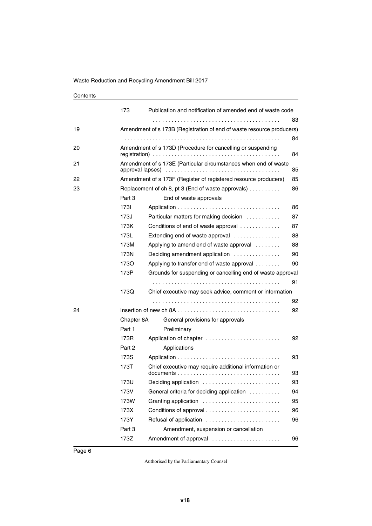|    | 173        |                                                                       | Publication and notification of amended end of waste code                                  |    |  |  |
|----|------------|-----------------------------------------------------------------------|--------------------------------------------------------------------------------------------|----|--|--|
|    |            |                                                                       |                                                                                            | 83 |  |  |
| 19 |            |                                                                       | Amendment of s 173B (Registration of end of waste resource producers)                      |    |  |  |
|    |            |                                                                       |                                                                                            | 84 |  |  |
| 20 |            |                                                                       | Amendment of s 173D (Procedure for cancelling or suspending                                | 84 |  |  |
| 21 |            | Amendment of s 173E (Particular circumstances when end of waste<br>85 |                                                                                            |    |  |  |
| 22 |            |                                                                       | Amendment of s 173F (Register of registered resource producers)                            | 85 |  |  |
| 23 |            |                                                                       | Replacement of ch 8, pt 3 (End of waste approvals) $\dots \dots$                           | 86 |  |  |
|    | Part 3     |                                                                       | End of waste approvals                                                                     |    |  |  |
|    | 1731       |                                                                       |                                                                                            | 86 |  |  |
|    | 173J       |                                                                       | Particular matters for making decision                                                     | 87 |  |  |
|    | 173K       |                                                                       | Conditions of end of waste approval                                                        | 87 |  |  |
|    | 173L       |                                                                       | Extending end of waste approval $\ldots$                                                   | 88 |  |  |
|    | 173M       |                                                                       | Applying to amend end of waste approval                                                    | 88 |  |  |
|    | 173N       |                                                                       | Deciding amendment application                                                             | 90 |  |  |
|    | 1730       |                                                                       | Applying to transfer end of waste approval                                                 | 90 |  |  |
|    | 173P       |                                                                       | Grounds for suspending or cancelling end of waste approval                                 |    |  |  |
|    |            |                                                                       |                                                                                            | 91 |  |  |
|    | 173Q       |                                                                       | Chief executive may seek advice, comment or information                                    |    |  |  |
|    |            |                                                                       |                                                                                            | 92 |  |  |
| 24 |            |                                                                       | Insertion of new ch 8A $\dots\dots\dots\dots\dots\dots\dots\dots\dots\dots\dots\dots\dots$ | 92 |  |  |
|    | Chapter 8A |                                                                       | General provisions for approvals                                                           |    |  |  |
|    | Part 1     |                                                                       | Preliminary                                                                                |    |  |  |
|    | 173R       |                                                                       | Application of chapter                                                                     | 92 |  |  |
|    | Part 2     |                                                                       | Applications                                                                               |    |  |  |
|    | 173S       |                                                                       |                                                                                            | 93 |  |  |
|    | 173T       |                                                                       | Chief executive may require additional information or                                      | 93 |  |  |
|    | 173U       |                                                                       | Deciding application                                                                       | 93 |  |  |
|    | 173V       |                                                                       | General criteria for deciding application                                                  | 94 |  |  |
|    | 173W       |                                                                       | Granting application                                                                       | 95 |  |  |
|    | 173X       |                                                                       |                                                                                            | 96 |  |  |
|    | 173Y       |                                                                       | Refusal of application                                                                     | 96 |  |  |
|    | Part 3     |                                                                       | Amendment, suspension or cancellation                                                      |    |  |  |
|    | 173Z       |                                                                       | Amendment of approval                                                                      | 96 |  |  |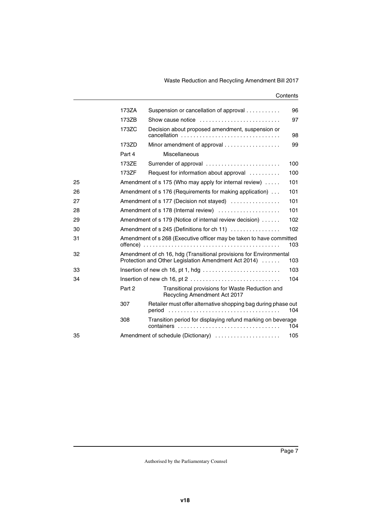|    | 173ZA  | Suspension or cancellation of approval                                                                                     | 96  |
|----|--------|----------------------------------------------------------------------------------------------------------------------------|-----|
|    | 173ZB  | Show cause notice                                                                                                          | 97  |
|    | 173ZC  | Decision about proposed amendment, suspension or<br>cancellation                                                           | 98  |
|    | 173ZD  | Minor amendment of approval                                                                                                | 99  |
|    | Part 4 | <b>Miscellaneous</b>                                                                                                       |     |
|    | 173ZE  | Surrender of approval                                                                                                      | 100 |
|    | 173ZF  | Request for information about approval                                                                                     | 100 |
| 25 |        | Amendment of s 175 (Who may apply for internal review)                                                                     | 101 |
| 26 |        | Amendment of s 176 (Requirements for making application)                                                                   | 101 |
| 27 |        | Amendment of s 177 (Decision not stayed)                                                                                   | 101 |
| 28 |        | Amendment of s 178 (Internal review)                                                                                       | 101 |
| 29 |        | Amendment of s 179 (Notice of internal review decision)                                                                    | 102 |
| 30 |        | Amendment of s 245 (Definitions for ch 11)                                                                                 | 102 |
| 31 |        | Amendment of s 268 (Executive officer may be taken to have committed                                                       | 103 |
| 32 |        | Amendment of ch 16, hdg (Transitional provisions for Environmental<br>Protection and Other Legislation Amendment Act 2014) | 103 |
| 33 |        |                                                                                                                            | 103 |
| 34 |        | Insertion of new ch 16, pt $2 \ldots \ldots \ldots \ldots \ldots \ldots \ldots \ldots$                                     | 104 |
|    | Part 2 | Transitional provisions for Waste Reduction and<br>Recycling Amendment Act 2017                                            |     |
|    | 307    | Retailer must offer alternative shopping bag during phase out                                                              | 104 |
|    | 308    | Transition period for displaying refund marking on beverage<br>containers                                                  | 104 |
| 35 |        | Amendment of schedule (Dictionary)                                                                                         | 105 |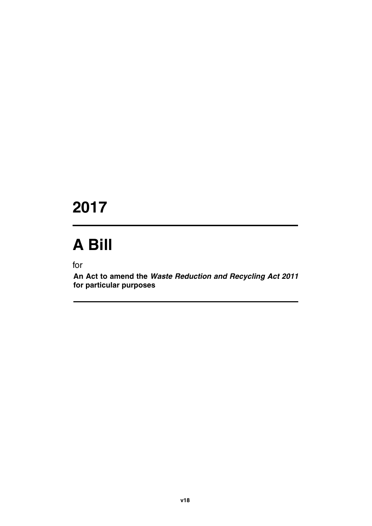# **2017**

# **A Bill**

for

**An Act to amend the** *Waste Reduction and Recycling Act 2011* **for particular purposes**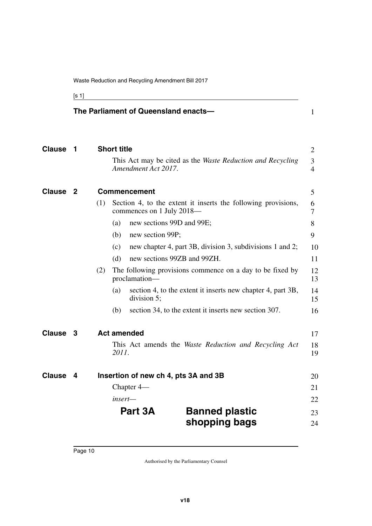<span id="page-11-3"></span><span id="page-11-1"></span>[s 1]

<span id="page-11-9"></span><span id="page-11-8"></span><span id="page-11-7"></span><span id="page-11-6"></span><span id="page-11-5"></span><span id="page-11-4"></span><span id="page-11-2"></span><span id="page-11-0"></span>

|               |    |     |                    | The Parliament of Queensland enacts- |                                                               | $\mathbf{1}$             |
|---------------|----|-----|--------------------|--------------------------------------|---------------------------------------------------------------|--------------------------|
| <b>Clause</b> | -1 |     | <b>Short title</b> | Amendment Act 2017.                  | This Act may be cited as the Waste Reduction and Recycling    | $\overline{2}$<br>3<br>4 |
| <b>Clause</b> | -2 |     |                    | Commencement                         |                                                               | 5                        |
|               |    | (1) |                    | commences on 1 July 2018—            | Section 4, to the extent it inserts the following provisions, | 6<br>$\overline{7}$      |
|               |    |     | (a)                | new sections 99D and 99E;            |                                                               | 8                        |
|               |    |     | (b)                | new section 99P;                     |                                                               | 9                        |
|               |    |     | (c)                |                                      | new chapter 4, part 3B, division 3, subdivisions 1 and 2;     | 10                       |
|               |    |     | (d)                | new sections 99ZB and 99ZH.          |                                                               | 11                       |
|               |    | (2) |                    | proclamation-                        | The following provisions commence on a day to be fixed by     | 12<br>13                 |
|               |    |     | (a)                | division 5;                          | section 4, to the extent it inserts new chapter 4, part 3B,   | 14<br>15                 |
|               |    |     | (b)                |                                      | section 34, to the extent it inserts new section 307.         | 16                       |
| <b>Clause</b> | 3  |     |                    | <b>Act amended</b>                   |                                                               | 17                       |
|               |    |     | 2011.              |                                      | This Act amends the Waste Reduction and Recycling Act         | 18<br>19                 |
| <b>Clause</b> | 4  |     |                    | Insertion of new ch 4, pts 3A and 3B |                                                               | 20                       |
|               |    |     |                    | Chapter 4—                           |                                                               | 21                       |
|               |    |     | insert—            |                                      |                                                               | 22                       |
|               |    |     |                    | Part 3A                              | <b>Banned plastic</b>                                         | 23                       |
|               |    |     |                    |                                      | shopping bags                                                 | 24                       |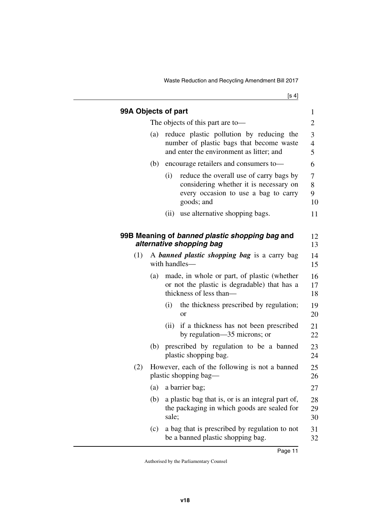<span id="page-12-3"></span><span id="page-12-2"></span><span id="page-12-1"></span><span id="page-12-0"></span>

|     |                                                                         | 99A Objects of part                                                                                                                                | $\mathbf{1}$         |
|-----|-------------------------------------------------------------------------|----------------------------------------------------------------------------------------------------------------------------------------------------|----------------------|
|     |                                                                         | The objects of this part are to-                                                                                                                   | 2                    |
|     | (a)                                                                     | reduce plastic pollution by reducing the<br>number of plastic bags that become waste<br>and enter the environment as litter; and                   | 3<br>4<br>5          |
|     | (b)                                                                     | encourage retailers and consumers to-                                                                                                              | 6                    |
|     |                                                                         | (i)<br>reduce the overall use of carry bags by<br>considering whether it is necessary on<br>every occasion to use a bag to carry<br>goods; and     | 7<br>8<br>9<br>10    |
|     |                                                                         | use alternative shopping bags.<br>(ii)                                                                                                             | 11                   |
| (1) |                                                                         | 99B Meaning of banned plastic shopping bag and<br>alternative shopping bag<br>A <b>banned plastic shopping bag</b> is a carry bag<br>with handles- | 12<br>13<br>14<br>15 |
|     | (a)                                                                     | made, in whole or part, of plastic (whether<br>or not the plastic is degradable) that has a<br>thickness of less than—                             | 16<br>17<br>18       |
|     |                                                                         | the thickness prescribed by regulation;<br>(i)<br><sub>or</sub>                                                                                    | 19<br>20             |
|     |                                                                         | if a thickness has not been prescribed<br>(ii)<br>by regulation—35 microns; or                                                                     | 21<br>22             |
|     | (b)                                                                     | prescribed by regulation to be a banned<br>plastic shopping bag.                                                                                   | 23<br>24             |
| (2) | However, each of the following is not a banned<br>plastic shopping bag— |                                                                                                                                                    |                      |
|     | (a)                                                                     | a barrier bag;                                                                                                                                     | 27                   |
|     | (b)                                                                     | a plastic bag that is, or is an integral part of,<br>the packaging in which goods are sealed for<br>sale;                                          | 28<br>29<br>30       |
|     | (c)                                                                     | a bag that is prescribed by regulation to not<br>be a banned plastic shopping bag.                                                                 | 31<br>32             |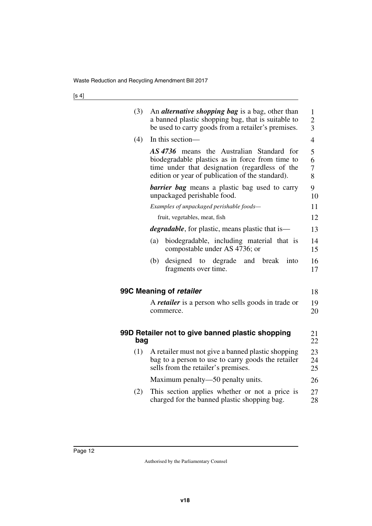<span id="page-13-3"></span><span id="page-13-2"></span><span id="page-13-1"></span><span id="page-13-0"></span>

| (3) | An <i>alternative shopping bag</i> is a bag, other than<br>a banned plastic shopping bag, that is suitable to<br>be used to carry goods from a retailer's premises.                                | $\mathbf{1}$<br>$\overline{c}$<br>$\overline{3}$ |
|-----|----------------------------------------------------------------------------------------------------------------------------------------------------------------------------------------------------|--------------------------------------------------|
| (4) | In this section-                                                                                                                                                                                   | $\overline{4}$                                   |
|     | AS 4736 means the Australian Standard for<br>biodegradable plastics as in force from time to<br>time under that designation (regardless of the<br>edition or year of publication of the standard). | 5<br>6<br>7<br>8                                 |
|     | <b>barrier bag</b> means a plastic bag used to carry<br>unpackaged perishable food.                                                                                                                | 9<br>10                                          |
|     | Examples of unpackaged perishable foods-                                                                                                                                                           | 11                                               |
|     | fruit, vegetables, meat, fish                                                                                                                                                                      | 12                                               |
|     | <i>degradable</i> , for plastic, means plastic that is—                                                                                                                                            | 13                                               |
|     | biodegradable, including material that is<br>(a)<br>compostable under AS 4736; or                                                                                                                  | 14<br>15                                         |
|     | designed<br>to degrade<br>(b)<br>and<br>break<br>into<br>fragments over time.                                                                                                                      | 16<br>17                                         |
|     | 99C Meaning of retailer                                                                                                                                                                            | 18                                               |
|     | A <i>retailer</i> is a person who sells goods in trade or<br>commerce.                                                                                                                             | 19<br>20                                         |
| bag | 99D Retailer not to give banned plastic shopping                                                                                                                                                   | 21<br>22                                         |
| (1) | A retailer must not give a banned plastic shopping<br>bag to a person to use to carry goods the retailer<br>sells from the retailer's premises.                                                    | 23<br>24<br>25                                   |
|     | Maximum penalty—50 penalty units.                                                                                                                                                                  | 26                                               |
| (2) | This section applies whether or not a price is<br>charged for the banned plastic shopping bag.                                                                                                     | 27<br>28                                         |
|     |                                                                                                                                                                                                    |                                                  |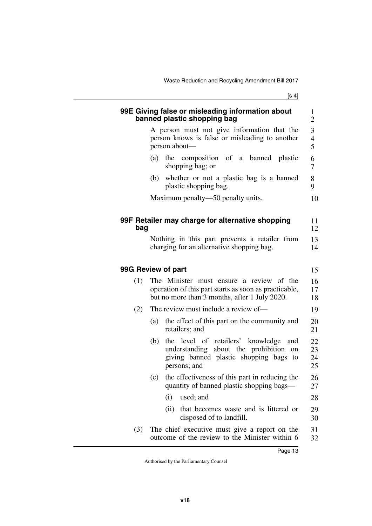<span id="page-14-5"></span><span id="page-14-4"></span><span id="page-14-3"></span><span id="page-14-2"></span><span id="page-14-1"></span><span id="page-14-0"></span>

|     | 99E Giving false or misleading information about<br>banned plastic shopping bag                                                                        | $\mathbf{1}$<br>2                               |
|-----|--------------------------------------------------------------------------------------------------------------------------------------------------------|-------------------------------------------------|
|     | A person must not give information that the<br>person knows is false or misleading to another<br>person about-                                         | $\mathfrak{Z}$<br>$\overline{\mathcal{L}}$<br>5 |
|     | the composition of a banned plastic<br>(a)<br>shopping bag; or                                                                                         | 6<br>7                                          |
|     | (b) whether or not a plastic bag is a banned<br>plastic shopping bag.                                                                                  | 8<br>9                                          |
|     | Maximum penalty—50 penalty units.                                                                                                                      | 10                                              |
| bag | 99F Retailer may charge for alternative shopping                                                                                                       | 11<br>12                                        |
|     | Nothing in this part prevents a retailer from<br>charging for an alternative shopping bag.                                                             | 13<br>14                                        |
|     | 99G Review of part                                                                                                                                     | 15                                              |
| (1) | The Minister must ensure a review of the<br>operation of this part starts as soon as practicable,<br>but no more than 3 months, after 1 July 2020.     | 16<br>17<br>18                                  |
| (2) | The review must include a review of—                                                                                                                   | 19                                              |
|     | the effect of this part on the community and<br>(a)<br>retailers; and                                                                                  | 20<br>21                                        |
|     | the level of retailers' knowledge<br>(b)<br>and<br>understanding about the prohibition<br>on<br>giving banned plastic shopping bags to<br>persons; and | 22<br>23<br>24<br>25                            |
|     | the effectiveness of this part in reducing the<br>(c)<br>quantity of banned plastic shopping bags—                                                     | 26<br>27                                        |
|     | used; and<br>(i)                                                                                                                                       | 28                                              |
|     | that becomes waste and is littered or<br>(ii)<br>disposed of to landfill.                                                                              | 29<br>30                                        |
| (3) | The chief executive must give a report on the<br>outcome of the review to the Minister within 6                                                        | 31<br>32                                        |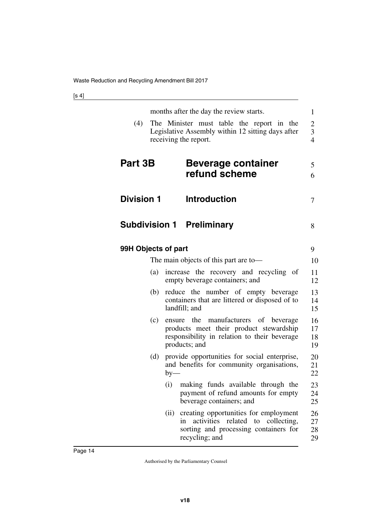<span id="page-15-7"></span><span id="page-15-6"></span><span id="page-15-5"></span><span id="page-15-4"></span><span id="page-15-3"></span><span id="page-15-2"></span><span id="page-15-1"></span><span id="page-15-0"></span>

| (4)                 | months after the day the review starts.<br>The Minister must table the report in the<br>Legislative Assembly within 12 sitting days after<br>receiving the report. | 1<br>$\overline{c}$<br>3<br>$\overline{4}$ |
|---------------------|--------------------------------------------------------------------------------------------------------------------------------------------------------------------|--------------------------------------------|
| Part 3B             | <b>Beverage container</b><br>refund scheme                                                                                                                         | 5<br>6                                     |
| <b>Division 1</b>   | <b>Introduction</b>                                                                                                                                                | 7                                          |
|                     | <b>Subdivision 1 Preliminary</b>                                                                                                                                   | 8                                          |
| 99H Objects of part |                                                                                                                                                                    | 9                                          |
|                     | The main objects of this part are to-                                                                                                                              | 10                                         |
| (a)                 | increase the recovery and recycling of<br>empty beverage containers; and                                                                                           | 11<br>12                                   |
| (b)                 | reduce the number of empty beverage<br>containers that are littered or disposed of to<br>landfill; and                                                             | 13<br>14<br>15                             |
| (c)                 | ensure the manufacturers of beverage<br>products meet their product stewardship<br>responsibility in relation to their beverage<br>products; and                   | 16<br>17<br>18<br>19                       |
| (d)                 | provide opportunities for social enterprise,<br>and benefits for community organisations,<br>$by-$                                                                 | 20<br>21<br>22                             |
|                     | (i) making funds available through the<br>payment of refund amounts for empty<br>beverage containers; and                                                          | 23<br>24<br>25                             |
|                     | creating opportunities for employment<br>(ii)<br>activities related to collecting,<br>in<br>sorting and processing containers for<br>recycling; and                | 26<br>27<br>28<br>29                       |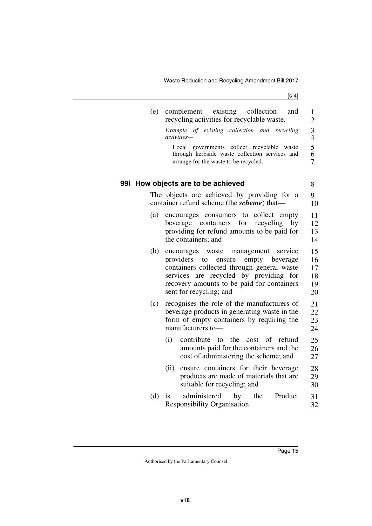<span id="page-16-1"></span><span id="page-16-0"></span>

| (e) | complement existing<br>collection<br>and<br>recycling activities for recyclable waste.                                                                                                                                                                       | $\mathbf{1}$<br>$\overline{c}$             |
|-----|--------------------------------------------------------------------------------------------------------------------------------------------------------------------------------------------------------------------------------------------------------------|--------------------------------------------|
|     | Example of existing collection and recycling<br>activities-                                                                                                                                                                                                  | $\frac{3}{4}$                              |
|     | Local governments collect recyclable<br>waste<br>through kerbside waste collection services and<br>arrange for the waste to be recycled.                                                                                                                     | $\begin{array}{c} 5 \\ 6 \\ 7 \end{array}$ |
|     | 991 How objects are to be achieved                                                                                                                                                                                                                           | 8                                          |
|     | The objects are achieved by providing for a<br>container refund scheme (the <i>scheme</i> ) that—                                                                                                                                                            | 9<br>10                                    |
| (a) | encourages consumers to collect empty<br>beverage containers for<br>recycling<br>by<br>providing for refund amounts to be paid for<br>the containers; and                                                                                                    | 11<br>12<br>13<br>14                       |
| (b) | management<br>encourages<br>waste<br>service<br>providers<br>to<br>ensure empty<br>beverage<br>containers collected through general waste<br>services are recycled by providing for<br>recovery amounts to be paid for containers<br>sent for recycling; and | 15<br>16<br>17<br>18<br>19<br>20           |
| (c) | recognises the role of the manufacturers of<br>beverage products in generating waste in the<br>form of empty containers by requiring the<br>manufacturers to-                                                                                                | 21<br>22<br>23<br>24                       |
|     | (i)<br>contribute to the<br><sub>of</sub><br>refund<br>cost<br>amounts paid for the containers and the<br>cost of administering the scheme; and                                                                                                              | 25<br>26<br>27                             |
|     | ensure containers for their beverage<br>(ii)<br>products are made of materials that are<br>suitable for recycling; and                                                                                                                                       | 28<br>29<br>30                             |
| (d) | administered<br>the<br>Product<br>by<br>is<br>Responsibility Organisation.                                                                                                                                                                                   | 31<br>32                                   |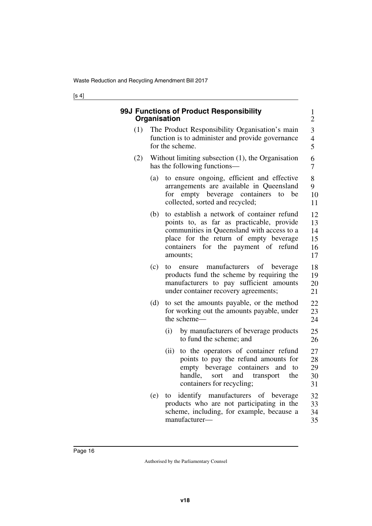<span id="page-17-1"></span><span id="page-17-0"></span>

| 99J Functions of Product Responsibility<br>Organisation |     |                                                                                                                                                                                                                                        |                                  |  |
|---------------------------------------------------------|-----|----------------------------------------------------------------------------------------------------------------------------------------------------------------------------------------------------------------------------------------|----------------------------------|--|
| (1)                                                     |     | The Product Responsibility Organisation's main<br>function is to administer and provide governance<br>for the scheme.                                                                                                                  | 3<br>$\overline{4}$<br>5         |  |
| (2)                                                     |     | Without limiting subsection $(1)$ , the Organisation<br>has the following functions—                                                                                                                                                   | 6<br>7                           |  |
|                                                         | (a) | to ensure ongoing, efficient and effective<br>arrangements are available in Queensland<br>for empty beverage containers<br>to<br>be<br>collected, sorted and recycled;                                                                 | 8<br>9<br>10<br>11               |  |
|                                                         | (b) | to establish a network of container refund<br>points to, as far as practicable, provide<br>communities in Queensland with access to a<br>place for the return of empty beverage<br>for the payment of refund<br>containers<br>amounts; | 12<br>13<br>14<br>15<br>16<br>17 |  |
|                                                         | (c) | manufacturers<br>of<br>beverage<br>to<br>ensure<br>products fund the scheme by requiring the<br>manufacturers to pay sufficient amounts<br>under container recovery agreements;                                                        | 18<br>19<br>20<br>21             |  |
|                                                         | (d) | to set the amounts payable, or the method<br>for working out the amounts payable, under<br>the scheme-                                                                                                                                 | 22<br>23<br>24                   |  |
|                                                         |     | (i)<br>by manufacturers of beverage products<br>to fund the scheme; and                                                                                                                                                                | 25<br>26                         |  |
|                                                         |     | to the operators of container refund<br>(ii)<br>points to pay the refund amounts for<br>empty beverage containers<br>and<br>to<br>handle,<br>the<br>sort<br>and<br>transport<br>containers for recycling;                              | 27<br>28<br>29<br>30<br>31       |  |
|                                                         | (e) | identify manufacturers of beverage<br>to<br>products who are not participating in the<br>scheme, including, for example, because a<br>manufacturer-                                                                                    | 32<br>33<br>34<br>35             |  |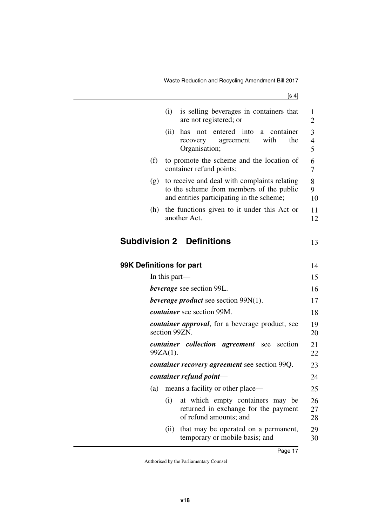Waste Reduction and Recycling Amendment Bill 2017

<span id="page-18-3"></span><span id="page-18-2"></span><span id="page-18-1"></span><span id="page-18-0"></span>

|                          | (i)<br>is selling beverages in containers that<br>are not registered; or                                                              | 1<br>2                   |
|--------------------------|---------------------------------------------------------------------------------------------------------------------------------------|--------------------------|
|                          | not entered into<br>(ii)<br>has<br>a container<br>with<br>the<br>agreement<br>recovery<br>Organisation;                               | 3<br>$\overline{4}$<br>5 |
| (f)                      | to promote the scheme and the location of<br>container refund points;                                                                 | 6<br>7                   |
| (g)                      | to receive and deal with complaints relating<br>to the scheme from members of the public<br>and entities participating in the scheme; | 8<br>9<br>10             |
| (h)                      | the functions given to it under this Act or<br>another Act.                                                                           | 11<br>12                 |
|                          | <b>Subdivision 2 Definitions</b>                                                                                                      | 13                       |
| 99K Definitions for part |                                                                                                                                       | 14                       |
|                          | In this part—                                                                                                                         | 15                       |
|                          | beverage see section 99L.                                                                                                             | 16                       |
|                          | <i>beverage product</i> see section $99N(1)$ .                                                                                        | 17                       |
|                          | <i>container</i> see section 99M.                                                                                                     | 18                       |
|                          | <i>container approval</i> , for a beverage product, see<br>section 99ZN.                                                              | 19<br>20                 |
|                          | <i>container collection</i><br><i>agreement</i> see section<br>99ZA(1).                                                               | 21<br>22                 |
|                          | <i>container recovery agreement</i> see section 99Q.                                                                                  | 23                       |
|                          | container refund point-                                                                                                               | 24                       |
| (a)                      | means a facility or other place—                                                                                                      | 25                       |
|                          | at which empty containers may be<br>(i)<br>returned in exchange for the payment<br>of refund amounts; and                             | 26<br>27<br>28           |
|                          | that may be operated on a permanent,<br>(ii)<br>temporary or mobile basis; and                                                        | 29<br>30                 |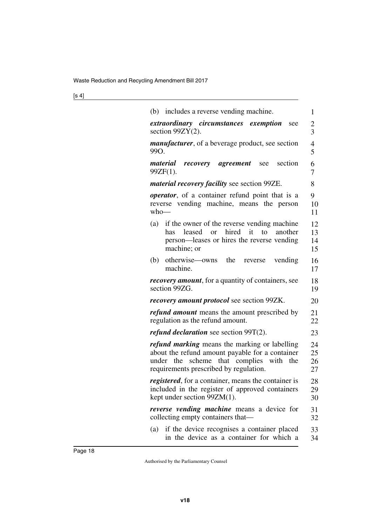| (b) includes a reverse vending machine.                                                                                                                                               | 1                    |
|---------------------------------------------------------------------------------------------------------------------------------------------------------------------------------------|----------------------|
| extraordinary circumstances exemption<br>see<br>section $99ZY(2)$ .                                                                                                                   | $\overline{c}$<br>3  |
| <i>manufacturer</i> , of a beverage product, see section<br>99O.                                                                                                                      | $\overline{4}$<br>5  |
| material<br>agreement<br>section<br>recovery<br>see<br>99ZF(1).                                                                                                                       | 6<br>7               |
| <i>material recovery facility</i> see section 99ZE.                                                                                                                                   | 8                    |
| <i>operator</i> , of a container refund point that is a<br>reverse vending machine, means the person<br>$who$ —                                                                       | 9<br>10<br>11        |
| (a) if the owner of the reverse vending machine<br>or hired<br>it<br>leased<br>to<br>another<br>has<br>person—leases or hires the reverse vending<br>machine; or                      | 12<br>13<br>14<br>15 |
| (b) otherwise—owns the<br>vending<br>reverse<br>machine.                                                                                                                              | 16<br>17             |
| <i>recovery amount</i> , for a quantity of containers, see<br>section 99ZG.                                                                                                           | 18<br>19             |
| <i>recovery amount protocol</i> see section 99ZK.                                                                                                                                     | 20                   |
| <i>refund amount</i> means the amount prescribed by<br>regulation as the refund amount.                                                                                               | 21<br>22             |
| <i>refund declaration</i> see section $99T(2)$ .                                                                                                                                      | 23                   |
| refund marking means the marking or labelling<br>about the refund amount payable for a container<br>under the scheme that complies with the<br>requirements prescribed by regulation. | 24<br>25<br>26<br>27 |
| registered, for a container, means the container is<br>included in the register of approved containers<br>kept under section 99ZM(1).                                                 | 28<br>29<br>30       |
| reverse vending machine means a device for<br>collecting empty containers that—                                                                                                       | 31<br>32             |
| if the device recognises a container placed<br>(a)<br>in the device as a container for which a                                                                                        | 33<br>34             |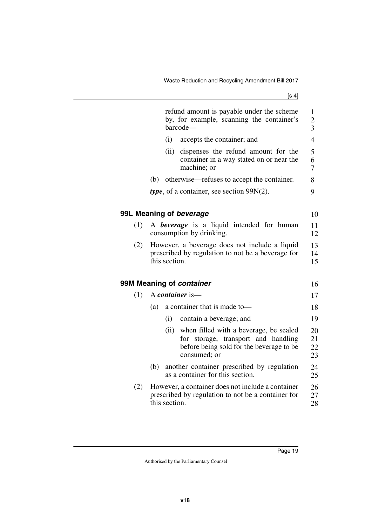<span id="page-20-3"></span><span id="page-20-2"></span><span id="page-20-1"></span><span id="page-20-0"></span>

|     | refund amount is payable under the scheme<br>by, for example, scanning the container's<br>barcode-                                                | $\mathbf{1}$<br>$\overline{c}$<br>3 |
|-----|---------------------------------------------------------------------------------------------------------------------------------------------------|-------------------------------------|
|     | (i)<br>accepts the container; and                                                                                                                 | $\overline{4}$                      |
|     | (ii)<br>dispenses the refund amount for the<br>container in a way stated on or near the<br>machine; or                                            | 5<br>6<br>$\overline{7}$            |
|     | otherwise—refuses to accept the container.<br>(b)                                                                                                 | 8                                   |
|     | <i>type</i> , of a container, see section $99N(2)$ .                                                                                              | 9                                   |
|     |                                                                                                                                                   |                                     |
|     | 99L Meaning of beverage                                                                                                                           | 10                                  |
| (1) | A <b>beverage</b> is a liquid intended for human<br>consumption by drinking.                                                                      | 11<br>12                            |
| (2) | However, a beverage does not include a liquid<br>prescribed by regulation to not be a beverage for<br>this section.                               | 13<br>14<br>15                      |
|     | 99M Meaning of container                                                                                                                          | 16                                  |
| (1) | A container is-                                                                                                                                   | 17                                  |
|     | a container that is made to-<br>(a)                                                                                                               | 18                                  |
|     | (i)<br>contain a beverage; and                                                                                                                    | 19                                  |
|     | when filled with a beverage, be sealed<br>(ii)<br>for storage, transport and handling<br>before being sold for the beverage to be<br>consumed; or | 20<br>21<br>22<br>23                |
|     | another container prescribed by regulation<br>(b)<br>as a container for this section.                                                             | 24<br>25                            |
| (2) | However, a container does not include a container<br>prescribed by regulation to not be a container for<br>this section.                          | 26<br>27<br>28                      |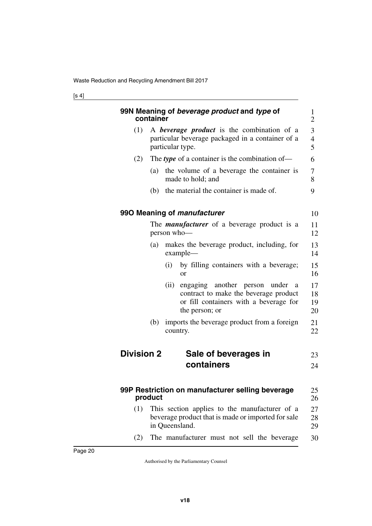<span id="page-21-7"></span><span id="page-21-6"></span><span id="page-21-5"></span><span id="page-21-4"></span><span id="page-21-3"></span><span id="page-21-2"></span><span id="page-21-1"></span><span id="page-21-0"></span>

|                   | container | 99N Meaning of beverage product and type of                                                                                                        | 1<br>$\overline{2}$  |
|-------------------|-----------|----------------------------------------------------------------------------------------------------------------------------------------------------|----------------------|
| (1)               |           | A <b>beverage product</b> is the combination of a<br>particular beverage packaged in a container of a<br>particular type.                          | 3<br>4<br>5          |
| (2)               |           | The type of a container is the combination of—                                                                                                     | 6                    |
|                   | (a)       | the volume of a beverage the container is<br>made to hold; and                                                                                     | 7<br>8               |
|                   |           | (b) the material the container is made of.                                                                                                         | 9                    |
|                   |           | 990 Meaning of <i>manufacturer</i>                                                                                                                 | 10                   |
|                   |           | The <i>manufacturer</i> of a beverage product is a<br>person who-                                                                                  | 11<br>12             |
|                   | (a)       | makes the beverage product, including, for<br>example-                                                                                             | 13<br>14             |
|                   |           | by filling containers with a beverage;<br>(i)<br><b>or</b>                                                                                         | 15<br>16             |
|                   |           | (ii)<br>engaging another person<br>under<br>a<br>contract to make the beverage product<br>or fill containers with a beverage for<br>the person; or | 17<br>18<br>19<br>20 |
|                   | (b)       | imports the beverage product from a foreign<br>country.                                                                                            | 21<br>22             |
| <b>Division 2</b> |           | Sale of beverages in                                                                                                                               | 23                   |
|                   |           | containers                                                                                                                                         | 24                   |
|                   | product   | 99P Restriction on manufacturer selling beverage                                                                                                   | 25<br>26             |
| (1)               |           | This section applies to the manufacturer of a<br>beverage product that is made or imported for sale<br>in Queensland.                              | 27<br>28<br>29       |
| (2)               |           | The manufacturer must not sell the beverage                                                                                                        | 30                   |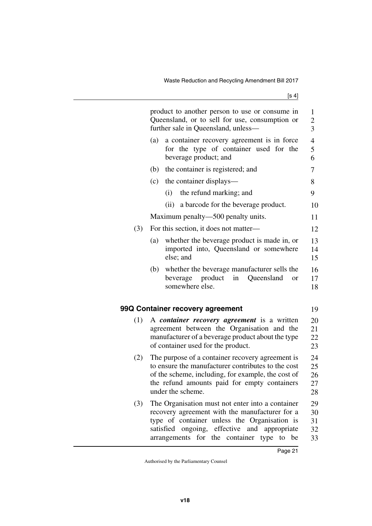|     |     | product to another person to use or consume in<br>Queensland, or to sell for use, consumption or<br>further sale in Queensland, unless-                                                                                                                        | 1<br>$\overline{c}$<br>3   |
|-----|-----|----------------------------------------------------------------------------------------------------------------------------------------------------------------------------------------------------------------------------------------------------------------|----------------------------|
|     | (a) | a container recovery agreement is in force<br>for the type of container used for the<br>beverage product; and                                                                                                                                                  | $\overline{4}$<br>5<br>6   |
|     | (b) | the container is registered; and                                                                                                                                                                                                                               | 7                          |
|     | (c) | the container displays—                                                                                                                                                                                                                                        | 8                          |
|     |     | (i) the refund marking; and                                                                                                                                                                                                                                    | 9                          |
|     |     | (ii) a barcode for the beverage product.                                                                                                                                                                                                                       | 10                         |
|     |     | Maximum penalty—500 penalty units.                                                                                                                                                                                                                             | 11                         |
| (3) |     | For this section, it does not matter—                                                                                                                                                                                                                          | 12                         |
|     | (a) | whether the beverage product is made in, or<br>imported into, Queensland or somewhere<br>else; and                                                                                                                                                             | 13<br>14<br>15             |
|     |     | (b) whether the beverage manufacturer sells the<br>product<br>in<br>Queensland<br>beverage<br>or<br>somewhere else.                                                                                                                                            | 16<br>17<br>18             |
|     |     | <b>Container recovery agreement</b>                                                                                                                                                                                                                            | 19                         |
| (1) |     | A container recovery agreement is a written<br>agreement between the Organisation and the<br>manufacturer of a beverage product about the type<br>of container used for the product.                                                                           | 20<br>21<br>22<br>23       |
| (2) |     | The purpose of a container recovery agreement is<br>to ensure the manufacturer contributes to the cost<br>of the scheme, including, for example, the cost of<br>the refund amounts paid for empty containers<br>under the scheme.                              | 24<br>25<br>26<br>27<br>28 |
| (3) |     | The Organisation must not enter into a container<br>recovery agreement with the manufacturer for a<br>type of container unless the Organisation is<br>satisfied ongoing, effective and appropriate<br>for the<br>container<br>type<br>arrangements<br>to<br>be | 29<br>30<br>31<br>32<br>33 |

<span id="page-22-1"></span><span id="page-22-0"></span>99Q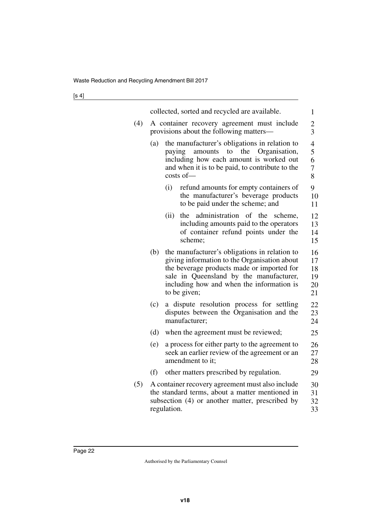|     | collected, sorted and recycled are available.                                          |                                                                                                                                                                                                                                                     |                                  |  |  |  |
|-----|----------------------------------------------------------------------------------------|-----------------------------------------------------------------------------------------------------------------------------------------------------------------------------------------------------------------------------------------------------|----------------------------------|--|--|--|
| (4) | A container recovery agreement must include<br>provisions about the following matters- |                                                                                                                                                                                                                                                     |                                  |  |  |  |
|     | (a)                                                                                    | the manufacturer's obligations in relation to<br>amounts to the Organisation,<br>paying<br>including how each amount is worked out<br>and when it is to be paid, to contribute to the<br>$costs$ of $-$                                             | 4<br>5<br>6<br>7<br>8            |  |  |  |
|     |                                                                                        | (i)<br>refund amounts for empty containers of<br>the manufacturer's beverage products<br>to be paid under the scheme; and                                                                                                                           | 9<br>10<br>11                    |  |  |  |
|     |                                                                                        | administration of the<br>(ii)<br>the<br>scheme,<br>including amounts paid to the operators<br>of container refund points under the<br>scheme;                                                                                                       | 12<br>13<br>14<br>15             |  |  |  |
|     | (b)                                                                                    | the manufacturer's obligations in relation to<br>giving information to the Organisation about<br>the beverage products made or imported for<br>sale in Queensland by the manufacturer,<br>including how and when the information is<br>to be given; | 16<br>17<br>18<br>19<br>20<br>21 |  |  |  |
|     | (c)                                                                                    | dispute resolution process for settling<br>a<br>disputes between the Organisation and the<br>manufacturer;                                                                                                                                          | 22<br>23<br>24                   |  |  |  |
|     | (d)                                                                                    | when the agreement must be reviewed;                                                                                                                                                                                                                | 25                               |  |  |  |
|     | (e)                                                                                    | a process for either party to the agreement to<br>seek an earlier review of the agreement or an<br>amendment to it;                                                                                                                                 | 26<br>27<br>28                   |  |  |  |
|     | (f)                                                                                    | other matters prescribed by regulation.                                                                                                                                                                                                             | 29                               |  |  |  |
| (5) |                                                                                        | A container recovery agreement must also include<br>the standard terms, about a matter mentioned in<br>subsection (4) or another matter, prescribed by<br>regulation.                                                                               | 30<br>31<br>32<br>33             |  |  |  |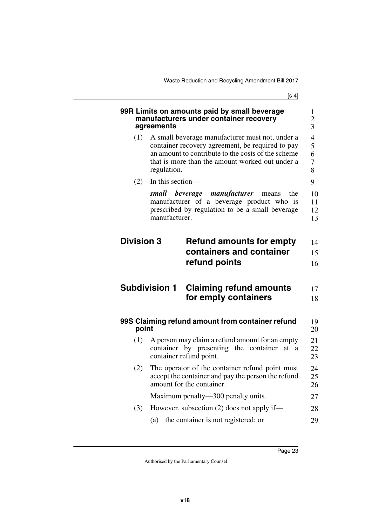<span id="page-24-7"></span><span id="page-24-6"></span><span id="page-24-5"></span><span id="page-24-4"></span><span id="page-24-3"></span><span id="page-24-2"></span><span id="page-24-1"></span><span id="page-24-0"></span>

|                                                                                                                                                                                                                                    | 99R Limits on amounts paid by small beverage<br>manufacturers under container recovery<br>agreements                                                            | 1<br>$\overline{2}$<br>3 |  |  |
|------------------------------------------------------------------------------------------------------------------------------------------------------------------------------------------------------------------------------------|-----------------------------------------------------------------------------------------------------------------------------------------------------------------|--------------------------|--|--|
| A small beverage manufacturer must not, under a<br>(1)<br>container recovery agreement, be required to pay<br>an amount to contribute to the costs of the scheme<br>that is more than the amount worked out under a<br>regulation. |                                                                                                                                                                 |                          |  |  |
| (2)                                                                                                                                                                                                                                | In this section-                                                                                                                                                | 9                        |  |  |
|                                                                                                                                                                                                                                    | small beverage<br>manufacturer<br>the<br>means<br>manufacturer of a beverage product who is<br>prescribed by regulation to be a small beverage<br>manufacturer. | 10<br>11<br>12<br>13     |  |  |
| <b>Division 3</b>                                                                                                                                                                                                                  | <b>Refund amounts for empty</b><br>containers and container<br>refund points                                                                                    | 14<br>15<br>16           |  |  |
|                                                                                                                                                                                                                                    |                                                                                                                                                                 |                          |  |  |
|                                                                                                                                                                                                                                    | <b>Subdivision 1</b><br><b>Claiming refund amounts</b><br>for empty containers                                                                                  | 17<br>18                 |  |  |
| point                                                                                                                                                                                                                              | 99S Claiming refund amount from container refund                                                                                                                | 19<br>20                 |  |  |
| (1)                                                                                                                                                                                                                                | A person may claim a refund amount for an empty<br>container by presenting the container<br>at<br>a<br>container refund point.                                  | 21<br>22<br>23           |  |  |
| (2)                                                                                                                                                                                                                                | The operator of the container refund point must<br>accept the container and pay the person the refund<br>amount for the container.                              | 24<br>25<br>26           |  |  |
|                                                                                                                                                                                                                                    | Maximum penalty—300 penalty units.                                                                                                                              | 27                       |  |  |
| (3)                                                                                                                                                                                                                                | However, subsection $(2)$ does not apply if—                                                                                                                    | 28                       |  |  |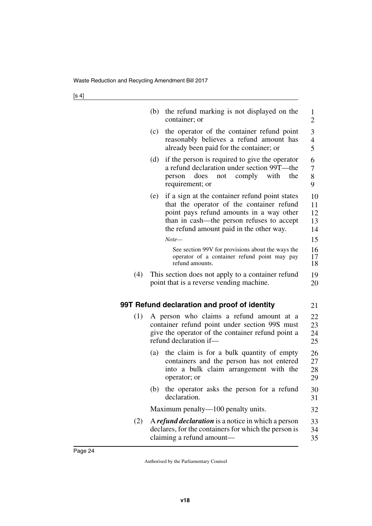<span id="page-25-1"></span><span id="page-25-0"></span>

|     | (b) | the refund marking is not displayed on the<br>container; or                                                                                                                                                                      | 1<br>$\overline{2}$                |
|-----|-----|----------------------------------------------------------------------------------------------------------------------------------------------------------------------------------------------------------------------------------|------------------------------------|
|     | (c) | the operator of the container refund point<br>reasonably believes a refund amount has<br>already been paid for the container; or                                                                                                 | 3<br>$\overline{\mathcal{A}}$<br>5 |
|     | (d) | if the person is required to give the operator<br>a refund declaration under section 99T—the<br>comply<br>with<br>does<br>the<br>person<br>not<br>requirement; or                                                                | 6<br>7<br>8<br>9                   |
|     | (e) | if a sign at the container refund point states<br>that the operator of the container refund<br>point pays refund amounts in a way other<br>than in cash—the person refuses to accept<br>the refund amount paid in the other way. | 10<br>11<br>12<br>13<br>14         |
|     |     | Note—                                                                                                                                                                                                                            | 15                                 |
|     |     | See section 99V for provisions about the ways the<br>operator of a container refund point may pay<br>refund amounts.                                                                                                             | 16<br>17<br>18                     |
| (4) |     | This section does not apply to a container refund<br>point that is a reverse vending machine.                                                                                                                                    | 19<br>20                           |
|     |     | 99T Refund declaration and proof of identity                                                                                                                                                                                     | 21                                 |
| (1) |     | A person who claims a refund amount at a<br>container refund point under section 99S must<br>give the operator of the container refund point a<br>refund declaration if-                                                         | 22<br>23<br>24<br>25               |
|     |     | (a) the claim is for a bulk quantity of empty<br>containers and the person has not entered<br>into a bulk claim arrangement with the<br>operator; or                                                                             | 26<br>27<br>28<br>29               |
|     | (b) | the operator asks the person for a refund<br>declaration.                                                                                                                                                                        | 30<br>31                           |
|     |     | Maximum penalty—100 penalty units.                                                                                                                                                                                               | 32                                 |
| (2) |     | A refund declaration is a notice in which a person<br>declares, for the containers for which the person is<br>claiming a refund amount-                                                                                          | 33<br>34<br>35                     |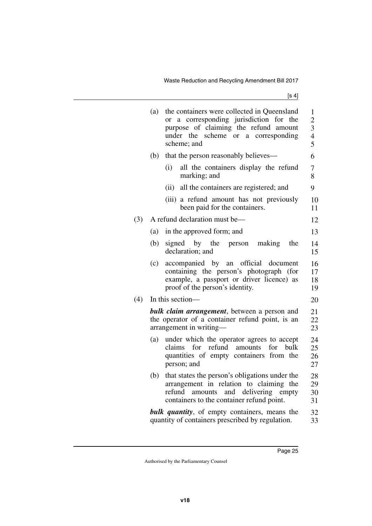|     | (a) | the containers were collected in Queensland<br>a corresponding jurisdiction for the<br>or<br>purpose of claiming the refund amount<br>under the scheme or a corresponding<br>scheme; and | 1<br>$\overline{c}$<br>$\begin{array}{c} 3 \\ 4 \\ 5 \end{array}$ |
|-----|-----|------------------------------------------------------------------------------------------------------------------------------------------------------------------------------------------|-------------------------------------------------------------------|
|     | (b) | that the person reasonably believes-                                                                                                                                                     | 6                                                                 |
|     |     | (i)<br>all the containers display the refund<br>marking; and                                                                                                                             | $\overline{7}$<br>8                                               |
|     |     | all the containers are registered; and<br>(ii)                                                                                                                                           | 9                                                                 |
|     |     | (iii) a refund amount has not previously<br>been paid for the containers.                                                                                                                | 10<br>11                                                          |
| (3) |     | A refund declaration must be—                                                                                                                                                            | 12                                                                |
|     | (a) | in the approved form; and                                                                                                                                                                | 13                                                                |
|     | (b) | signed by the<br>making<br>the<br>person<br>declaration; and                                                                                                                             | 14<br>15                                                          |
|     | (c) | accompanied by an official document<br>containing the person's photograph (for<br>example, a passport or driver licence) as<br>proof of the person's identity.                           | 16<br>17<br>18<br>19                                              |
| (4) |     | In this section—                                                                                                                                                                         | 20                                                                |
|     |     | <b>bulk claim arrangement</b> , between a person and<br>the operator of a container refund point, is an<br>arrangement in writing-                                                       | 21<br>22<br>23                                                    |
|     | (a) | under which the operator agrees to accept<br>claims for refund amounts<br>for<br>bulk<br>quantities of empty containers from the<br>person; and                                          | 24<br>25<br>26<br>27                                              |
|     | (b) | that states the person's obligations under the<br>arrangement in relation to claiming the<br>refund<br>amounts<br>and delivering empty<br>containers to the container refund point.      | 28<br>29<br>30<br>31                                              |
|     |     | <b>bulk quantity</b> , of empty containers, means the<br>quantity of containers prescribed by regulation.                                                                                | 32<br>33                                                          |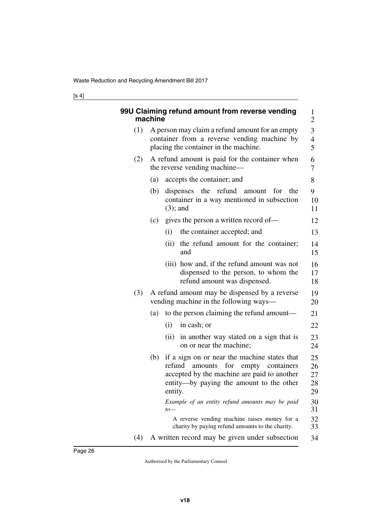<span id="page-27-1"></span><span id="page-27-0"></span>

|     | machine | 99U Claiming refund amount from reverse vending                                                                                                                                                    | 1<br>$\overline{2}$        |  |
|-----|---------|----------------------------------------------------------------------------------------------------------------------------------------------------------------------------------------------------|----------------------------|--|
| (1) |         | A person may claim a refund amount for an empty<br>container from a reverse vending machine by<br>placing the container in the machine.                                                            | 3<br>$\overline{4}$<br>5   |  |
| (2) |         | A refund amount is paid for the container when<br>the reverse vending machine—                                                                                                                     |                            |  |
|     | (a)     | accepts the container; and                                                                                                                                                                         | 8                          |  |
|     | (b)     | dispenses the refund amount<br>for<br>the<br>container in a way mentioned in subsection<br>$(3)$ ; and                                                                                             | 9<br>10<br>11              |  |
|     | (c)     | gives the person a written record of—                                                                                                                                                              | 12                         |  |
|     |         | the container accepted; and<br>(i)                                                                                                                                                                 | 13                         |  |
|     |         | the refund amount for the container;<br>(ii)<br>and                                                                                                                                                | 14<br>15                   |  |
|     |         | (iii) how and, if the refund amount was not<br>dispensed to the person, to whom the<br>refund amount was dispensed.                                                                                | 16<br>17<br>18             |  |
| (3) |         | A refund amount may be dispensed by a reverse<br>vending machine in the following ways—                                                                                                            |                            |  |
|     | (a)     | to the person claiming the refund amount—                                                                                                                                                          | 21                         |  |
|     |         | (i)<br>in cash; or                                                                                                                                                                                 | 22                         |  |
|     |         | (ii) in another way stated on a sign that is<br>on or near the machine;                                                                                                                            | 23<br>24                   |  |
|     | (b)     | if a sign on or near the machine states that<br>for<br>refund<br>empty containers<br>amounts<br>accepted by the machine are paid to another<br>entity—by paying the amount to the other<br>entity. | 25<br>26<br>27<br>28<br>29 |  |
|     |         | Example of an entity refund amounts may be paid<br>$to-$                                                                                                                                           | 30<br>31                   |  |
|     |         | A reverse vending machine raises money for a<br>charity by paying refund amounts to the charity.                                                                                                   | 32<br>33                   |  |
| (4) |         | A written record may be given under subsection                                                                                                                                                     | 34                         |  |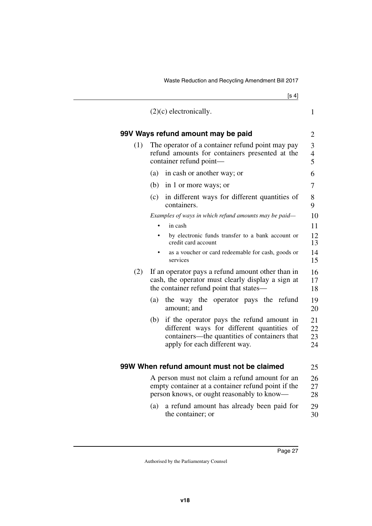<span id="page-28-3"></span><span id="page-28-2"></span><span id="page-28-1"></span><span id="page-28-0"></span>

|     | $(2)(c)$ electronically.                                                                                                                                                        | $\mathbf{1}$         |  |  |
|-----|---------------------------------------------------------------------------------------------------------------------------------------------------------------------------------|----------------------|--|--|
|     | 99V Ways refund amount may be paid                                                                                                                                              | $\overline{2}$       |  |  |
| (1) | The operator of a container refund point may pay<br>refund amounts for containers presented at the<br>container refund point-                                                   |                      |  |  |
|     | (a)<br>in cash or another way; or                                                                                                                                               | 6                    |  |  |
|     | (b)<br>in 1 or more ways; or                                                                                                                                                    | 7                    |  |  |
|     | in different ways for different quantities of<br>(c)<br>containers.                                                                                                             | 8<br>9               |  |  |
|     | Examples of ways in which refund amounts may be paid—                                                                                                                           | 10                   |  |  |
|     | in cash                                                                                                                                                                         | 11                   |  |  |
|     | by electronic funds transfer to a bank account or<br>credit card account                                                                                                        | 12<br>13             |  |  |
|     | as a voucher or card redeemable for cash, goods or<br>services                                                                                                                  | 14<br>15             |  |  |
| (2) | If an operator pays a refund amount other than in<br>cash, the operator must clearly display a sign at<br>the container refund point that states-                               | 16<br>17<br>18       |  |  |
|     | (a)<br>the way the operator pays the refund<br>amount; and                                                                                                                      | 19<br>20             |  |  |
|     | if the operator pays the refund amount in<br>(b)<br>different ways for different quantities of<br>containers—the quantities of containers that<br>apply for each different way. | 21<br>22<br>23<br>24 |  |  |
|     | 99W When refund amount must not be claimed                                                                                                                                      | 25                   |  |  |
|     | A person must not claim a refund amount for an<br>empty container at a container refund point if the<br>person knows, or ought reasonably to know—                              | 26<br>27<br>28       |  |  |
|     | a refund amount has already been paid for<br>(a)<br>the container; or                                                                                                           | 29<br>30             |  |  |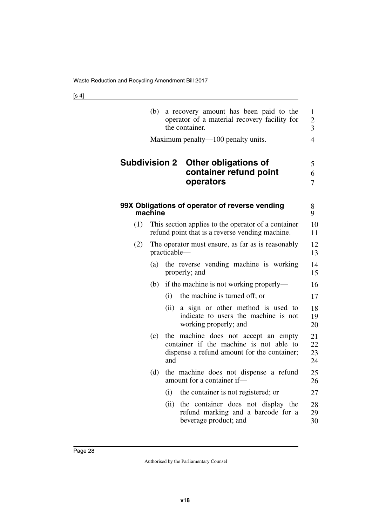<span id="page-29-3"></span><span id="page-29-2"></span><span id="page-29-1"></span><span id="page-29-0"></span>

|                      | (b)                                                               |      | a recovery amount has been paid to the<br>operator of a material recovery facility for<br>the container.                       | $\mathbf{1}$<br>$\overline{c}$<br>3 |  |
|----------------------|-------------------------------------------------------------------|------|--------------------------------------------------------------------------------------------------------------------------------|-------------------------------------|--|
|                      |                                                                   |      | Maximum penalty—100 penalty units.                                                                                             | $\overline{4}$                      |  |
| <b>Subdivision 2</b> |                                                                   |      | <b>Other obligations of</b><br>container refund point<br>operators                                                             | 5<br>6<br>7                         |  |
|                      | machine                                                           |      | 99X Obligations of operator of reverse vending                                                                                 | 8<br>9                              |  |
| (1)                  |                                                                   |      | This section applies to the operator of a container<br>refund point that is a reverse vending machine.                         | 10<br>11                            |  |
| (2)                  | The operator must ensure, as far as is reasonably<br>practicable- |      |                                                                                                                                |                                     |  |
|                      | (a)                                                               |      | the reverse vending machine is working<br>properly; and                                                                        | 14<br>15                            |  |
|                      | (b)                                                               |      | if the machine is not working properly—                                                                                        | 16                                  |  |
|                      |                                                                   | (i)  | the machine is turned off; or                                                                                                  | 17                                  |  |
|                      |                                                                   | (ii) | a sign or other method is used to<br>indicate to users the machine is not<br>working properly; and                             | 18<br>19<br>20                      |  |
|                      | (c)                                                               | and  | the machine does not accept an empty<br>container if the machine is not able to<br>dispense a refund amount for the container; | 21<br>22<br>23<br>24                |  |
|                      | (d)                                                               |      | the machine does not dispense a refund<br>amount for a container if-                                                           | 25<br>26                            |  |
|                      |                                                                   | (i)  | the container is not registered; or                                                                                            | 27                                  |  |
|                      |                                                                   | (ii) | the container does not display the<br>refund marking and a barcode for a<br>beverage product; and                              | 28<br>29<br>30                      |  |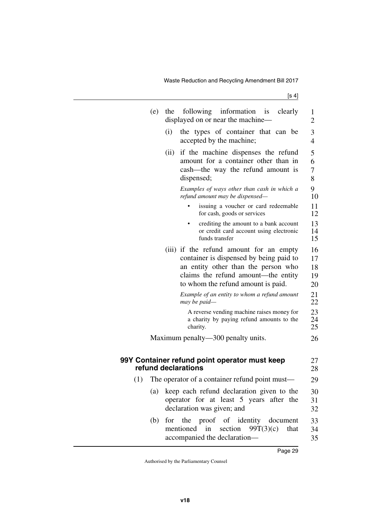<span id="page-30-1"></span><span id="page-30-0"></span>

|     | (e)<br>the | following information is<br>clearly<br>displayed on or near the machine-                                                                                                                               | 1<br>$\overline{2}$        |
|-----|------------|--------------------------------------------------------------------------------------------------------------------------------------------------------------------------------------------------------|----------------------------|
|     | (i)        | the types of container that can be<br>accepted by the machine;                                                                                                                                         | 3<br>$\overline{4}$        |
|     | (ii)       | if the machine dispenses the refund<br>amount for a container other than in<br>cash—the way the refund amount is<br>dispensed;                                                                         | 5<br>6<br>7<br>8           |
|     |            | Examples of ways other than cash in which a<br>refund amount may be dispensed-                                                                                                                         | 9<br>10                    |
|     |            | issuing a voucher or card redeemable<br>for cash, goods or services                                                                                                                                    | 11<br>12                   |
|     |            | crediting the amount to a bank account<br>or credit card account using electronic<br>funds transfer                                                                                                    | 13<br>14<br>15             |
|     |            | (iii) if the refund amount for an empty<br>container is dispensed by being paid to<br>an entity other than the person who<br>claims the refund amount—the entity<br>to whom the refund amount is paid. | 16<br>17<br>18<br>19<br>20 |
|     |            | Example of an entity to whom a refund amount<br>may be paid—                                                                                                                                           | 21<br>22                   |
|     |            | A reverse vending machine raises money for<br>a charity by paying refund amounts to the<br>charity.                                                                                                    | 23<br>24<br>25             |
|     |            | Maximum penalty—300 penalty units.                                                                                                                                                                     | 26                         |
|     |            | 99Y Container refund point operator must keep<br>refund declarations                                                                                                                                   | 27<br>28                   |
| (1) |            | The operator of a container refund point must—                                                                                                                                                         | 29                         |
|     | (a)        | keep each refund declaration given to the<br>operator for at least 5 years after the<br>declaration was given; and                                                                                     | 30<br>31<br>32             |
|     | (b)        | for the proof of identity document<br>mentioned in<br>section $99T(3)(c)$<br>that<br>accompanied the declaration-                                                                                      | 33<br>34<br>35             |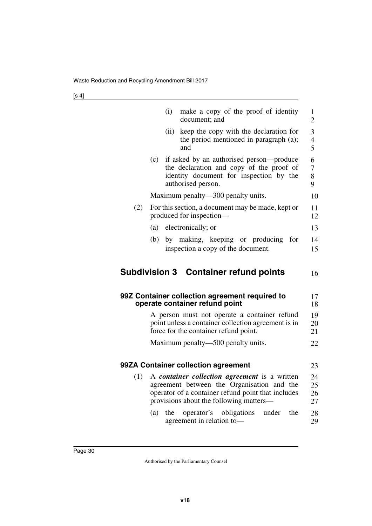<span id="page-31-5"></span><span id="page-31-4"></span><span id="page-31-3"></span><span id="page-31-2"></span><span id="page-31-1"></span><span id="page-31-0"></span>

|     |     | (i)  | make a copy of the proof of identity<br>document; and                                                                                                                                        | $\mathbf{1}$<br>$\overline{2}$ |
|-----|-----|------|----------------------------------------------------------------------------------------------------------------------------------------------------------------------------------------------|--------------------------------|
|     |     | (ii) | keep the copy with the declaration for<br>the period mentioned in paragraph (a);<br>and                                                                                                      | 3<br>4<br>5                    |
|     | (c) |      | if asked by an authorised person—produce<br>the declaration and copy of the proof of<br>identity document for inspection by the<br>authorised person.                                        | 6<br>7<br>8<br>9               |
|     |     |      | Maximum penalty—300 penalty units.                                                                                                                                                           | 10                             |
| (2) |     |      | For this section, a document may be made, kept or<br>produced for inspection—                                                                                                                | 11<br>12                       |
|     | (a) |      | electronically; or                                                                                                                                                                           | 13                             |
|     | (b) |      | by making, keeping or producing<br>for<br>inspection a copy of the document.                                                                                                                 | 14<br>15                       |
|     |     |      | <b>Subdivision 3 Container refund points</b>                                                                                                                                                 | 16                             |
|     |     |      | 99Z Container collection agreement required to<br>operate container refund point                                                                                                             | 17<br>18                       |
|     |     |      | A person must not operate a container refund<br>point unless a container collection agreement is in<br>force for the container refund point.                                                 | 19<br>20<br>21                 |
|     |     |      | Maximum penalty—500 penalty units.                                                                                                                                                           | 22                             |
|     |     |      | 99ZA Container collection agreement                                                                                                                                                          | 23                             |
| (1) |     |      | A container collection agreement is a written<br>agreement between the Organisation and the<br>operator of a container refund point that includes<br>provisions about the following matters— | 24<br>25<br>26<br>27           |
|     | (a) | the  | operator's obligations<br>under<br>the<br>agreement in relation to-                                                                                                                          | 28<br>29                       |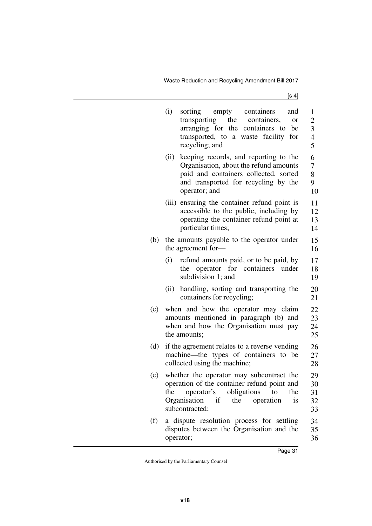|     | (i)                                                                                                                    | empty<br>containers<br>sorting<br>and<br>the containers,<br>transporting<br><sub>or</sub><br>arranging for the containers to be<br>transported, to a waste facility for<br>recycling; and  | 1<br>$\overline{c}$<br>3<br>$\overline{4}$<br>5 |
|-----|------------------------------------------------------------------------------------------------------------------------|--------------------------------------------------------------------------------------------------------------------------------------------------------------------------------------------|-------------------------------------------------|
|     | (ii)                                                                                                                   | keeping records, and reporting to the<br>Organisation, about the refund amounts<br>paid and containers collected, sorted<br>and transported for recycling by the<br>operator; and          | 6<br>$\overline{7}$<br>8<br>9<br>10             |
|     |                                                                                                                        | (iii) ensuring the container refund point is<br>accessible to the public, including by<br>operating the container refund point at<br>particular times;                                     | 11<br>12<br>13<br>14                            |
| (b) |                                                                                                                        | the amounts payable to the operator under<br>the agreement for-                                                                                                                            | 15<br>16                                        |
|     | (i)                                                                                                                    | refund amounts paid, or to be paid, by<br>the operator for containers<br>under<br>subdivision 1; and                                                                                       | 17<br>18<br>19                                  |
|     | (ii)                                                                                                                   | handling, sorting and transporting the<br>containers for recycling;                                                                                                                        | 20<br>21                                        |
| (c) |                                                                                                                        | when and how the operator may claim<br>amounts mentioned in paragraph (b) and<br>when and how the Organisation must pay<br>the amounts;                                                    | 22<br>23<br>24<br>25                            |
| (d) | if the agreement relates to a reverse vending<br>machine—the types of containers to be<br>collected using the machine; |                                                                                                                                                                                            |                                                 |
| (e) | the                                                                                                                    | whether the operator may subcontract the<br>operation of the container refund point and<br>operator's obligations to<br>the<br>Organisation if<br>the<br>operation<br>is<br>subcontracted; | 29<br>30<br>31<br>32<br>33                      |
| (f) |                                                                                                                        | a dispute resolution process for settling<br>disputes between the Organisation and the<br>operator;                                                                                        | 34<br>35<br>36                                  |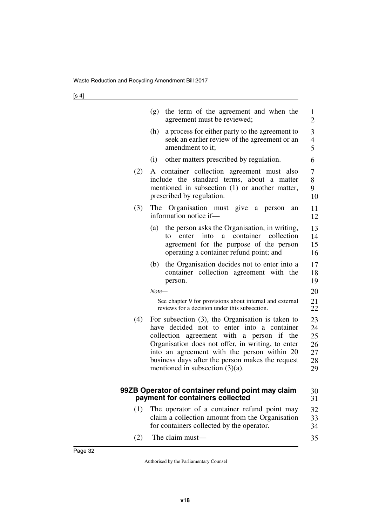<span id="page-33-1"></span><span id="page-33-0"></span>

|     | the term of the agreement and when the<br>(g)<br>agreement must be reviewed;                                                                                                                                                                                                                                                                 | 1<br>$\overline{2}$                             |
|-----|----------------------------------------------------------------------------------------------------------------------------------------------------------------------------------------------------------------------------------------------------------------------------------------------------------------------------------------------|-------------------------------------------------|
|     | a process for either party to the agreement to<br>(h)<br>seek an earlier review of the agreement or an<br>amendment to it;                                                                                                                                                                                                                   | $\mathfrak{Z}$<br>$\overline{\mathcal{L}}$<br>5 |
|     | other matters prescribed by regulation.<br>(i)                                                                                                                                                                                                                                                                                               | 6                                               |
| (2) | A container collection agreement must also<br>include the standard terms, about a matter<br>mentioned in subsection (1) or another matter,<br>prescribed by regulation.                                                                                                                                                                      | 7<br>8<br>9<br>10                               |
| (3) | The Organisation must give a person<br>an<br>information notice if-                                                                                                                                                                                                                                                                          | 11<br>12                                        |
|     | the person asks the Organisation, in writing,<br>(a)<br>enter into<br>a container collection<br>to<br>agreement for the purpose of the person<br>operating a container refund point; and                                                                                                                                                     | 13<br>14<br>15<br>16                            |
|     | the Organisation decides not to enter into a<br>(b)<br>container collection agreement with the<br>person.                                                                                                                                                                                                                                    | 17<br>18<br>19                                  |
|     | Note—                                                                                                                                                                                                                                                                                                                                        | 20                                              |
|     | See chapter 9 for provisions about internal and external<br>reviews for a decision under this subsection.                                                                                                                                                                                                                                    | 21<br>22                                        |
| (4) | For subsection $(3)$ , the Organisation is taken to<br>have decided not to enter into a container<br>collection agreement with a person if the<br>Organisation does not offer, in writing, to enter<br>into an agreement with the person within 20<br>business days after the person makes the request<br>mentioned in subsection $(3)(a)$ . | 23<br>24<br>25<br>26<br>27<br>28<br>29          |
|     | 99ZB Operator of container refund point may claim<br>payment for containers collected                                                                                                                                                                                                                                                        | 30<br>31                                        |
| (1) | The operator of a container refund point may<br>claim a collection amount from the Organisation<br>for containers collected by the operator.                                                                                                                                                                                                 | 32<br>33<br>34                                  |
| (2) | The claim must-                                                                                                                                                                                                                                                                                                                              | 35                                              |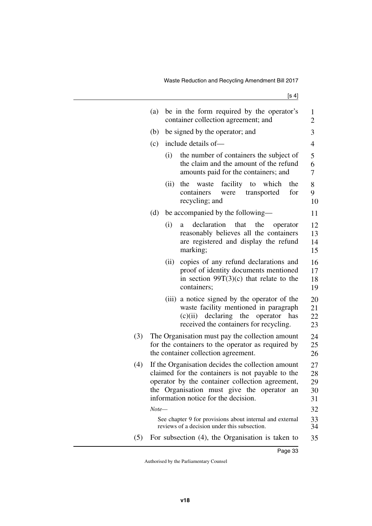|     | (a)                                                                                                                                                                                                                                            |      | be in the form required by the operator's<br>container collection agreement; and                                                                                               | 1<br>$\overline{2}$        |
|-----|------------------------------------------------------------------------------------------------------------------------------------------------------------------------------------------------------------------------------------------------|------|--------------------------------------------------------------------------------------------------------------------------------------------------------------------------------|----------------------------|
|     | (b)                                                                                                                                                                                                                                            |      | be signed by the operator; and                                                                                                                                                 | 3                          |
|     | (c)                                                                                                                                                                                                                                            |      | include details of-                                                                                                                                                            | $\overline{4}$             |
|     |                                                                                                                                                                                                                                                | (i)  | the number of containers the subject of<br>the claim and the amount of the refund<br>amounts paid for the containers; and                                                      | 5<br>6<br>7                |
|     |                                                                                                                                                                                                                                                | (ii) | facility<br>the<br>to<br>which<br>the<br>waste<br>for<br>containers<br>were<br>transported<br>recycling; and                                                                   | 8<br>9<br>10               |
|     | (d)                                                                                                                                                                                                                                            |      | be accompanied by the following-                                                                                                                                               | 11                         |
|     |                                                                                                                                                                                                                                                | (i)  | declaration<br>that<br>the<br>operator<br>a<br>reasonably believes all the containers<br>are registered and display the refund<br>marking;                                     | 12<br>13<br>14<br>15       |
|     |                                                                                                                                                                                                                                                | (ii) | copies of any refund declarations and<br>proof of identity documents mentioned<br>in section $99T(3)(c)$ that relate to the<br>containers;                                     | 16<br>17<br>18<br>19       |
|     |                                                                                                                                                                                                                                                |      | (iii) a notice signed by the operator of the<br>waste facility mentioned in paragraph<br>operator<br>declaring the<br>(c)(ii)<br>has<br>received the containers for recycling. | 20<br>21<br>22<br>23       |
| (3) | The Organisation must pay the collection amount<br>for the containers to the operator as required by<br>the container collection agreement.                                                                                                    |      |                                                                                                                                                                                | 24<br>25<br>26             |
| (4) | If the Organisation decides the collection amount<br>claimed for the containers is not payable to the<br>operator by the container collection agreement,<br>the Organisation must give the operator an<br>information notice for the decision. |      |                                                                                                                                                                                | 27<br>28<br>29<br>30<br>31 |
|     | Note—                                                                                                                                                                                                                                          |      |                                                                                                                                                                                | 32                         |
|     |                                                                                                                                                                                                                                                |      | See chapter 9 for provisions about internal and external<br>reviews of a decision under this subsection.                                                                       | 33<br>34                   |
| (5) |                                                                                                                                                                                                                                                |      | For subsection (4), the Organisation is taken to                                                                                                                               | 35                         |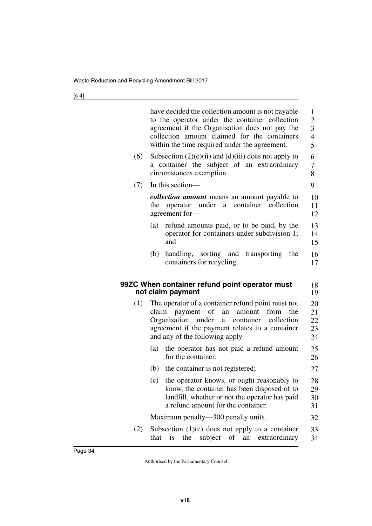<span id="page-35-1"></span><span id="page-35-0"></span>

|     | have decided the collection amount is not payable<br>to the operator under the container collection<br>agreement if the Organisation does not pay the<br>collection amount claimed for the containers<br>within the time required under the agreement. | 1<br>$\overline{c}$<br>$\overline{3}$<br>$\overline{4}$<br>5 |
|-----|--------------------------------------------------------------------------------------------------------------------------------------------------------------------------------------------------------------------------------------------------------|--------------------------------------------------------------|
| (6) | Subsection $(2)(c)(ii)$ and $(d)(iii)$ does not apply to<br>a container the subject of an extraordinary<br>circumstances exemption.                                                                                                                    | 6<br>7<br>8                                                  |
| (7) | In this section-                                                                                                                                                                                                                                       | 9                                                            |
|     | <i>collection amount</i> means an amount payable to<br>operator under a container collection<br>the<br>agreement for-                                                                                                                                  | 10<br>11<br>12                                               |
|     | refund amounts paid, or to be paid, by the<br>(a)<br>operator for containers under subdivision 1;<br>and                                                                                                                                               | 13<br>14<br>15                                               |
|     | handling, sorting and transporting the<br>(b)<br>containers for recycling.                                                                                                                                                                             | 16<br>17                                                     |
|     | 99ZC When container refund point operator must<br>not claim payment                                                                                                                                                                                    | 18<br>19                                                     |
| (1) | The operator of a container refund point must not<br>of<br>claim payment<br>an<br>amount<br>from<br>the<br>Organisation<br>container collection<br>under<br>a<br>agreement if the payment relates to a container<br>and any of the following apply—    | 20<br>21<br>22<br>23<br>24                                   |
|     | the operator has not paid a refund amount<br>(a)<br>for the container;                                                                                                                                                                                 | 25<br>26                                                     |
|     | the container is not registered;<br>(b)                                                                                                                                                                                                                | 27                                                           |
|     | the operator knows, or ought reasonably to<br>(c)<br>know, the container has been disposed of to<br>landfill, whether or not the operator has paid<br>a refund amount for the container.                                                               | 28<br>29<br>30<br>31                                         |
|     | Maximum penalty—300 penalty units.                                                                                                                                                                                                                     | 32                                                           |
| (2) | Subsection $(1)(c)$ does not apply to a container<br>subject of<br>is<br>the<br>extraordinary<br>that<br>an                                                                                                                                            | 33<br>34                                                     |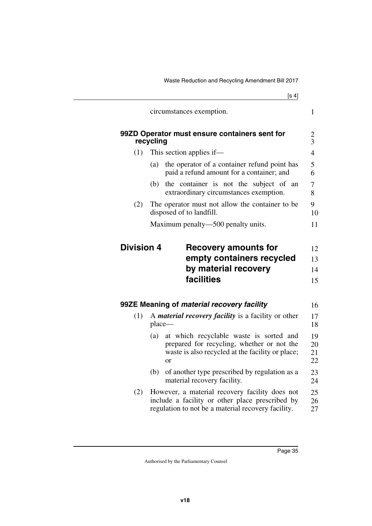|     | circumstances exemption.                                                                                                                                          | 1                                                  |
|-----|-------------------------------------------------------------------------------------------------------------------------------------------------------------------|----------------------------------------------------|
|     | 99ZD Operator must ensure containers sent for<br>recycling                                                                                                        | $rac{2}{3}$                                        |
| (1) | This section applies if—                                                                                                                                          | $\overline{4}$                                     |
|     | the operator of a container refund point has<br>(a)<br>paid a refund amount for a container; and                                                                  | 5<br>6                                             |
|     | the container is not the subject of an<br>(b)<br>extraordinary circumstances exemption.                                                                           | 7<br>8                                             |
| (2) | The operator must not allow the container to be<br>disposed of to landfill.                                                                                       | 9<br>10                                            |
|     | Maximum penalty—500 penalty units.                                                                                                                                | 11                                                 |
|     | facilities                                                                                                                                                        | 15                                                 |
|     |                                                                                                                                                                   |                                                    |
|     | 99ZE Meaning of material recovery facility                                                                                                                        |                                                    |
| (1) | A <i>material recovery facility</i> is a facility or other<br>place—                                                                                              |                                                    |
|     | at which recyclable waste is sorted and<br>(a)<br>prepared for recycling, whether or not the<br>waste is also recycled at the facility or place;<br><sub>or</sub> |                                                    |
|     | of another type prescribed by regulation as a<br>(b)<br>material recovery facility.                                                                               | 16<br>17<br>18<br>19<br>20<br>21<br>22<br>23<br>24 |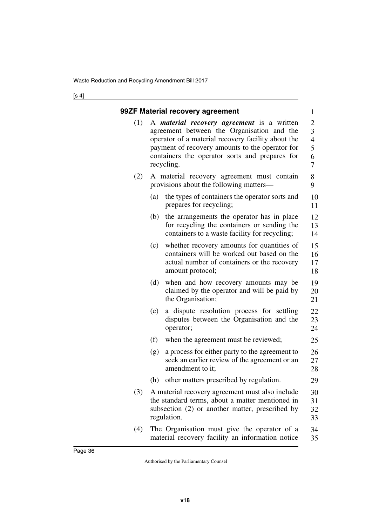|     | 99ZF Material recovery agreement                                                                                                                                                                                                                                         | $\mathbf{1}$                                                      |
|-----|--------------------------------------------------------------------------------------------------------------------------------------------------------------------------------------------------------------------------------------------------------------------------|-------------------------------------------------------------------|
| (1) | A <i>material recovery agreement</i> is a written<br>agreement between the Organisation and the<br>operator of a material recovery facility about the<br>payment of recovery amounts to the operator for<br>containers the operator sorts and prepares for<br>recycling. | $\overline{2}$<br>3<br>$\overline{4}$<br>5<br>6<br>$\overline{7}$ |
| (2) | A material recovery agreement must contain<br>provisions about the following matters-                                                                                                                                                                                    | 8<br>9                                                            |
|     | the types of containers the operator sorts and<br>(a)<br>prepares for recycling;                                                                                                                                                                                         | 10<br>11                                                          |
|     | (b)<br>the arrangements the operator has in place<br>for recycling the containers or sending the<br>containers to a waste facility for recycling;                                                                                                                        | 12<br>13<br>14                                                    |
|     | (c)<br>whether recovery amounts for quantities of<br>containers will be worked out based on the<br>actual number of containers or the recovery<br>amount protocol;                                                                                                       | 15<br>16<br>17<br>18                                              |
|     | (d)<br>when and how recovery amounts may be<br>claimed by the operator and will be paid by<br>the Organisation;                                                                                                                                                          | 19<br>20<br>21                                                    |
|     | a dispute resolution process for settling<br>(e)<br>disputes between the Organisation and the<br>operator;                                                                                                                                                               | 22<br>23<br>24                                                    |
|     | (f)<br>when the agreement must be reviewed;                                                                                                                                                                                                                              | 25                                                                |
|     | a process for either party to the agreement to<br>(g)<br>seek an earlier review of the agreement or an<br>amendment to it;                                                                                                                                               | 26<br>27<br>28                                                    |
|     | other matters prescribed by regulation.<br>(h)                                                                                                                                                                                                                           | 29                                                                |
| (3) | A material recovery agreement must also include<br>the standard terms, about a matter mentioned in<br>subsection (2) or another matter, prescribed by<br>regulation.                                                                                                     | 30<br>31<br>32<br>33                                              |
| (4) | The Organisation must give the operator of a<br>material recovery facility an information notice                                                                                                                                                                         | 34<br>35                                                          |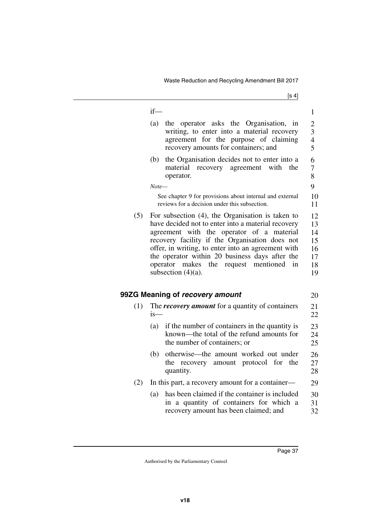|     | $if$ —                                                                                                                                                                                                                                                                                                                                                                                              | 1                                            |
|-----|-----------------------------------------------------------------------------------------------------------------------------------------------------------------------------------------------------------------------------------------------------------------------------------------------------------------------------------------------------------------------------------------------------|----------------------------------------------|
|     | (a)<br>the operator asks the Organisation, in<br>writing, to enter into a material recovery<br>agreement for the purpose of claiming<br>recovery amounts for containers; and                                                                                                                                                                                                                        | $\overline{2}$<br>3<br>$\overline{4}$<br>5   |
|     | the Organisation decides not to enter into a<br>(b)<br>recovery agreement<br>material<br>with<br>the<br>operator.                                                                                                                                                                                                                                                                                   | 6<br>7<br>8                                  |
|     | Note—                                                                                                                                                                                                                                                                                                                                                                                               | 9                                            |
|     | See chapter 9 for provisions about internal and external<br>reviews for a decision under this subsection.                                                                                                                                                                                                                                                                                           | 10<br>11                                     |
| (5) | For subsection $(4)$ , the Organisation is taken to<br>have decided not to enter into a material recovery<br>agreement with the operator of a material<br>recovery facility if the Organisation does not<br>offer, in writing, to enter into an agreement with<br>the operator within 20 business days after the<br>operator<br>mentioned<br>makes<br>the<br>request<br>in<br>subsection $(4)(a)$ . | 12<br>13<br>14<br>15<br>16<br>17<br>18<br>19 |
|     | 99ZG Meaning of recovery amount                                                                                                                                                                                                                                                                                                                                                                     | 20                                           |
| (1) | The <i>recovery amount</i> for a quantity of containers<br>$is-$                                                                                                                                                                                                                                                                                                                                    | 21<br>22                                     |
|     | if the number of containers in the quantity is<br>(a)<br>known—the total of the refund amounts for<br>the number of containers; or                                                                                                                                                                                                                                                                  | 23<br>24<br>25                               |
|     | otherwise—the amount worked out under<br>(b)<br>recovery amount protocol for<br>the<br>the<br>quantity.                                                                                                                                                                                                                                                                                             | 26<br>27<br>28                               |
| (2) | In this part, a recovery amount for a container—                                                                                                                                                                                                                                                                                                                                                    | 29                                           |
|     | has been claimed if the container is included<br>(a)<br>in a quantity of containers for which a<br>recovery amount has been claimed; and                                                                                                                                                                                                                                                            | 30<br>31<br>32                               |
|     |                                                                                                                                                                                                                                                                                                                                                                                                     |                                              |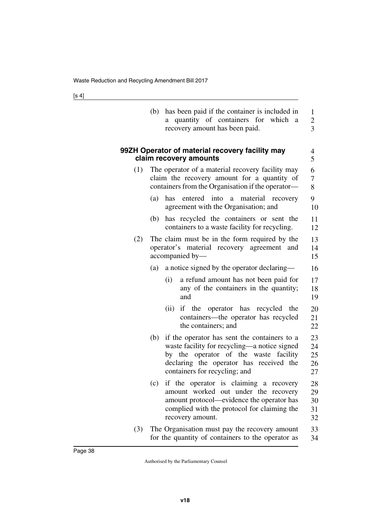|     | has been paid if the container is included in<br>(b)<br>quantity of containers for which<br>a.<br>a<br>recovery amount has been paid.                                                                                    | 1<br>$\overline{c}$<br>3   |
|-----|--------------------------------------------------------------------------------------------------------------------------------------------------------------------------------------------------------------------------|----------------------------|
|     | 99ZH Operator of material recovery facility may<br>claim recovery amounts                                                                                                                                                | 4<br>5                     |
| (1) | The operator of a material recovery facility may<br>claim the recovery amount for a quantity of<br>containers from the Organisation if the operator-                                                                     | 6<br>7<br>8                |
|     | into<br>(a)<br>has<br>entered<br>material<br>a<br>recovery<br>agreement with the Organisation; and                                                                                                                       | 9<br>10                    |
|     | has recycled the containers or sent the<br>(b)<br>containers to a waste facility for recycling.                                                                                                                          | 11<br>12                   |
| (2) | The claim must be in the form required by the<br>operator's material recovery agreement and<br>accompanied by-                                                                                                           | 13<br>14<br>15             |
|     | a notice signed by the operator declaring—<br>(a)                                                                                                                                                                        | 16                         |
|     | (i)<br>a refund amount has not been paid for<br>any of the containers in the quantity;<br>and                                                                                                                            | 17<br>18<br>19             |
|     | if the operator has recycled the<br>(ii)<br>containers-the operator has recycled<br>the containers; and                                                                                                                  | 20<br>21<br>22             |
|     | if the operator has sent the containers to a<br>(b)<br>waste facility for recycling—a notice signed<br>by the operator of the waste facility<br>declaring the operator has received the<br>containers for recycling; and | 23<br>24<br>25<br>26<br>27 |
|     | if the operator is claiming a recovery<br>(c)<br>amount worked out under the recovery<br>amount protocol—evidence the operator has<br>complied with the protocol for claiming the<br>recovery amount.                    | 28<br>29<br>30<br>31<br>32 |
| (3) | The Organisation must pay the recovery amount<br>for the quantity of containers to the operator as                                                                                                                       | 33<br>34                   |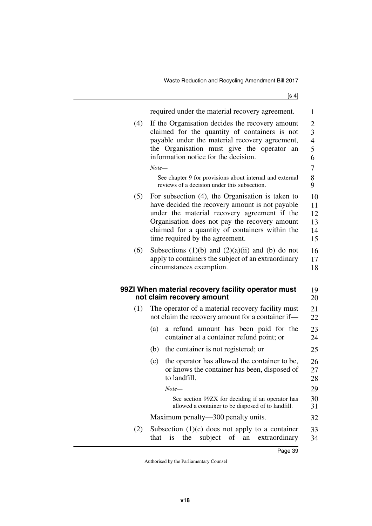|     | required under the material recovery agreement.                                                                                                                                                                                                                                                                                               | 1                                                                                        |
|-----|-----------------------------------------------------------------------------------------------------------------------------------------------------------------------------------------------------------------------------------------------------------------------------------------------------------------------------------------------|------------------------------------------------------------------------------------------|
| (4) | If the Organisation decides the recovery amount<br>claimed for the quantity of containers is not<br>payable under the material recovery agreement,<br>the Organisation must give the operator<br>an<br>information notice for the decision.<br>$Note-$<br>See chapter 9 for provisions about internal and external                            | $\overline{c}$<br>$\overline{\mathbf{3}}$<br>$\overline{\mathbf{4}}$<br>5<br>6<br>7<br>8 |
| (5) | reviews of a decision under this subsection.<br>For subsection $(4)$ , the Organisation is taken to<br>have decided the recovery amount is not payable<br>under the material recovery agreement if the<br>Organisation does not pay the recovery amount<br>claimed for a quantity of containers within the<br>time required by the agreement. | 9<br>10<br>11<br>12<br>13<br>14<br>15                                                    |
| (6) | Subsections $(1)(b)$ and $(2)(a)(ii)$ and $(b)$ do not<br>apply to containers the subject of an extraordinary<br>circumstances exemption.                                                                                                                                                                                                     | 16<br>17<br>18                                                                           |
|     | 99ZI When material recovery facility operator must<br>not claim recovery amount                                                                                                                                                                                                                                                               | 19<br>20                                                                                 |
| (1) | The operator of a material recovery facility must<br>not claim the recovery amount for a container if-                                                                                                                                                                                                                                        | 21<br>22                                                                                 |
|     | a refund amount has been paid for the<br>(a)<br>container at a container refund point; or                                                                                                                                                                                                                                                     | 23<br>24                                                                                 |
|     | (b)<br>the container is not registered; or                                                                                                                                                                                                                                                                                                    | 25                                                                                       |
|     | the operator has allowed the container to be,<br>(c)<br>or knows the container has been, disposed of<br>to landfill.                                                                                                                                                                                                                          | 26<br>27<br>28                                                                           |
|     | Note—                                                                                                                                                                                                                                                                                                                                         | 29                                                                                       |
|     | See section 99ZX for deciding if an operator has<br>allowed a container to be disposed of to landfill.                                                                                                                                                                                                                                        | 30<br>31                                                                                 |
|     | Maximum penalty—300 penalty units.                                                                                                                                                                                                                                                                                                            | 32                                                                                       |
| (2) | Subsection $(1)(c)$ does not apply to a container<br>subject<br>of<br>extraordinary<br>that<br>is<br>the<br>an                                                                                                                                                                                                                                | 33<br>34                                                                                 |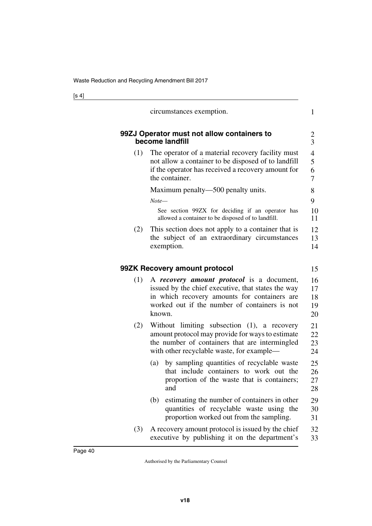|     | circumstances exemption.                                                                                                                                                                                   | $\mathbf{1}$                  |
|-----|------------------------------------------------------------------------------------------------------------------------------------------------------------------------------------------------------------|-------------------------------|
|     | 99ZJ Operator must not allow containers to<br>become landfill                                                                                                                                              | 2<br>$\overline{3}$           |
| (1) | The operator of a material recovery facility must<br>not allow a container to be disposed of to landfill<br>if the operator has received a recovery amount for<br>the container.                           | $\overline{4}$<br>5<br>6<br>7 |
|     | Maximum penalty—500 penalty units.                                                                                                                                                                         | 8                             |
|     | $Note-$                                                                                                                                                                                                    | 9                             |
|     | See section 99ZX for deciding if an operator has<br>allowed a container to be disposed of to landfill.                                                                                                     | 10<br>11                      |
| (2) | This section does not apply to a container that is<br>the subject of an extraordinary circumstances<br>exemption.                                                                                          | 12<br>13<br>14                |
|     | 99ZK Recovery amount protocol                                                                                                                                                                              | 15                            |
| (1) | A recovery amount protocol is a document,<br>issued by the chief executive, that states the way<br>in which recovery amounts for containers are<br>worked out if the number of containers is not<br>known. | 16<br>17<br>18<br>19<br>20    |
| (2) | Without limiting subsection (1), a recovery<br>amount protocol may provide for ways to estimate<br>the number of containers that are intermingled<br>with other recyclable waste, for example—             | 21<br>22<br>23<br>24          |
|     | by sampling quantities of recyclable waste<br>(a)<br>that include containers to work out the<br>proportion of the waste that is containers;<br>and                                                         | 25<br>26<br>27<br>28          |
|     | estimating the number of containers in other<br>(b)<br>quantities of recyclable waste using the<br>proportion worked out from the sampling.                                                                | 29<br>30<br>31                |
| (3) | A recovery amount protocol is issued by the chief<br>executive by publishing it on the department's                                                                                                        | 32<br>33                      |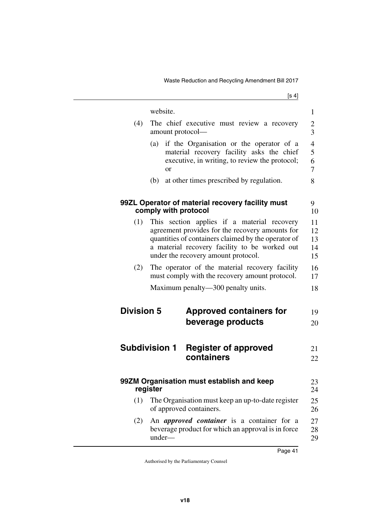|                   | website.                                                                                                                                                                                                                                      |                                                                                                                                         | $\mathbf{1}$                     |
|-------------------|-----------------------------------------------------------------------------------------------------------------------------------------------------------------------------------------------------------------------------------------------|-----------------------------------------------------------------------------------------------------------------------------------------|----------------------------------|
| (4)               | amount protocol—                                                                                                                                                                                                                              | The chief executive must review a recovery                                                                                              | $\overline{c}$<br>$\overline{3}$ |
|                   | (a)<br><sub>or</sub>                                                                                                                                                                                                                          | if the Organisation or the operator of a<br>material recovery facility asks the chief<br>executive, in writing, to review the protocol; | $\overline{4}$<br>5<br>6<br>7    |
|                   | (b)                                                                                                                                                                                                                                           | at other times prescribed by regulation.                                                                                                | 8                                |
|                   | comply with protocol                                                                                                                                                                                                                          | 99ZL Operator of material recovery facility must                                                                                        | 9<br>10                          |
| (1)               | This section applies if a material recovery<br>agreement provides for the recovery amounts for<br>quantities of containers claimed by the operator of<br>a material recovery facility to be worked out<br>under the recovery amount protocol. |                                                                                                                                         | 11<br>12<br>13<br>14<br>15       |
| (2)               |                                                                                                                                                                                                                                               | The operator of the material recovery facility<br>must comply with the recovery amount protocol.                                        | 16<br>17                         |
|                   |                                                                                                                                                                                                                                               | Maximum penalty—300 penalty units.                                                                                                      | 18                               |
| <b>Division 5</b> |                                                                                                                                                                                                                                               | <b>Approved containers for</b>                                                                                                          | 19                               |
|                   |                                                                                                                                                                                                                                               | beverage products                                                                                                                       | 20                               |
|                   | <b>Subdivision 1</b>                                                                                                                                                                                                                          | <b>Register of approved</b>                                                                                                             | 21                               |
|                   |                                                                                                                                                                                                                                               | containers                                                                                                                              | 22                               |
|                   | register                                                                                                                                                                                                                                      | 99ZM Organisation must establish and keep                                                                                               | 23<br>24                         |
| (1)               |                                                                                                                                                                                                                                               | The Organisation must keep an up-to-date register<br>of approved containers.                                                            | 25<br>26                         |
| (2)               | under-                                                                                                                                                                                                                                        | An <i>approved container</i> is a container for a<br>beverage product for which an approval is in force                                 | 27<br>28<br>29                   |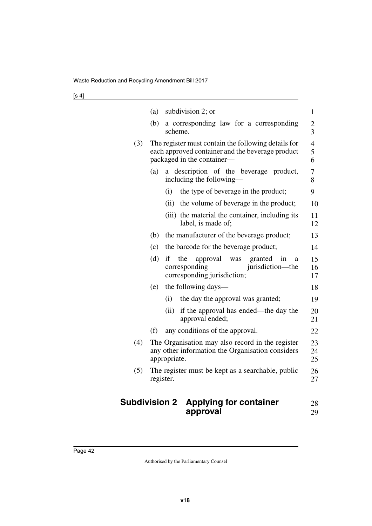|     | subdivision 2; or<br>(a)                                                                                                              | $\mathbf{1}$                              |
|-----|---------------------------------------------------------------------------------------------------------------------------------------|-------------------------------------------|
|     | (b)<br>a corresponding law for a corresponding<br>scheme.                                                                             | $\overline{\mathbf{c}}$<br>$\overline{3}$ |
| (3) | The register must contain the following details for<br>each approved container and the beverage product<br>packaged in the container- | $\overline{4}$<br>5<br>6                  |
|     | a description of the beverage product,<br>(a)<br>including the following-                                                             | 7<br>8                                    |
|     | (i)<br>the type of beverage in the product;                                                                                           | 9                                         |
|     | (ii)<br>the volume of beverage in the product;                                                                                        | 10                                        |
|     | (iii) the material the container, including its<br>label, is made of;                                                                 | 11<br>12                                  |
|     | the manufacturer of the beverage product;<br>(b)                                                                                      | 13                                        |
|     | (c)<br>the barcode for the beverage product;                                                                                          | 14                                        |
|     | (d)<br>if<br>the<br>approval<br>was<br>granted<br>in<br>a<br>jurisdiction—the<br>corresponding<br>corresponding jurisdiction;         | 15<br>16<br>17                            |
|     | the following days—<br>(e)                                                                                                            | 18                                        |
|     | (i)<br>the day the approval was granted;                                                                                              | 19                                        |
|     | (ii)<br>if the approval has ended—the day the<br>approval ended;                                                                      | 20<br>21                                  |
|     | (f)<br>any conditions of the approval.                                                                                                | 22                                        |
| (4) | The Organisation may also record in the register<br>any other information the Organisation considers<br>appropriate.                  | 23<br>24<br>25                            |
| (5) | The register must be kept as a searchable, public<br>register.                                                                        | 26<br>27                                  |
|     | <b>Subdivision 2</b><br><b>Applying for container</b><br>approval                                                                     | 28<br>29                                  |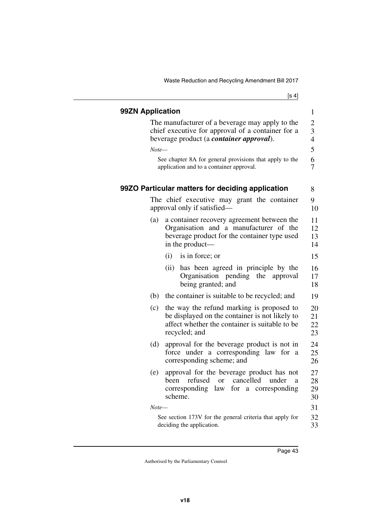| I<br>٠<br>× |  |
|-------------|--|
|-------------|--|

| 99ZN Application |                                                                                                                                                                | $\mathbf{1}$                          |
|------------------|----------------------------------------------------------------------------------------------------------------------------------------------------------------|---------------------------------------|
|                  | The manufacturer of a beverage may apply to the<br>chief executive for approval of a container for a<br>beverage product (a <i>container approval</i> ).       | $\overline{2}$<br>3<br>$\overline{4}$ |
| $Note-$          |                                                                                                                                                                | 5                                     |
|                  | See chapter 8A for general provisions that apply to the<br>application and to a container approval.                                                            | 6<br>7                                |
|                  | 99ZO Particular matters for deciding application                                                                                                               | 8                                     |
|                  | The chief executive may grant the container<br>approval only if satisfied—                                                                                     | 9<br>10                               |
| (a)              | a container recovery agreement between the<br>Organisation and a manufacturer of the<br>beverage product for the container type used<br>in the product-        | 11<br>12<br>13<br>14                  |
|                  | (i)<br>is in force; or                                                                                                                                         | 15                                    |
|                  | (ii)<br>has been agreed in principle by the<br>Organisation pending the approval<br>being granted; and                                                         | 16<br>17<br>18                        |
| (b)              | the container is suitable to be recycled; and                                                                                                                  | 19                                    |
| (c)              | the way the refund marking is proposed to<br>be displayed on the container is not likely to<br>affect whether the container is suitable to be<br>recycled; and | 20<br>21<br>22<br>23                  |
| (d)              | approval for the beverage product is not in<br>force under a corresponding law for<br>- a<br>corresponding scheme; and                                         | 24<br>25<br>26                        |
| (e)              | approval for the beverage product has not<br>cancelled<br>refused<br>under<br>been<br>$\alpha$<br>a<br>corresponding law<br>for a corresponding<br>scheme.     | 27<br>28<br>29<br>30                  |
| $Note-$          |                                                                                                                                                                | 31                                    |
|                  | See section 173V for the general criteria that apply for<br>deciding the application.                                                                          | 32<br>33                              |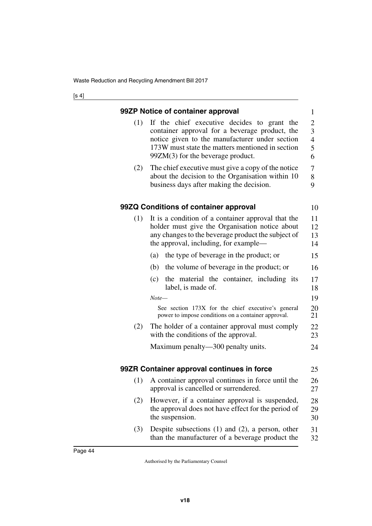|     | 99ZP Notice of container approval                                                                                                                                                                                                          | $\mathbf{1}$                                    |
|-----|--------------------------------------------------------------------------------------------------------------------------------------------------------------------------------------------------------------------------------------------|-------------------------------------------------|
| (1) | If the chief executive decides to grant the<br>container approval for a beverage product, the<br>notice given to the manufacturer under section<br>173W must state the matters mentioned in section<br>$99ZM(3)$ for the beverage product. | $\overline{c}$<br>3<br>$\overline{4}$<br>5<br>6 |
| (2) | The chief executive must give a copy of the notice<br>about the decision to the Organisation within 10<br>business days after making the decision.                                                                                         | 7<br>8<br>9                                     |
|     | 99ZQ Conditions of container approval                                                                                                                                                                                                      | 10                                              |
| (1) | It is a condition of a container approval that the<br>holder must give the Organisation notice about<br>any changes to the beverage product the subject of<br>the approval, including, for example—                                        | 11<br>12<br>13<br>14                            |
|     | the type of beverage in the product; or<br>(a)                                                                                                                                                                                             | 15                                              |
|     | (b)<br>the volume of beverage in the product; or                                                                                                                                                                                           | 16                                              |
|     | the material the container, including its<br>(c)<br>label, is made of.                                                                                                                                                                     | 17<br>18                                        |
|     | $Note-$                                                                                                                                                                                                                                    | 19                                              |
|     | See section 173X for the chief executive's general<br>power to impose conditions on a container approval.                                                                                                                                  | 20<br>21                                        |
| (2) | The holder of a container approval must comply<br>with the conditions of the approval.                                                                                                                                                     | 22<br>23                                        |
|     | Maximum penalty—300 penalty units.                                                                                                                                                                                                         | 24                                              |
|     | 99ZR Container approval continues in force                                                                                                                                                                                                 | 25                                              |
| (1) | A container approval continues in force until the<br>approval is cancelled or surrendered.                                                                                                                                                 | 26<br>27                                        |
| (2) | However, if a container approval is suspended,<br>the approval does not have effect for the period of<br>the suspension.                                                                                                                   | 28<br>29<br>30                                  |
| (3) | Despite subsections $(1)$ and $(2)$ , a person, other<br>than the manufacturer of a beverage product the                                                                                                                                   | 31<br>32                                        |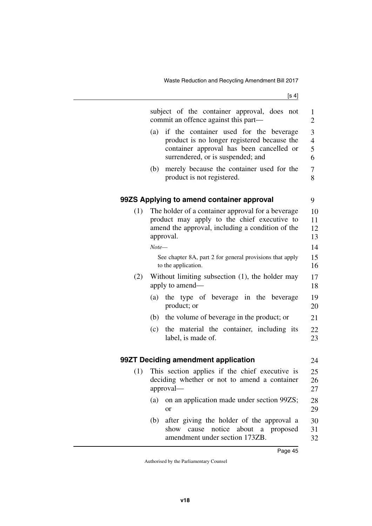Waste Reduction and Recycling Amendment Bill 2017

|     | subject of the container approval, does not<br>commit an offence against this part—                                                                                           | 1<br>$\overline{2}$           |
|-----|-------------------------------------------------------------------------------------------------------------------------------------------------------------------------------|-------------------------------|
|     | if the container used for the beverage<br>(a)<br>product is no longer registered because the<br>container approval has been cancelled or<br>surrendered, or is suspended; and | 3<br>$\overline{4}$<br>5<br>6 |
|     | merely because the container used for the<br>(b)<br>product is not registered.                                                                                                | 7<br>8                        |
|     | 99ZS Applying to amend container approval                                                                                                                                     | 9                             |
| (1) | The holder of a container approval for a beverage<br>product may apply to the chief executive to<br>amend the approval, including a condition of the<br>approval.<br>$Note-$  | 10<br>11<br>12<br>13<br>14    |
|     | See chapter 8A, part 2 for general provisions that apply<br>to the application.                                                                                               | 15<br>16                      |
| (2) | Without limiting subsection $(1)$ , the holder may<br>apply to amend—                                                                                                         | 17<br>18                      |
|     | the type of beverage in the beverage<br>(a)<br>product; or                                                                                                                    | 19<br>20                      |
|     | the volume of beverage in the product; or<br>(b)                                                                                                                              | 21                            |
|     | (c)<br>the material the container, including its<br>label, is made of.                                                                                                        | 22<br>23                      |
|     | 99ZT Deciding amendment application                                                                                                                                           | 24                            |
| (1) | This section applies if the chief executive is<br>deciding whether or not to amend a container<br>approval-                                                                   | 25<br>26<br>27                |
|     | on an application made under section 99ZS;<br>(a)<br>or                                                                                                                       | 28<br>29                      |
|     | after giving the holder of the approval a<br>(b)<br>notice about a proposed<br>show cause<br>amendment under section 173ZB.                                                   | 30<br>31<br>32                |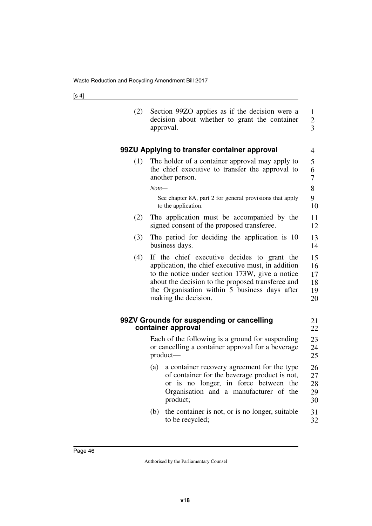| (2) | Section 99ZO applies as if the decision were a<br>decision about whether to grant the container<br>approval.                                                                                                                                                                       | $\mathbf{1}$<br>$\overline{2}$<br>$\overline{3}$ |
|-----|------------------------------------------------------------------------------------------------------------------------------------------------------------------------------------------------------------------------------------------------------------------------------------|--------------------------------------------------|
|     | 99ZU Applying to transfer container approval                                                                                                                                                                                                                                       | 4                                                |
| (1) | The holder of a container approval may apply to<br>the chief executive to transfer the approval to<br>another person.                                                                                                                                                              | 5<br>6<br>7                                      |
|     | Note—                                                                                                                                                                                                                                                                              | 8                                                |
|     | See chapter 8A, part 2 for general provisions that apply<br>to the application.                                                                                                                                                                                                    | 9<br>10                                          |
| (2) | The application must be accompanied by the<br>signed consent of the proposed transferee.                                                                                                                                                                                           | 11<br>12                                         |
| (3) | The period for deciding the application is 10<br>business days.                                                                                                                                                                                                                    | 13<br>14                                         |
| (4) | If the chief executive decides to grant the<br>application, the chief executive must, in addition<br>to the notice under section 173W, give a notice<br>about the decision to the proposed transferee and<br>the Organisation within 5 business days after<br>making the decision. | 15<br>16<br>17<br>18<br>19<br>20                 |
|     | 99ZV Grounds for suspending or cancelling<br>container approval                                                                                                                                                                                                                    | 21<br>22                                         |
|     | Each of the following is a ground for suspending<br>or cancelling a container approval for a beverage<br>product-                                                                                                                                                                  | 23<br>24<br>25                                   |
|     | a container recovery agreement for the type<br>(a)<br>of container for the beverage product is not,<br>or is no longer, in force between the<br>Organisation and a manufacturer of the<br>product;                                                                                 | 26<br>27<br>28<br>29<br>30                       |
|     | (b)<br>the container is not, or is no longer, suitable<br>to be recycled;                                                                                                                                                                                                          | 31<br>32                                         |
|     |                                                                                                                                                                                                                                                                                    |                                                  |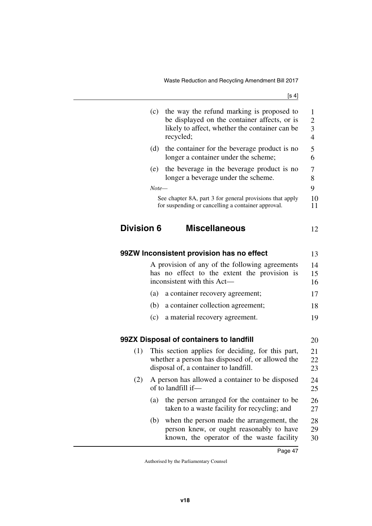|                   | (c)     | the way the refund marking is proposed to<br>be displayed on the container affects, or is<br>likely to affect, whether the container can be<br>recycled; | 1<br>$\overline{c}$<br>$\overline{\mathbf{3}}$<br>$\overline{4}$ |
|-------------------|---------|----------------------------------------------------------------------------------------------------------------------------------------------------------|------------------------------------------------------------------|
|                   | (d)     | the container for the beverage product is no<br>longer a container under the scheme;                                                                     | 5<br>6                                                           |
|                   | (e)     | the beverage in the beverage product is no<br>longer a beverage under the scheme.                                                                        | 7<br>8                                                           |
|                   | $Note-$ |                                                                                                                                                          | 9                                                                |
|                   |         | See chapter 8A, part 3 for general provisions that apply<br>for suspending or cancelling a container approval.                                           | 10<br>11                                                         |
| <b>Division 6</b> |         | <b>Miscellaneous</b>                                                                                                                                     | 12                                                               |
|                   |         | 99ZW Inconsistent provision has no effect                                                                                                                | 13                                                               |
|                   |         | A provision of any of the following agreements<br>has no effect to the extent the provision is<br>inconsistent with this Act-                            | 14<br>15<br>16                                                   |
|                   | (a)     | a container recovery agreement;                                                                                                                          | 17                                                               |
|                   | (b)     | a container collection agreement;                                                                                                                        | 18                                                               |
|                   | (c)     | a material recovery agreement.                                                                                                                           | 19                                                               |
|                   |         | 99ZX Disposal of containers to landfill                                                                                                                  | 20                                                               |
| (1)               |         | This section applies for deciding, for this part,<br>whether a person has disposed of, or allowed the<br>disposal of, a container to landfill.           | 21<br>22<br>23                                                   |
| (2)               |         | A person has allowed a container to be disposed<br>of to landfill if-                                                                                    | 24<br>25                                                         |
|                   | (a)     | the person arranged for the container to be<br>taken to a waste facility for recycling; and                                                              | 26<br>27                                                         |
|                   | (b)     | when the person made the arrangement, the<br>person knew, or ought reasonably to have<br>known, the operator of the waste facility                       | 28<br>29<br>30                                                   |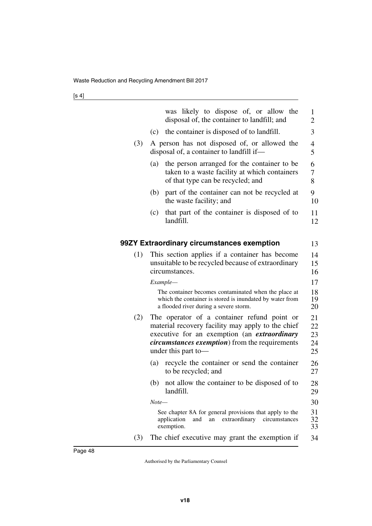|     |         | was likely to dispose of, or allow the<br>disposal of, the container to landfill; and                                                                                                                                                    | $\mathbf{1}$<br>2          |
|-----|---------|------------------------------------------------------------------------------------------------------------------------------------------------------------------------------------------------------------------------------------------|----------------------------|
|     | (c)     | the container is disposed of to landfill.                                                                                                                                                                                                | 3                          |
| (3) |         | A person has not disposed of, or allowed the<br>disposal of, a container to landfill if—                                                                                                                                                 | 4<br>5                     |
|     | (a)     | the person arranged for the container to be<br>taken to a waste facility at which containers<br>of that type can be recycled; and                                                                                                        | 6<br>7<br>8                |
|     | (b)     | part of the container can not be recycled at<br>the waste facility; and                                                                                                                                                                  | 9<br>10                    |
|     | (c)     | that part of the container is disposed of to<br>landfill.                                                                                                                                                                                | 11<br>12                   |
|     |         | 99ZY Extraordinary circumstances exemption                                                                                                                                                                                               | 13                         |
| (1) |         | This section applies if a container has become<br>unsuitable to be recycled because of extraordinary<br>circumstances.                                                                                                                   | 14<br>15<br>16             |
|     |         | Example—                                                                                                                                                                                                                                 | 17                         |
|     |         | The container becomes contaminated when the place at<br>which the container is stored is inundated by water from<br>a flooded river during a severe storm.                                                                               | 18<br>19<br>20             |
| (2) |         | The operator of a container refund point or<br>material recovery facility may apply to the chief<br>executive for an exemption (an <i>extraordinary</i><br><i>circumstances exemption</i> ) from the requirements<br>under this part to- | 21<br>22<br>23<br>24<br>25 |
|     | (a)     | recycle the container or send the container<br>to be recycled; and                                                                                                                                                                       | 26<br>27                   |
|     | (b)     | not allow the container to be disposed of to<br>landfill.                                                                                                                                                                                | 28<br>29                   |
|     | $Note-$ |                                                                                                                                                                                                                                          | 30                         |
|     |         | See chapter 8A for general provisions that apply to the<br>application<br>extraordinary<br>and<br>an<br>circumstances<br>exemption.                                                                                                      | 31<br>32<br>33             |
| (3) |         | The chief executive may grant the exemption if                                                                                                                                                                                           | 34                         |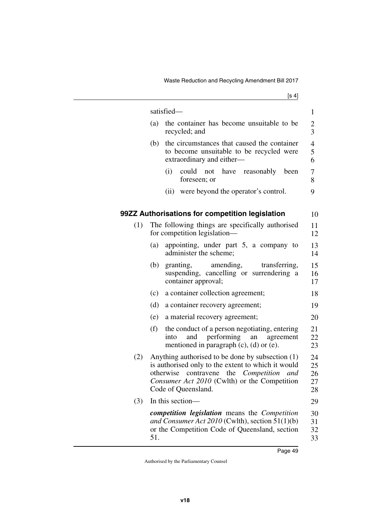|     |     | satisfied-                                                                                                                                                                                                                | $\mathbf{1}$                     |
|-----|-----|---------------------------------------------------------------------------------------------------------------------------------------------------------------------------------------------------------------------------|----------------------------------|
|     | (a) | the container has become unsuitable to be<br>recycled; and                                                                                                                                                                | $\overline{c}$<br>$\overline{3}$ |
|     | (b) | the circumstances that caused the container<br>to become unsuitable to be recycled were<br>extraordinary and either-                                                                                                      | 4<br>5<br>6                      |
|     |     | (i)<br>could not have<br>reasonably<br>been<br>foreseen; or                                                                                                                                                               | 7<br>8                           |
|     |     | (ii) were beyond the operator's control.                                                                                                                                                                                  | 9                                |
|     |     | 99ZZ Authorisations for competition legislation                                                                                                                                                                           | 10                               |
| (1) |     | The following things are specifically authorised<br>for competition legislation—                                                                                                                                          | 11<br>12                         |
|     | (a) | appointing, under part 5, a company to<br>administer the scheme;                                                                                                                                                          | 13<br>14                         |
|     | (b) | amending,<br>granting,<br>transferring,<br>suspending, cancelling or surrendering a<br>container approval;                                                                                                                | 15<br>16<br>17                   |
|     | (c) | a container collection agreement;                                                                                                                                                                                         | 18                               |
|     | (d) | a container recovery agreement;                                                                                                                                                                                           | 19                               |
|     | (e) | a material recovery agreement;                                                                                                                                                                                            | 20                               |
|     | (f) | the conduct of a person negotiating, entering<br>performing<br>and<br>into<br>agreement<br>an<br>mentioned in paragraph $(c)$ , $(d)$ or $(e)$ .                                                                          | 21<br>22<br>23                   |
| (2) |     | Anything authorised to be done by subsection (1)<br>is authorised only to the extent to which it would<br>otherwise contravene the Competition and<br>Consumer Act 2010 (Cwlth) or the Competition<br>Code of Queensland. | 24<br>25<br>26<br>27<br>28       |
| (3) |     | In this section—                                                                                                                                                                                                          | 29                               |
|     | 51. | competition legislation means the Competition<br>and Consumer Act 2010 (Cwlth), section 51(1)(b)<br>or the Competition Code of Queensland, section                                                                        | 30<br>31<br>32<br>33             |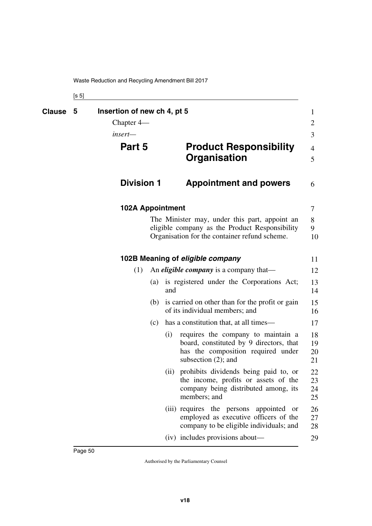| ۰.<br>× | ٦<br>×<br>٧ |
|---------|-------------|
|---------|-------------|

| Clause | Insertion of new ch 4, pt 5<br>5<br>Chapter $4-$<br>insert— |     |      |                                                                                                                                                  | $\mathbf{1}$<br>$\overline{2}$<br>3 |
|--------|-------------------------------------------------------------|-----|------|--------------------------------------------------------------------------------------------------------------------------------------------------|-------------------------------------|
|        | Part 5                                                      |     |      | <b>Product Responsibility</b><br><b>Organisation</b>                                                                                             | $\overline{4}$<br>5                 |
|        | <b>Division 1</b>                                           |     |      | <b>Appointment and powers</b>                                                                                                                    | 6                                   |
|        | <b>102A Appointment</b>                                     |     |      |                                                                                                                                                  | 7                                   |
|        |                                                             |     |      | The Minister may, under this part, appoint an<br>eligible company as the Product Responsibility<br>Organisation for the container refund scheme. | 8<br>9<br>10                        |
|        |                                                             |     |      | 102B Meaning of eligible company                                                                                                                 | 11                                  |
|        | (1)                                                         |     |      | An <i>eligible company</i> is a company that—                                                                                                    | 12                                  |
|        |                                                             | (a) | and  | is registered under the Corporations Act;                                                                                                        | 13<br>14                            |
|        |                                                             | (b) |      | is carried on other than for the profit or gain<br>of its individual members; and                                                                | 15<br>16                            |
|        |                                                             | (c) |      | has a constitution that, at all times—                                                                                                           | 17                                  |
|        |                                                             |     | (i)  | requires the company to maintain a<br>board, constituted by 9 directors, that<br>has the composition required under<br>subsection $(2)$ ; and    | 18<br>19<br>20<br>21                |
|        |                                                             |     | (ii) | prohibits dividends being paid to, or<br>the income, profits or assets of the<br>company being distributed among, its<br>members; and            | 22<br>23<br>24<br>25                |
|        |                                                             |     |      | (iii) requires the persons appointed or<br>employed as executive officers of the<br>company to be eligible individuals; and                      | 26<br>27<br>28                      |
|        |                                                             |     |      | (iv) includes provisions about—                                                                                                                  | 29                                  |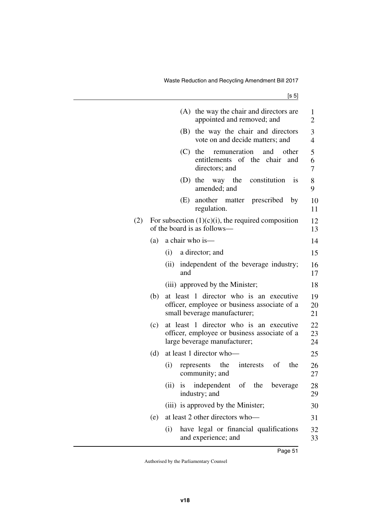|     |     | the way the chair and directors are<br>(A)<br>appointed and removed; and                                                | $\mathbf{1}$<br>$\overline{2}$ |
|-----|-----|-------------------------------------------------------------------------------------------------------------------------|--------------------------------|
|     |     | the way the chair and directors<br>(B)<br>vote on and decide matters; and                                               | 3<br>$\overline{4}$            |
|     |     | remuneration<br>(C)<br>the<br>and<br>other<br>entitlements of the<br>chair<br>and<br>directors; and                     | 5<br>6<br>7                    |
|     |     | (D)<br>the way the constitution<br><i>is</i><br>amended; and                                                            | 8<br>9                         |
|     |     | (E)<br>another matter prescribed<br>by<br>regulation.                                                                   | 10<br>11                       |
| (2) |     | For subsection $(1)(c)(i)$ , the required composition<br>of the board is as follows—                                    | 12<br>13                       |
|     | (a) | a chair who is-                                                                                                         | 14                             |
|     |     | a director; and<br>(i)                                                                                                  | 15                             |
|     |     | independent of the beverage industry;<br>(ii)<br>and                                                                    | 16<br>17                       |
|     |     | (iii) approved by the Minister;                                                                                         | 18                             |
|     | (b) | at least 1 director who is an executive<br>officer, employee or business associate of a<br>small beverage manufacturer; | 19<br>20<br>21                 |
|     | (c) | at least 1 director who is an executive<br>officer, employee or business associate of a<br>large beverage manufacturer; | 22<br>23<br>24                 |
|     | (d) | at least 1 director who-                                                                                                | 25                             |
|     |     | interests<br>of<br>the<br>(i)<br>the<br>represents<br>community; and                                                    | 26<br>27                       |
|     |     | (ii) is independent of the beverage<br>industry; and                                                                    | 28<br>29                       |
|     |     | (iii) is approved by the Minister;                                                                                      | 30                             |
|     | (e) | at least 2 other directors who-                                                                                         | 31                             |
|     |     | have legal or financial qualifications<br>(i)<br>and experience; and                                                    | 32<br>33                       |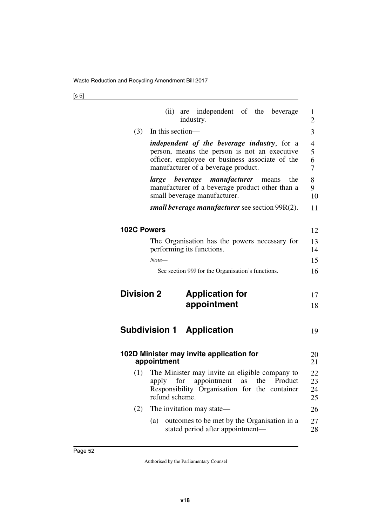|                    | are independent of the beverage<br>(ii)<br>industry.                                                                                                                                         | 1<br>$\overline{2}$  |
|--------------------|----------------------------------------------------------------------------------------------------------------------------------------------------------------------------------------------|----------------------|
| (3)                | In this section-                                                                                                                                                                             | 3                    |
|                    | <i>independent of the beverage industry</i> , for a<br>person, means the person is not an executive<br>officer, employee or business associate of the<br>manufacturer of a beverage product. | 4<br>5<br>6<br>7     |
|                    | <i>large beverage manufacturer</i> means<br>the<br>manufacturer of a beverage product other than a<br>small beverage manufacturer.                                                           | 8<br>9<br>10         |
|                    | <i>small beverage manufacturer see section 99R(2).</i>                                                                                                                                       | 11                   |
| <b>102C Powers</b> |                                                                                                                                                                                              | 12                   |
|                    | The Organisation has the powers necessary for<br>performing its functions.                                                                                                                   | 13<br>14             |
|                    | $Note-$                                                                                                                                                                                      | 15                   |
|                    | See section 99J for the Organisation's functions.                                                                                                                                            | 16                   |
|                    |                                                                                                                                                                                              |                      |
| <b>Division 2</b>  | <b>Application for</b>                                                                                                                                                                       | 17                   |
|                    | appointment                                                                                                                                                                                  | 18                   |
|                    | <b>Subdivision 1 Application</b>                                                                                                                                                             | 19                   |
|                    | 102D Minister may invite application for<br>appointment                                                                                                                                      | 20<br>21             |
| (1)                | The Minister may invite an eligible company to<br>Product<br>apply<br>for<br>appointment<br>the<br>as<br>Responsibility Organisation for the container<br>refund scheme.                     | 22<br>23<br>24<br>25 |
| (2)                | The invitation may state—                                                                                                                                                                    | 26                   |
|                    | outcomes to be met by the Organisation in a<br>(a)<br>stated period after appointment—                                                                                                       |                      |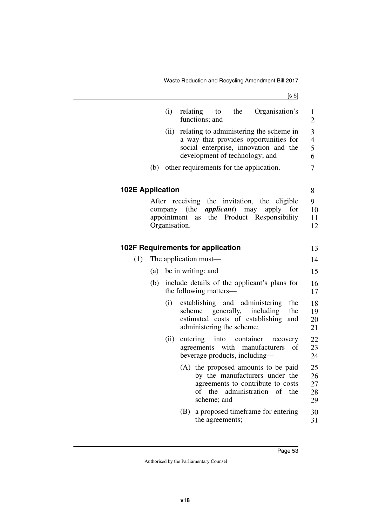Waste Reduction and Recycling Amendment Bill 2017

|                         |       | (i)                          | relating<br>functions; and                                             | to the             |                        | Organisation's                                                                                                                         | $\mathbf{1}$<br>$\overline{2}$ |  |
|-------------------------|-------|------------------------------|------------------------------------------------------------------------|--------------------|------------------------|----------------------------------------------------------------------------------------------------------------------------------------|--------------------------------|--|
|                         |       | (ii)                         | development of technology; and                                         |                    |                        | relating to administering the scheme in<br>a way that provides opportunities for<br>social enterprise, innovation and the              | 3<br>4<br>5<br>6               |  |
|                         | (b)   |                              | other requirements for the application.                                |                    |                        |                                                                                                                                        | 7                              |  |
| <b>102E Application</b> |       |                              |                                                                        |                    |                        |                                                                                                                                        | 8                              |  |
|                         | After | appointment<br>Organisation. | company (the<br>as                                                     |                    | <i>applicant</i> ) may | receiving the invitation, the eligible<br>apply<br>for<br>the Product Responsibility                                                   | 9<br>10<br>11<br>12            |  |
|                         |       |                              | 102F Requirements for application                                      |                    |                        |                                                                                                                                        | 13                             |  |
| (1)                     |       |                              | The application must—                                                  |                    |                        |                                                                                                                                        | 14                             |  |
|                         | (a)   |                              | be in writing; and                                                     |                    |                        |                                                                                                                                        | 15                             |  |
|                         | (b)   |                              | include details of the applicant's plans for<br>the following matters— |                    |                        |                                                                                                                                        |                                |  |
|                         |       | (i)                          | scheme<br>administering the scheme;                                    |                    | generally,             | establishing and administering<br>the<br>including<br>the<br>estimated costs of establishing<br>and                                    | 18<br>19<br>20<br>21           |  |
|                         |       | (ii)                         | entering<br>beverage products, including—                              |                    | into container         | recovery<br>agreements with manufacturers<br>оf                                                                                        | 22<br>23<br>24                 |  |
|                         |       |                              | оf                                                                     | the<br>scheme; and |                        | (A) the proposed amounts to be paid<br>by the manufacturers under the<br>agreements to contribute to costs<br>administration of<br>the | 25<br>26<br>27<br>28<br>29     |  |
|                         |       |                              | (B)                                                                    | the agreements;    |                        | a proposed timeframe for entering                                                                                                      | 30<br>31                       |  |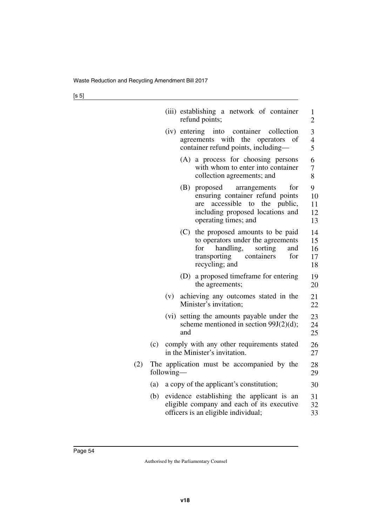|     |     |            |     | (iii) establishing a network of container<br>refund points;                                                                                                         | 1<br>2                     |
|-----|-----|------------|-----|---------------------------------------------------------------------------------------------------------------------------------------------------------------------|----------------------------|
|     |     |            |     | (iv) entering into container<br>collection<br>agreements with the operators<br>οf<br>container refund points, including-                                            | 3<br>4<br>5                |
|     |     |            |     | (A) a process for choosing persons<br>with whom to enter into container<br>collection agreements; and                                                               | 6<br>7<br>8                |
|     |     |            | (B) | proposed<br>for<br>arrangements<br>ensuring container refund points<br>accessible to the public,<br>are<br>including proposed locations and<br>operating times; and | 9<br>10<br>11<br>12<br>13  |
|     |     |            | (C) | the proposed amounts to be paid<br>to operators under the agreements<br>handling,<br>sorting<br>for<br>and<br>containers<br>for<br>transporting<br>recycling; and   | 14<br>15<br>16<br>17<br>18 |
|     |     |            |     | (D) a proposed timeframe for entering<br>the agreements;                                                                                                            | 19<br>20                   |
|     |     | (v)        |     | achieving any outcomes stated in the<br>Minister's invitation;                                                                                                      | 21<br>22                   |
|     |     | (vi)       | and | setting the amounts payable under the<br>scheme mentioned in section $99J(2)(d)$ ;                                                                                  | 23<br>24<br>25             |
|     | (c) |            |     | comply with any other requirements stated<br>in the Minister's invitation.                                                                                          | 26<br>27                   |
| (2) |     | following— |     | The application must be accompanied by the                                                                                                                          | 28<br>29                   |
|     | (a) |            |     | a copy of the applicant's constitution;                                                                                                                             | 30                         |
|     | (b) |            |     | evidence establishing the applicant is an<br>eligible company and each of its executive<br>officers is an eligible individual;                                      | 31<br>32<br>33             |
|     |     |            |     |                                                                                                                                                                     |                            |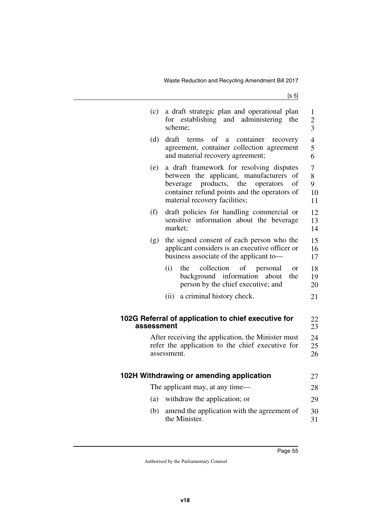| (c)        | a draft strategic plan and operational plan<br>for establishing and administering<br>the<br>scheme;                                                                                                                        | $\mathbf{1}$<br>$\overline{c}$<br>$\overline{3}$ |
|------------|----------------------------------------------------------------------------------------------------------------------------------------------------------------------------------------------------------------------------|--------------------------------------------------|
| (d)        | draft<br>terms<br>of a<br>container<br>recovery<br>agreement, container collection agreement<br>and material recovery agreement;                                                                                           | $\overline{4}$<br>5<br>6                         |
| (e)        | a draft framework for resolving disputes<br>between the applicant, manufacturers<br>of<br>products,<br>the<br>of<br>operators<br>beverage<br>container refund points and the operators of<br>material recovery facilities; | 7<br>8<br>9<br>10<br>11                          |
| (f)        | draft policies for handling commercial or<br>sensitive information about the beverage<br>market;                                                                                                                           | 12<br>13<br>14                                   |
| (g)        | the signed consent of each person who the<br>applicant considers is an executive officer or<br>business associate of the applicant to-                                                                                     | 15<br>16<br>17                                   |
|            | (i)<br>collection<br>of<br>the<br>personal<br><b>or</b><br>background information<br>about<br>the<br>person by the chief executive; and                                                                                    | 18<br>19<br>20                                   |
|            | a criminal history check.<br>(ii)                                                                                                                                                                                          | 21                                               |
| assessment | 102G Referral of application to chief executive for                                                                                                                                                                        | 22<br>23                                         |
|            | After receiving the application, the Minister must<br>refer the application to the chief executive for<br>assessment.                                                                                                      | 24<br>25<br>26                                   |
|            | 102H Withdrawing or amending application                                                                                                                                                                                   | 27                                               |
|            | The applicant may, at any time—                                                                                                                                                                                            | 28                                               |
| (a)        | withdraw the application; or                                                                                                                                                                                               | 29                                               |
| (b)        | amend the application with the agreement of<br>the Minister.                                                                                                                                                               | 30<br>31                                         |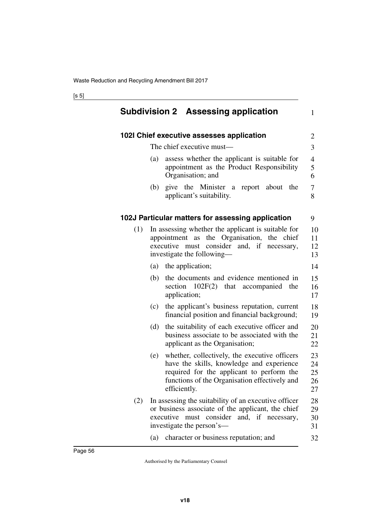|     |                     | <b>Subdivision 2 Assessing application</b>                                                                                                                                               | 1                          |
|-----|---------------------|------------------------------------------------------------------------------------------------------------------------------------------------------------------------------------------|----------------------------|
|     |                     | 102I Chief executive assesses application                                                                                                                                                | 2                          |
|     |                     | The chief executive must—                                                                                                                                                                | 3                          |
|     | (a)                 | assess whether the applicant is suitable for<br>appointment as the Product Responsibility<br>Organisation; and                                                                           | 4<br>5<br>6                |
|     | (b)                 | give the Minister a report about<br>the<br>applicant's suitability.                                                                                                                      | 7<br>8                     |
|     |                     | 102J Particular matters for assessing application                                                                                                                                        | 9                          |
| (1) |                     | In assessing whether the applicant is suitable for<br>appointment as the Organisation, the chief<br>executive must consider and, if necessary,<br>investigate the following—             | 10<br>11<br>12<br>13       |
|     | (a)                 | the application;                                                                                                                                                                         | 14                         |
|     | (b)                 | the documents and evidence mentioned in<br>section 102F(2) that accompanied the<br>application;                                                                                          | 15<br>16<br>17             |
|     | (c)                 | the applicant's business reputation, current<br>financial position and financial background;                                                                                             | 18<br>19                   |
|     | (d)                 | the suitability of each executive officer and<br>business associate to be associated with the<br>applicant as the Organisation;                                                          | 20<br>21<br>22             |
|     | (e)<br>efficiently. | whether, collectively, the executive officers<br>have the skills, knowledge and experience<br>required for the applicant to perform the<br>functions of the Organisation effectively and | 23<br>24<br>25<br>26<br>27 |
| (2) |                     | In assessing the suitability of an executive officer<br>or business associate of the applicant, the chief<br>executive must consider and, if necessary,<br>investigate the person's—     | 28<br>29<br>30<br>31       |
|     | (a)                 | character or business reputation; and                                                                                                                                                    | 32                         |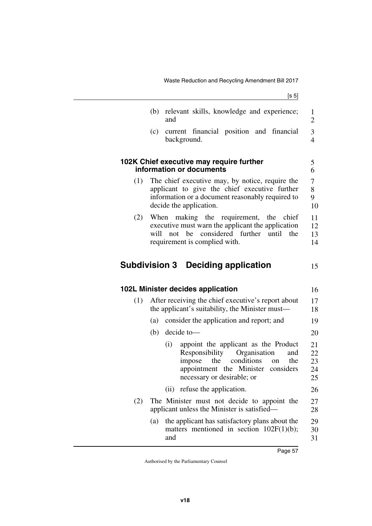|     | (b)  | relevant skills, knowledge and experience;<br>and                                                                                                                                                       | 1<br>$\overline{2}$        |
|-----|------|---------------------------------------------------------------------------------------------------------------------------------------------------------------------------------------------------------|----------------------------|
|     | (c)  | current financial position and financial<br>background.                                                                                                                                                 | 3<br>$\overline{4}$        |
|     |      | 102K Chief executive may require further<br>information or documents                                                                                                                                    | 5<br>6                     |
| (1) |      | The chief executive may, by notice, require the<br>applicant to give the chief executive further<br>information or a document reasonably required to<br>decide the application.                         | 7<br>8<br>9<br>10          |
| (2) | will | When making the requirement, the chief<br>executive must warn the applicant the application<br>considered further<br>not<br>be<br>until<br>the<br>requirement is complied with.                         | 11<br>12<br>13<br>14       |
|     |      | <b>Subdivision 3 Deciding application</b>                                                                                                                                                               | 15                         |
|     |      |                                                                                                                                                                                                         |                            |
|     |      | 102L Minister decides application                                                                                                                                                                       | 16                         |
| (1) |      | After receiving the chief executive's report about<br>the applicant's suitability, the Minister must—                                                                                                   | 17<br>18                   |
|     | (a)  | consider the application and report; and                                                                                                                                                                | 19                         |
|     | (b)  | decide to-                                                                                                                                                                                              | 20                         |
|     |      | appoint the applicant as the Product<br>(i)<br>Responsibility<br>Organisation<br>and<br>conditions<br>impose<br>the<br>the<br>on<br>appointment the Minister<br>considers<br>necessary or desirable; or | 21<br>22<br>23<br>24<br>25 |
|     |      | (ii) refuse the application.                                                                                                                                                                            | 26                         |
| (2) |      | The Minister must not decide to appoint the<br>applicant unless the Minister is satisfied—                                                                                                              | 27<br>28                   |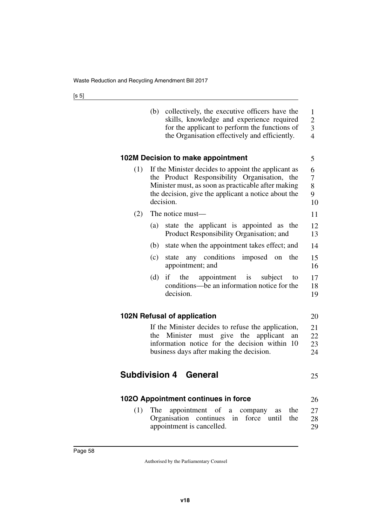|     | (b) | collectively, the executive officers have the<br>skills, knowledge and experience required<br>for the applicant to perform the functions of<br>the Organisation effectively and efficiently.                                  |
|-----|-----|-------------------------------------------------------------------------------------------------------------------------------------------------------------------------------------------------------------------------------|
|     |     | 102M Decision to make appointment                                                                                                                                                                                             |
| (1) |     | If the Minister decides to appoint the applicant as<br>the Product Responsibility Organisation, the<br>Minister must, as soon as practicable after making<br>the decision, give the applicant a notice about the<br>decision. |
| (2) |     | The notice must—                                                                                                                                                                                                              |
|     | (a) | state the applicant is appointed as the<br>Product Responsibility Organisation; and                                                                                                                                           |
|     | (b) | state when the appointment takes effect; and                                                                                                                                                                                  |
|     | (c) | state any conditions imposed on the<br>appointment; and                                                                                                                                                                       |
|     | (d) | if the<br>appointment is subject<br>to<br>conditions—be an information notice for the<br>decision.                                                                                                                            |
|     |     | 102N Refusal of application                                                                                                                                                                                                   |
|     | the | If the Minister decides to refuse the application,<br>Minister must give the applicant<br>an<br>information notice for the decision within 10<br>business days after making the decision.                                     |

## **Subdivision 4 General**

## **102O Appointment continues in force** 26

(1) The appointment of a company as the Organisation continues in force until the appointment is cancelled. 27 28 29

21 22

20

23 24

25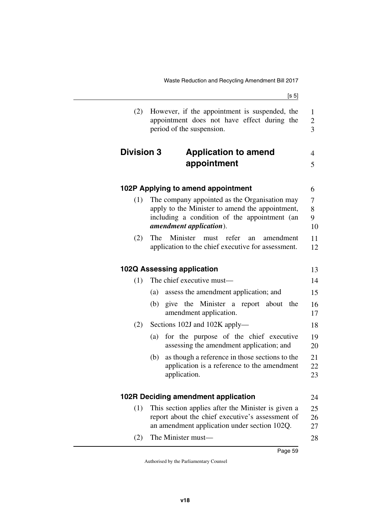| (2)               | However, if the appointment is suspended, the<br>appointment does not have effect during the<br>period of the suspension.                                                           | $\mathbf{1}$<br>$\overline{c}$<br>$\overline{3}$ |
|-------------------|-------------------------------------------------------------------------------------------------------------------------------------------------------------------------------------|--------------------------------------------------|
| <b>Division 3</b> | <b>Application to amend</b><br>appointment                                                                                                                                          | 4<br>5                                           |
|                   | 102P Applying to amend appointment                                                                                                                                                  | 6                                                |
| (1)               | The company appointed as the Organisation may<br>apply to the Minister to amend the appointment,<br>including a condition of the appointment (an<br><i>amendment application</i> ). | 7<br>8<br>9<br>10                                |
| (2)               | Minister must refer<br>The<br>amendment<br>an<br>application to the chief executive for assessment.                                                                                 | 11<br>12                                         |
|                   | 102Q Assessing application                                                                                                                                                          | 13                                               |
| (1)               | The chief executive must—                                                                                                                                                           | 14                                               |
|                   | assess the amendment application; and<br>(a)                                                                                                                                        | 15                                               |
|                   | give the Minister a report about the<br>(b)<br>amendment application.                                                                                                               | 16<br>17                                         |
| (2)               | Sections 102J and 102K apply—                                                                                                                                                       | 18                                               |
|                   | for the purpose of the chief executive<br>(a)<br>assessing the amendment application; and                                                                                           | 19<br>20                                         |
|                   | (b)<br>as though a reference in those sections to the<br>application is a reference to the amendment<br>application.                                                                | 21<br>22<br>23                                   |
|                   | 102R Deciding amendment application                                                                                                                                                 | 24                                               |
| (1)               | This section applies after the Minister is given a<br>report about the chief executive's assessment of<br>an amendment application under section 102Q.                              | 25<br>26<br>27                                   |
| (2)               | The Minister must-                                                                                                                                                                  | 28                                               |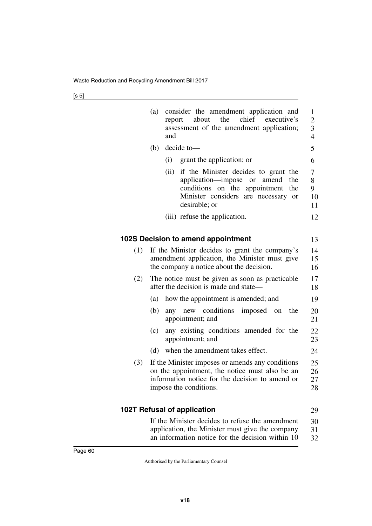|     | (a)<br>consider the amendment application and<br>chief executive's<br>the<br>about<br>report<br>assessment of the amendment application;<br>and                                                    | $\mathbf{1}$<br>$\overline{c}$<br>$\overline{\mathbf{3}}$<br>$\overline{4}$ |
|-----|----------------------------------------------------------------------------------------------------------------------------------------------------------------------------------------------------|-----------------------------------------------------------------------------|
|     | decide to-<br>(b)                                                                                                                                                                                  | 5                                                                           |
|     | (i)<br>grant the application; or                                                                                                                                                                   | 6                                                                           |
|     | (ii)<br>if the Minister decides to grant the<br>application—impose<br>the<br><b>or</b><br>amend<br>conditions on the appointment<br>the<br>Minister considers are necessary<br>or<br>desirable; or | 7<br>8<br>9<br>10<br>11                                                     |
|     | (iii) refuse the application.                                                                                                                                                                      | 12                                                                          |
|     |                                                                                                                                                                                                    |                                                                             |
|     | 102S Decision to amend appointment                                                                                                                                                                 | 13                                                                          |
| (1) | If the Minister decides to grant the company's<br>amendment application, the Minister must give<br>the company a notice about the decision.                                                        | 14<br>15<br>16                                                              |
| (2) | The notice must be given as soon as practicable<br>after the decision is made and state—                                                                                                           | 17<br>18                                                                    |
|     | how the appointment is amended; and<br>(a)                                                                                                                                                         | 19                                                                          |
|     | (b)<br>any new conditions<br>imposed on<br>the<br>appointment; and                                                                                                                                 | 20<br>21                                                                    |
|     | any existing conditions amended for the<br>(c)<br>appointment; and                                                                                                                                 | 22<br>23                                                                    |
|     | when the amendment takes effect.<br>(d)                                                                                                                                                            | 24                                                                          |
| (3) | If the Minister imposes or amends any conditions<br>on the appointment, the notice must also be an<br>information notice for the decision to amend or<br>impose the conditions.                    | 25<br>26<br>27<br>28                                                        |
|     | <b>102T Refusal of application</b>                                                                                                                                                                 | 29                                                                          |
|     | If the Minister decides to refuse the amendment<br>application, the Minister must give the company<br>an information notice for the decision within 10                                             | 30<br>31<br>32                                                              |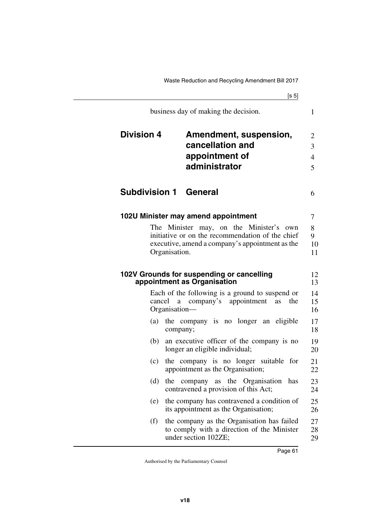[s 5] Waste Reduction and Recycling Amendment Bill 2017 business day of making the decision. **Division 4 Amendment, suspension, cancellation and appointment of administrator Subdivision 1 General 102U Minister may amend appointment** The Minister may, on the Minister's own initiative or on the recommendation of the chief executive, amend a company's appointment as the Organisation. **appointment as Organisation**

1

6

**102V Grounds for suspending or cancelling**  Each of the following is a ground to suspend or cancel a company's appointment as the Organisation— (a) the company is no longer an eligible company; (b) an executive officer of the company is no longer an eligible individual; (c) the company is no longer suitable for appointment as the Organisation; (d) the company as the Organisation has contravened a provision of this Act; (e) the company has contravened a condition of its appointment as the Organisation; (f) the company as the Organisation has failed to comply with a direction of the Minister under section 102ZE;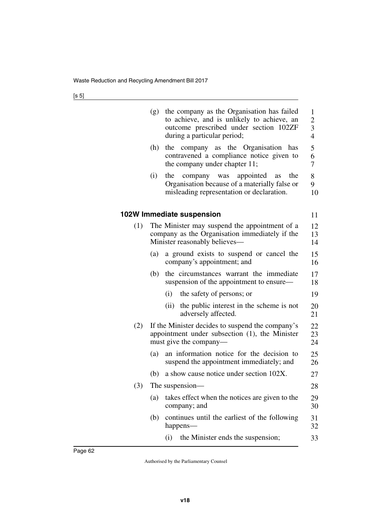|     | (g) | the company as the Organisation has failed<br>to achieve, and is unlikely to achieve, an<br>outcome prescribed under section 102ZF<br>during a particular period; | $\mathbf{1}$<br>$\begin{array}{c} 2 \\ 3 \\ 4 \end{array}$ |
|-----|-----|-------------------------------------------------------------------------------------------------------------------------------------------------------------------|------------------------------------------------------------|
|     | (h) | the company as the Organisation<br>has<br>contravened a compliance notice given to<br>the company under chapter 11;                                               | 5<br>6<br>$\overline{7}$                                   |
|     | (i) | the<br>appointed<br>the<br>company was<br>as<br>Organisation because of a materially false or<br>misleading representation or declaration.                        | 8<br>9<br>10                                               |
|     |     | 102W Immediate suspension                                                                                                                                         | 11                                                         |
| (1) |     | The Minister may suspend the appointment of a<br>company as the Organisation immediately if the<br>Minister reasonably believes-                                  | 12<br>13<br>14                                             |
|     | (a) | a ground exists to suspend or cancel the<br>company's appointment; and                                                                                            | 15<br>16                                                   |
|     | (b) | the circumstances warrant the immediate<br>suspension of the appointment to ensure—                                                                               | 17<br>18                                                   |
|     |     | the safety of persons; or<br>(i)                                                                                                                                  | 19                                                         |
|     |     | (ii)<br>the public interest in the scheme is not<br>adversely affected.                                                                                           | 20<br>21                                                   |
| (2) |     | If the Minister decides to suspend the company's<br>appointment under subsection (1), the Minister<br>must give the company—                                      | 22<br>23<br>24                                             |
|     | (a) | an information notice for the decision to<br>suspend the appointment immediately; and                                                                             | 25<br>26                                                   |
|     | (b) | a show cause notice under section 102X.                                                                                                                           | 27                                                         |
| (3) |     | The suspension-                                                                                                                                                   | 28                                                         |
|     | (a) | takes effect when the notices are given to the<br>company; and                                                                                                    | 29<br>30                                                   |
|     | (b) | continues until the earliest of the following<br>happens—                                                                                                         | 31<br>32                                                   |
|     |     | the Minister ends the suspension;<br>(i)                                                                                                                          | 33                                                         |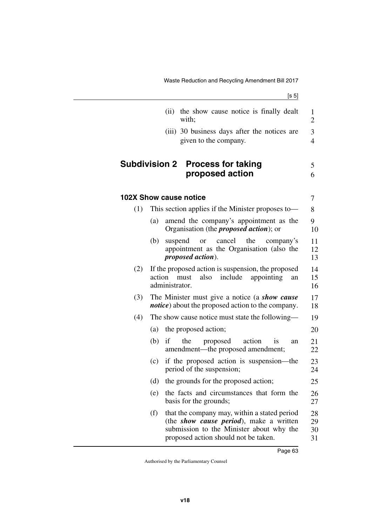|     |        | (ii)           | the show cause notice is finally dealt<br>with;                                                                                                                                     | 1<br>$\overline{2}$  |
|-----|--------|----------------|-------------------------------------------------------------------------------------------------------------------------------------------------------------------------------------|----------------------|
|     |        |                | (iii) 30 business days after the notices are<br>given to the company.                                                                                                               | 3<br>$\overline{4}$  |
|     |        |                | <b>Subdivision 2 Process for taking</b><br>proposed action                                                                                                                          | 5<br>6               |
|     |        |                | <b>102X Show cause notice</b>                                                                                                                                                       | 7                    |
| (1) |        |                | This section applies if the Minister proposes to—                                                                                                                                   | 8                    |
|     | (a)    |                | amend the company's appointment as the<br>Organisation (the <i>proposed action</i> ); or                                                                                            | 9<br>10              |
|     | (b)    | suspend        | cancel the<br>company's<br><b>or</b><br>appointment as the Organisation (also the<br><i>proposed action</i> ).                                                                      | 11<br>12<br>13       |
| (2) | action | administrator. | If the proposed action is suspension, the proposed<br>include<br>also<br>appointing<br>must<br>an                                                                                   | 14<br>15<br>16       |
| (3) |        |                | The Minister must give a notice (a show cause<br><i>notice</i> ) about the proposed action to the company.                                                                          | 17<br>18             |
| (4) |        |                | The show cause notice must state the following—                                                                                                                                     | 19                   |
|     | (a)    |                | the proposed action;                                                                                                                                                                | 20                   |
|     | (b)    | if             | the<br>action<br>proposed<br><i>is</i><br>an<br>amendment—the proposed amendment;                                                                                                   | 21<br>22             |
|     | (c)    |                | if the proposed action is suspension—the<br>period of the suspension;                                                                                                               | 23<br>24             |
|     | (d)    |                | the grounds for the proposed action;                                                                                                                                                | 25                   |
|     | (e)    |                | the facts and circumstances that form the<br>basis for the grounds;                                                                                                                 | 26<br>27             |
|     | (f)    |                | that the company may, within a stated period<br>(the <i>show cause period</i> ), make a written<br>submission to the Minister about why the<br>proposed action should not be taken. | 28<br>29<br>30<br>31 |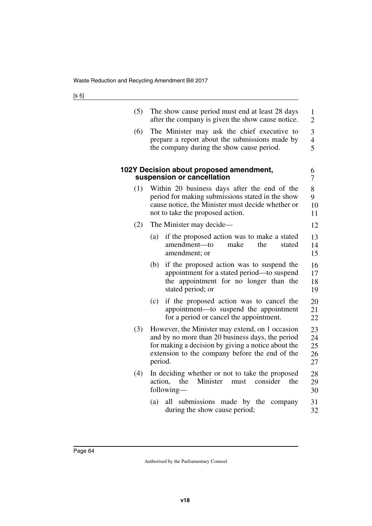| (5) | The show cause period must end at least 28 days<br>after the company is given the show cause notice.                                                                                                                   | $\mathbf{1}$<br>$\overline{2}$     |
|-----|------------------------------------------------------------------------------------------------------------------------------------------------------------------------------------------------------------------------|------------------------------------|
| (6) | The Minister may ask the chief executive to<br>prepare a report about the submissions made by<br>the company during the show cause period.                                                                             | 3<br>$\overline{\mathcal{A}}$<br>5 |
|     | 102Y Decision about proposed amendment,<br>suspension or cancellation                                                                                                                                                  | 6<br>7                             |
| (1) | Within 20 business days after the end of the<br>period for making submissions stated in the show<br>cause notice, the Minister must decide whether or<br>not to take the proposed action.                              | 8<br>9<br>10<br>11                 |
| (2) | The Minister may decide—                                                                                                                                                                                               | 12                                 |
|     | if the proposed action was to make a stated<br>(a)<br>amendment-to<br>make<br>the<br>stated<br>amendment; or                                                                                                           | 13<br>14<br>15                     |
|     | (b)<br>if the proposed action was to suspend the<br>appointment for a stated period—to suspend<br>the appointment for no longer than the<br>stated period; or                                                          | 16<br>17<br>18<br>19               |
|     | if the proposed action was to cancel the<br>(c)<br>appointment-to suspend the appointment<br>for a period or cancel the appointment.                                                                                   | 20<br>21<br>22                     |
| (3) | However, the Minister may extend, on 1 occasion<br>and by no more than 20 business days, the period<br>for making a decision by giving a notice about the<br>extension to the company before the end of the<br>period. | 23<br>24<br>25<br>26<br>27         |
| (4) | In deciding whether or not to take the proposed<br>Minister<br>action,<br>the<br>the<br>must<br>consider<br>following-                                                                                                 | 28<br>29<br>30                     |
|     | (a)<br>all submissions made by the<br>company<br>during the show cause period;                                                                                                                                         | 31<br>32                           |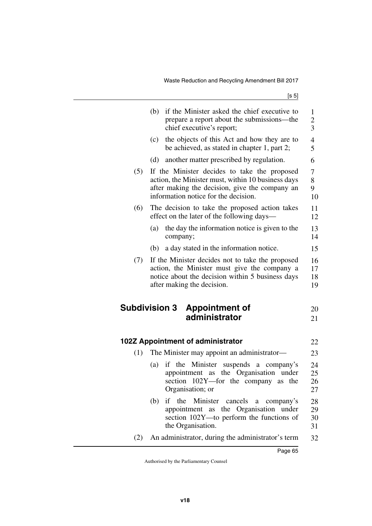|     | (b)                  | if the Minister asked the chief executive to<br>prepare a report about the submissions—the<br>chief executive's report;                                                                      | 1<br>$\overline{c}$<br>$\overline{3}$ |
|-----|----------------------|----------------------------------------------------------------------------------------------------------------------------------------------------------------------------------------------|---------------------------------------|
|     | (c)                  | the objects of this Act and how they are to<br>be achieved, as stated in chapter 1, part 2;                                                                                                  | $\overline{4}$<br>5                   |
|     | (d)                  | another matter prescribed by regulation.                                                                                                                                                     | 6                                     |
| (5) |                      | If the Minister decides to take the proposed<br>action, the Minister must, within 10 business days<br>after making the decision, give the company an<br>information notice for the decision. | 7<br>8<br>9<br>10                     |
| (6) |                      | The decision to take the proposed action takes<br>effect on the later of the following days—                                                                                                 | 11<br>12                              |
|     | (a)                  | the day the information notice is given to the<br>company;                                                                                                                                   | 13<br>14                              |
|     | (b)                  | a day stated in the information notice.                                                                                                                                                      | 15                                    |
| (7) |                      | If the Minister decides not to take the proposed<br>action, the Minister must give the company a<br>notice about the decision within 5 business days<br>after making the decision.           | 16<br>17<br>18<br>19                  |
|     | <b>Subdivision 3</b> | <b>Appointment of</b><br>administrator                                                                                                                                                       | 20<br>21                              |
|     |                      | 102Z Appointment of administrator                                                                                                                                                            | 22                                    |
| (1) |                      | The Minister may appoint an administrator—                                                                                                                                                   | 23                                    |
|     | (a)                  | if the Minister suspends a company's<br>appointment as the Organisation under<br>section 102Y-for the company as the<br>Organisation; or                                                     | 24<br>25<br>26<br>27                  |
|     | (b)                  | the<br>Minister cancels<br>if<br>a<br>company's<br>appointment as the Organisation under<br>section 102Y-to perform the functions of<br>the Organisation.                                    | 28<br>29<br>30<br>31                  |
| (2) |                      | An administrator, during the administrator's term                                                                                                                                            | 32                                    |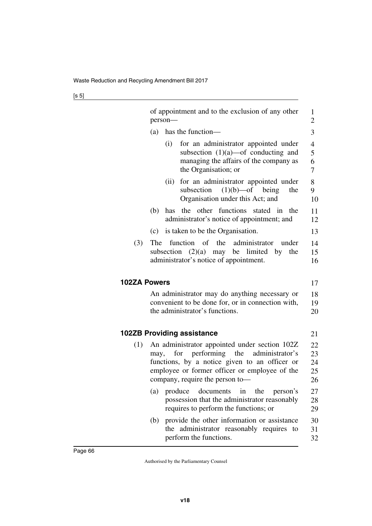|                     | of appointment and to the exclusion of any other<br>person-                                                                                             | 1<br>$\overline{2}$           |
|---------------------|---------------------------------------------------------------------------------------------------------------------------------------------------------|-------------------------------|
|                     | has the function-<br>(a)                                                                                                                                | 3                             |
|                     | for an administrator appointed under<br>(i)<br>subsection $(1)(a)$ —of conducting and<br>managing the affairs of the company as<br>the Organisation; or | $\overline{4}$<br>5<br>6<br>7 |
|                     | for an administrator appointed under<br>(ii)<br>subsection<br>$(1)(b)$ —of<br>being<br>the<br>Organisation under this Act; and                          | 8<br>9<br>10                  |
|                     | the other functions stated in the<br>(b)<br>has<br>administrator's notice of appointment; and                                                           | 11<br>12                      |
|                     | is taken to be the Organisation.<br>(c)                                                                                                                 | 13                            |
| (3)                 | function of the<br>administrator<br>The<br>under<br>subsection $(2)(a)$ may be limited by the<br>administrator's notice of appointment.                 | 14<br>15<br>16                |
| <b>102ZA Powers</b> |                                                                                                                                                         | 17                            |
|                     | An administrator may do anything necessary or<br>convenient to be done for, or in connection with,<br>the administrator's functions.                    | 18<br>19<br>20                |
|                     | <b>102ZB Providing assistance</b>                                                                                                                       | 21                            |
| (1)                 | An administrator appointed under section 102Z                                                                                                           | 22                            |
|                     | for performing the<br>administrator's<br>may,                                                                                                           | 23                            |
|                     | functions, by a notice given to an officer or<br>employee or former officer or employee of the                                                          | 24<br>25                      |
|                     | company, require the person to-                                                                                                                         | 26                            |
|                     | documents<br>the<br>(a)<br>produce<br>in<br>person's<br>possession that the administrator reasonably<br>requires to perform the functions; or           | 27<br>28<br>29                |
|                     | provide the other information or assistance<br>(b)<br>the administrator reasonably requires to<br>perform the functions.                                | 30<br>31<br>32                |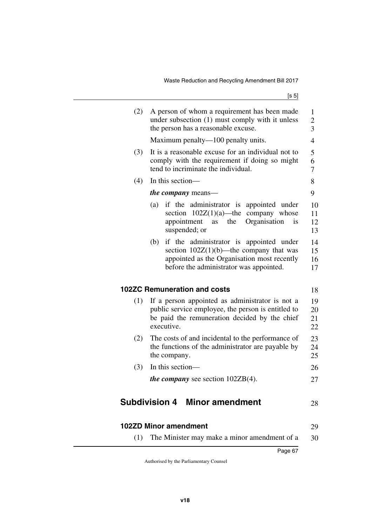| (2) | A person of whom a requirement has been made<br>under subsection (1) must comply with it unless<br>the person has a reasonable excuse.                                                 | $\mathbf{1}$<br>$\overline{c}$<br>3 |
|-----|----------------------------------------------------------------------------------------------------------------------------------------------------------------------------------------|-------------------------------------|
|     | Maximum penalty—100 penalty units.                                                                                                                                                     | $\overline{4}$                      |
| (3) | It is a reasonable excuse for an individual not to<br>comply with the requirement if doing so might<br>tend to incriminate the individual.                                             | 5<br>6<br>7                         |
| (4) | In this section-                                                                                                                                                                       | 8                                   |
|     | <i>the company</i> means—                                                                                                                                                              | 9                                   |
|     | if the administrator is appointed under<br>(a)<br>section $102Z(1)(a)$ —the<br>company whose<br>Organisation<br>appointment<br>the<br>is<br>as<br>suspended; or                        | 10<br>11<br>12<br>13                |
|     | if the administrator is appointed under<br>(b)<br>section $102Z(1)(b)$ —the company that was<br>appointed as the Organisation most recently<br>before the administrator was appointed. | 14<br>15<br>16<br>17                |
|     | <b>102ZC Remuneration and costs</b>                                                                                                                                                    | 18                                  |
| (1) | If a person appointed as administrator is not a<br>public service employee, the person is entitled to<br>be paid the remuneration decided by the chief<br>executive.                   | 19<br>20<br>21<br>22                |
| (2) | The costs of and incidental to the performance of<br>the functions of the administrator are payable by<br>the company.                                                                 | 23<br>24<br>25                      |
| (3) | In this section-                                                                                                                                                                       | 26                                  |
|     | <i>the company</i> see section $102ZB(4)$ .                                                                                                                                            | 27                                  |
|     | <b>Subdivision 4</b><br><b>Minor amendment</b>                                                                                                                                         | 28                                  |
|     | <b>102ZD Minor amendment</b>                                                                                                                                                           | 29                                  |

(1) The Minister may make a minor amendment of a 30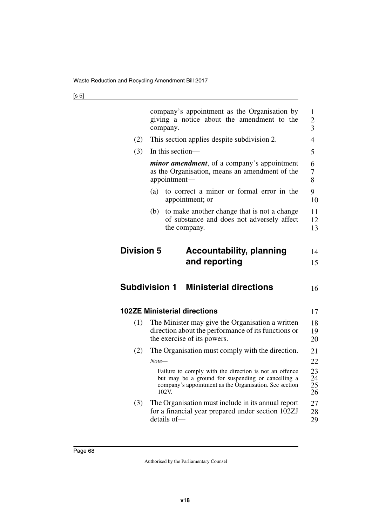| ×<br>۰.<br>I<br>×<br>٦<br>v<br>. . |
|------------------------------------|
|------------------------------------|

| company's appointment as the Organisation by<br>giving a notice about the amendment to the<br>company.                                                                          | 1<br>2<br>3                                                                      |
|---------------------------------------------------------------------------------------------------------------------------------------------------------------------------------|----------------------------------------------------------------------------------|
| This section applies despite subdivision 2.                                                                                                                                     | 4                                                                                |
| In this section-                                                                                                                                                                | 5                                                                                |
| <i>minor amendment</i> , of a company's appointment<br>as the Organisation, means an amendment of the<br>appointment—                                                           | 6<br>7<br>8                                                                      |
| to correct a minor or formal error in the<br>(a)<br>appointment; or                                                                                                             | 9<br>10                                                                          |
| (b)<br>to make another change that is not a change<br>of substance and does not adversely affect<br>the company.                                                                | 11<br>12<br>13                                                                   |
| <b>Accountability, planning</b><br>and reporting                                                                                                                                | 14<br>15                                                                         |
| <b>Ministerial directions</b>                                                                                                                                                   | 16                                                                               |
|                                                                                                                                                                                 | 17                                                                               |
| The Minister may give the Organisation a written<br>direction about the performance of its functions or                                                                         | 18                                                                               |
| the exercise of its powers.                                                                                                                                                     | 19<br>20                                                                         |
| The Organisation must comply with the direction.                                                                                                                                | 21                                                                               |
| $Note-$                                                                                                                                                                         | 22                                                                               |
| Failure to comply with the direction is not an offence<br>but may be a ground for suspending or cancelling a<br>company's appointment as the Organisation. See section<br>102V. | 23<br>24<br>25<br>26                                                             |
|                                                                                                                                                                                 | <b>Division 5</b><br><b>Subdivision 1</b><br><b>102ZE Ministerial directions</b> |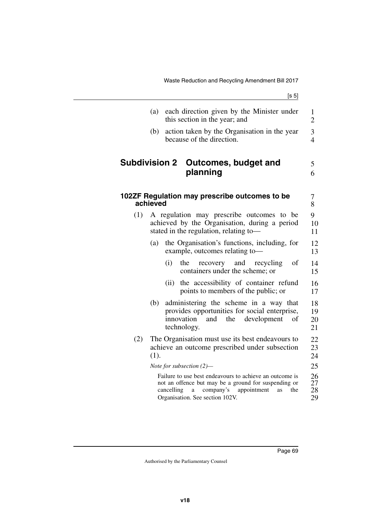|                      | (a)      | each direction given by the Minister under<br>this section in the year; and                                                                                                                                    | $\mathbf{1}$<br>$\overline{2}$ |
|----------------------|----------|----------------------------------------------------------------------------------------------------------------------------------------------------------------------------------------------------------------|--------------------------------|
|                      | (b)      | action taken by the Organisation in the year<br>because of the direction.                                                                                                                                      | 3<br>$\overline{4}$            |
| <b>Subdivision 2</b> |          | Outcomes, budget and<br>planning                                                                                                                                                                               | 5<br>6                         |
|                      | achieved | 102ZF Regulation may prescribe outcomes to be                                                                                                                                                                  | 7<br>8                         |
| (1)                  |          | A regulation may prescribe outcomes to be<br>achieved by the Organisation, during a period<br>stated in the regulation, relating to-                                                                           | 9<br>10<br>11                  |
|                      | (a)      | the Organisation's functions, including, for<br>example, outcomes relating to-                                                                                                                                 | 12<br>13                       |
|                      |          | (i)<br>the<br>recovery and recycling<br>οf<br>containers under the scheme; or                                                                                                                                  | 14<br>15                       |
|                      |          | the accessibility of container refund<br>(ii)<br>points to members of the public; or                                                                                                                           | 16<br>17                       |
|                      | (b)      | administering the scheme in a way that<br>provides opportunities for social enterprise,<br>innovation<br>the<br>and<br>development<br>of<br>technology.                                                        | 18<br>19<br>20<br>21           |
| (2)                  | (1).     | The Organisation must use its best endeavours to<br>achieve an outcome prescribed under subsection                                                                                                             | 22<br>23<br>24                 |
|                      |          | Note for subsection $(2)$ —                                                                                                                                                                                    | 25                             |
|                      |          | Failure to use best endeavours to achieve an outcome is<br>not an offence but may be a ground for suspending or<br>company's<br>cancelling<br>appointment<br>the<br>a<br>as<br>Organisation. See section 102V. | 26<br>27<br>28<br>29           |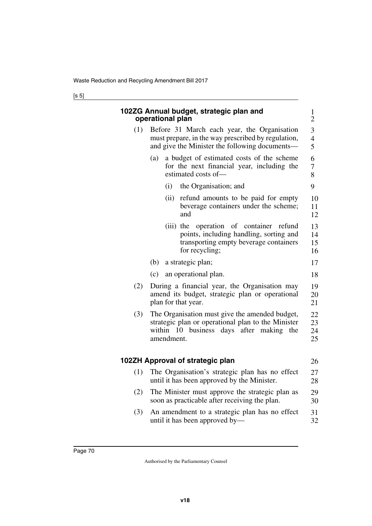|     | 102ZG Annual budget, strategic plan and<br>operational plan                                                                                                                      | $\mathbf{1}$<br>$\overline{2}$ |  |  |
|-----|----------------------------------------------------------------------------------------------------------------------------------------------------------------------------------|--------------------------------|--|--|
| (1) | Before 31 March each year, the Organisation<br>must prepare, in the way prescribed by regulation,<br>and give the Minister the following documents—                              |                                |  |  |
|     | a budget of estimated costs of the scheme<br>(a)<br>for the next financial year, including the<br>estimated costs of-                                                            | 6<br>7<br>8                    |  |  |
|     | the Organisation; and<br>(i)                                                                                                                                                     | 9                              |  |  |
|     | (ii)<br>refund amounts to be paid for empty<br>beverage containers under the scheme;<br>and                                                                                      | 10<br>11<br>12                 |  |  |
|     | $(iii)$ the<br>operation of container<br>refund<br>points, including handling, sorting and<br>transporting empty beverage containers<br>for recycling;                           | 13<br>14<br>15<br>16           |  |  |
|     | (b)<br>a strategic plan;                                                                                                                                                         | 17                             |  |  |
|     | (c)<br>an operational plan.                                                                                                                                                      | 18                             |  |  |
| (2) | During a financial year, the Organisation may<br>amend its budget, strategic plan or operational<br>plan for that year.                                                          |                                |  |  |
| (3) | The Organisation must give the amended budget,<br>strategic plan or operational plan to the Minister<br>within<br>business<br>days<br>after<br>making<br>the<br>10<br>amendment. |                                |  |  |
|     | 102ZH Approval of strategic plan                                                                                                                                                 | 26                             |  |  |
| (1) | The Organisation's strategic plan has no effect<br>until it has been approved by the Minister.                                                                                   | 27<br>28                       |  |  |
| (2) | The Minister must approve the strategic plan as<br>soon as practicable after receiving the plan.                                                                                 |                                |  |  |
| (3) | An amendment to a strategic plan has no effect<br>31<br>until it has been approved by—<br>32                                                                                     |                                |  |  |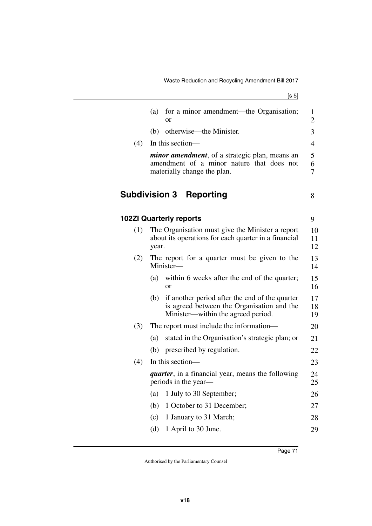[s 5]

|     | for a minor amendment—the Organisation;<br>(a)                                                                                            | 1              |
|-----|-------------------------------------------------------------------------------------------------------------------------------------------|----------------|
|     | or                                                                                                                                        | $\overline{2}$ |
|     | otherwise—the Minister.<br>(b)                                                                                                            | 3              |
| (4) | In this section-                                                                                                                          | $\overline{4}$ |
|     | <i>minor amendment</i> , of a strategic plan, means an                                                                                    | 5              |
|     | amendment of a minor nature that does not<br>materially change the plan.                                                                  | 6<br>7         |
|     | <b>Subdivision 3</b><br><b>Reporting</b>                                                                                                  | 8              |
|     | <b>102ZI Quarterly reports</b>                                                                                                            | 9              |
| (1) | The Organisation must give the Minister a report                                                                                          | 10             |
|     | about its operations for each quarter in a financial<br>year.                                                                             | 11<br>12       |
| (2) | The report for a quarter must be given to the<br>Minister-                                                                                | 13<br>14       |
|     | within 6 weeks after the end of the quarter;<br>(a)<br><sub>or</sub>                                                                      | 15<br>16       |
|     | if another period after the end of the quarter<br>(b)<br>is agreed between the Organisation and the<br>Minister—within the agreed period. | 17<br>18<br>19 |
| (3) | The report must include the information—                                                                                                  | 20             |
|     | stated in the Organisation's strategic plan; or<br>(a)                                                                                    | 21             |
|     | (b)<br>prescribed by regulation.                                                                                                          | 22             |
| (4) | In this section-                                                                                                                          | 23             |
|     | <i>quarter</i> , in a financial year, means the following<br>periods in the year—                                                         | 24<br>25       |
|     | 1 July to 30 September;<br>(a)                                                                                                            | 26             |
|     | 1 October to 31 December;<br>(b)                                                                                                          | 27             |
|     | (c)<br>1 January to 31 March;                                                                                                             | 28             |
|     | (d)<br>1 April to 30 June.                                                                                                                | 29             |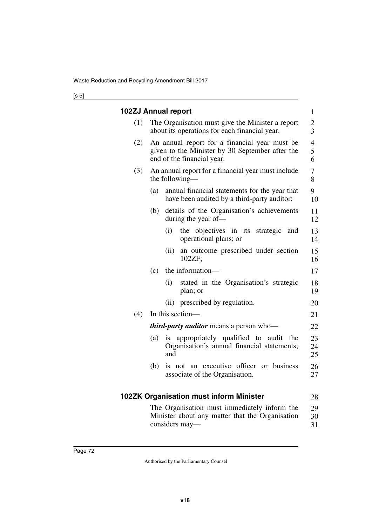## [s 5]

|     | 102ZJ Annual report                                                                                                            | $\mathbf{1}$                       |
|-----|--------------------------------------------------------------------------------------------------------------------------------|------------------------------------|
| (1) | The Organisation must give the Minister a report<br>about its operations for each financial year.                              | $\overline{c}$<br>3                |
| (2) | An annual report for a financial year must be<br>given to the Minister by 30 September after the<br>end of the financial year. | $\overline{\mathcal{A}}$<br>5<br>6 |
| (3) | An annual report for a financial year must include<br>the following—                                                           | 7<br>8                             |
|     | annual financial statements for the year that<br>(a)<br>have been audited by a third-party auditor;                            | 9<br>10                            |
|     | details of the Organisation's achievements<br>(b)<br>during the year of-                                                       | 11<br>12                           |
|     | (i)<br>the objectives in its strategic and<br>operational plans; or                                                            | 13<br>14                           |
|     | an outcome prescribed under section<br>(ii)<br>102ZF                                                                           | 15<br>16                           |
|     | the information-<br>(c)                                                                                                        | 17                                 |
|     | stated in the Organisation's strategic<br>(i)<br>plan; or                                                                      | 18<br>19                           |
|     | prescribed by regulation.<br>(ii)                                                                                              | 20                                 |
| (4) | In this section-                                                                                                               | 21                                 |
|     | <i>third-party auditor</i> means a person who-                                                                                 | 22                                 |
|     | appropriately qualified to audit the<br>(a)<br>1S<br>Organisation's annual financial statements;<br>and                        | 23<br>24<br>25                     |
|     | not an executive officer or business<br>(b)<br>is<br>associate of the Organisation.                                            | 26<br>27                           |
|     | <b>102ZK Organisation must inform Minister</b>                                                                                 | 28                                 |
|     | The Organisation must immediately inform the<br>Minister about any matter that the Organisation<br>considers may—              | 29<br>30<br>31                     |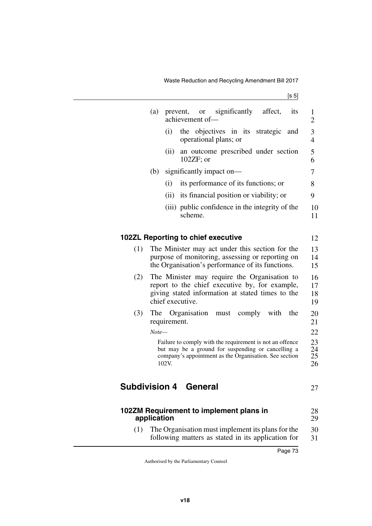|                                         | (a)         |              | prevent,<br>achievement of-                                                                                                                                              | or or | significantly affect, |  |      | its | 1<br>$\overline{2}$  |
|-----------------------------------------|-------------|--------------|--------------------------------------------------------------------------------------------------------------------------------------------------------------------------|-------|-----------------------|--|------|-----|----------------------|
|                                         |             | (i)          | the objectives in its strategic and<br>operational plans; or                                                                                                             |       |                       |  |      |     | 3<br>$\overline{4}$  |
|                                         |             | (ii)         | an outcome prescribed under section<br>$102ZF$ ; or                                                                                                                      |       |                       |  |      |     | 5<br>6               |
|                                         | (b)         |              | significantly impact on-                                                                                                                                                 |       |                       |  |      |     | $\overline{7}$       |
|                                         |             | (i)          | its performance of its functions; or                                                                                                                                     |       |                       |  |      |     | 8                    |
|                                         |             | (ii)         | its financial position or viability; or                                                                                                                                  |       |                       |  |      |     | 9                    |
|                                         |             |              | (iii) public confidence in the integrity of the<br>scheme.                                                                                                               |       |                       |  |      |     | 10<br>11             |
| 102ZL Reporting to chief executive      |             |              |                                                                                                                                                                          |       |                       |  |      |     | 12                   |
| (1)                                     |             |              | The Minister may act under this section for the<br>purpose of monitoring, assessing or reporting on<br>the Organisation's performance of its functions.                  |       |                       |  |      |     | 13<br>14<br>15       |
| (2)                                     |             |              | The Minister may require the Organisation to<br>report to the chief executive by, for example,<br>giving stated information at stated times to the<br>chief executive.   |       |                       |  |      |     | 16<br>17<br>18<br>19 |
| (3)                                     | The         | requirement. | Organisation must comply                                                                                                                                                 |       |                       |  | with | the | 20<br>21             |
|                                         | $Note-$     |              |                                                                                                                                                                          |       |                       |  |      |     | 22                   |
|                                         |             | 102V.        | Failure to comply with the requirement is not an offence<br>but may be a ground for suspending or cancelling a<br>company's appointment as the Organisation. See section |       |                       |  |      |     | 23<br>24<br>25<br>26 |
| <b>Subdivision 4 General</b>            |             |              |                                                                                                                                                                          |       |                       |  |      |     | 27                   |
| 102ZM Requirement to implement plans in | application |              |                                                                                                                                                                          |       |                       |  |      |     | 28<br>29             |
|                                         |             |              | $(1)$ The Organization must implement its plans for the                                                                                                                  |       |                       |  |      |     | $\Omega$             |

(1) The Organisation must implement its plans for the following matters as stated in its application for 30 31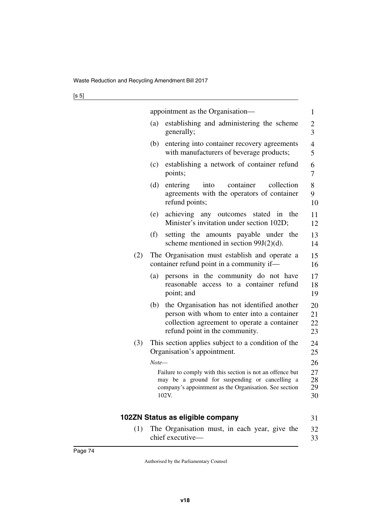|     | appointment as the Organisation—                                                                                                                                                  | 1                    |
|-----|-----------------------------------------------------------------------------------------------------------------------------------------------------------------------------------|----------------------|
|     | establishing and administering the scheme<br>(a)<br>generally;                                                                                                                    | 2<br>3               |
|     | entering into container recovery agreements<br>(b)<br>with manufacturers of beverage products;                                                                                    | $\overline{4}$<br>5  |
|     | establishing a network of container refund<br>(c)<br>points;                                                                                                                      | 6<br>7               |
|     | (d)<br>entering<br>container<br>collection<br>into<br>agreements with the operators of container<br>refund points;                                                                | 8<br>9<br>10         |
|     | achieving any outcomes stated in the<br>(e)<br>Minister's invitation under section 102D;                                                                                          | 11<br>12             |
|     | (f)<br>setting the amounts payable under the<br>scheme mentioned in section $99J(2)(d)$ .                                                                                         | 13<br>14             |
| (2) | The Organisation must establish and operate a<br>container refund point in a community if-                                                                                        | 15<br>16             |
|     | persons in the community do not have<br>(a)<br>reasonable access to a container refund<br>point; and                                                                              | 17<br>18<br>19       |
|     | the Organisation has not identified another<br>(b)<br>person with whom to enter into a container<br>collection agreement to operate a container<br>refund point in the community. | 20<br>21<br>22<br>23 |
| (3) | This section applies subject to a condition of the<br>Organisation's appointment.                                                                                                 | 24<br>25             |
|     | $Note-$                                                                                                                                                                           | 26                   |
|     | Failure to comply with this section is not an offence but<br>may be a ground for suspending or cancelling a<br>company's appointment as the Organisation. See section<br>102V.    | 27<br>28<br>29<br>30 |
|     | 102ZN Status as eligible company                                                                                                                                                  |                      |
|     |                                                                                                                                                                                   | 31                   |
| (1) | The Organisation must, in each year, give the<br>chief executive-                                                                                                                 | 32<br>33             |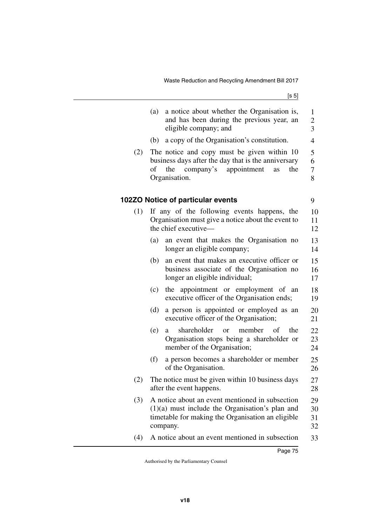[s 5]

|     | a notice about whether the Organisation is,<br>(a)<br>and has been during the previous year, an<br>eligible company; and                                                  | $\mathbf{1}$<br>$\overline{c}$<br>3 |
|-----|---------------------------------------------------------------------------------------------------------------------------------------------------------------------------|-------------------------------------|
|     | a copy of the Organisation's constitution.<br>(b)                                                                                                                         | $\overline{4}$                      |
| (2) | The notice and copy must be given within 10<br>business days after the day that is the anniversary<br>company's<br>appointment<br>the<br>оf<br>the<br>as<br>Organisation. | 5<br>6<br>$\boldsymbol{7}$<br>8     |
|     | 102ZO Notice of particular events                                                                                                                                         | 9                                   |
| (1) | If any of the following events happens, the<br>Organisation must give a notice about the event to<br>the chief executive-                                                 | 10<br>11<br>12                      |
|     | an event that makes the Organisation no<br>(a)<br>longer an eligible company;                                                                                             | 13<br>14                            |
|     | an event that makes an executive officer or<br>(b)<br>business associate of the Organisation no<br>longer an eligible individual;                                         | 15<br>16<br>17                      |
|     | the appointment or employment of an<br>(c)<br>executive officer of the Organisation ends;                                                                                 | 18<br>19                            |
|     | a person is appointed or employed as an<br>(d)<br>executive officer of the Organisation;                                                                                  | 20<br>21                            |
|     | shareholder<br>member<br>the<br>(e)<br>of<br><b>or</b><br>a<br>Organisation stops being a shareholder or<br>member of the Organisation;                                   | 22<br>23<br>24                      |
|     | (f)<br>a person becomes a shareholder or member<br>of the Organisation.                                                                                                   | 25<br>26                            |
| (2) | The notice must be given within 10 business days<br>after the event happens.                                                                                              | 27<br>28                            |
| (3) | A notice about an event mentioned in subsection<br>$(1)(a)$ must include the Organisation's plan and<br>timetable for making the Organisation an eligible<br>company.     | 29<br>30<br>31<br>32                |
| (4) | A notice about an event mentioned in subsection                                                                                                                           | 33                                  |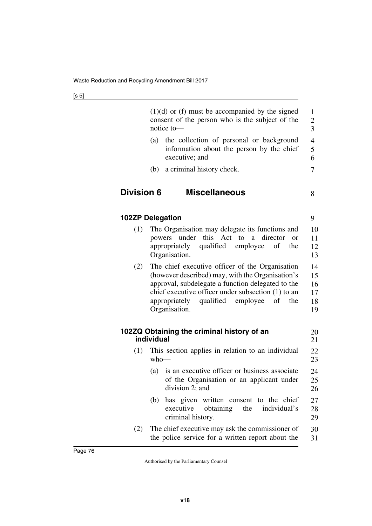|                   | $(1)(d)$ or (f) must be accompanied by the signed<br>consent of the person who is the subject of the<br>notice to-                                                                                                                                                                  | $\mathbf{1}$<br>$\overline{c}$<br>$\overline{3}$ |
|-------------------|-------------------------------------------------------------------------------------------------------------------------------------------------------------------------------------------------------------------------------------------------------------------------------------|--------------------------------------------------|
|                   | the collection of personal or background<br>(a)<br>information about the person by the chief<br>executive; and                                                                                                                                                                      | $\overline{4}$<br>5<br>6                         |
|                   | a criminal history check.<br>(b)                                                                                                                                                                                                                                                    | 7                                                |
| <b>Division 6</b> | <b>Miscellaneous</b>                                                                                                                                                                                                                                                                | 8                                                |
|                   | <b>102ZP Delegation</b>                                                                                                                                                                                                                                                             | 9                                                |
| (1)               | The Organisation may delegate its functions and<br>powers under this Act to a director<br><sub>or</sub><br>qualified<br>appropriately<br>employee<br>of<br>the<br>Organisation.                                                                                                     | 10<br>11<br>12<br>13                             |
| (2)               | The chief executive officer of the Organisation<br>(however described) may, with the Organisation's<br>approval, subdelegate a function delegated to the<br>chief executive officer under subsection (1) to an<br>qualified employee<br>appropriately<br>of<br>the<br>Organisation. | 14<br>15<br>16<br>17<br>18<br>19                 |
|                   | 102ZQ Obtaining the criminal history of an<br>individual                                                                                                                                                                                                                            | 20<br>21                                         |
| (1)               | This section applies in relation to an individual<br>$who$ —                                                                                                                                                                                                                        | 22<br>23                                         |
|                   | is an executive officer or business associate<br>(a)<br>of the Organisation or an applicant under<br>division 2; and                                                                                                                                                                | 24<br>25<br>26                                   |
|                   | has given written consent to the chief<br>(b)<br>executive<br>obtaining<br>the<br>individual's<br>criminal history.                                                                                                                                                                 | 27<br>28<br>29                                   |
| (2)               | The chief executive may ask the commissioner of<br>the police service for a written report about the                                                                                                                                                                                | 30<br>31                                         |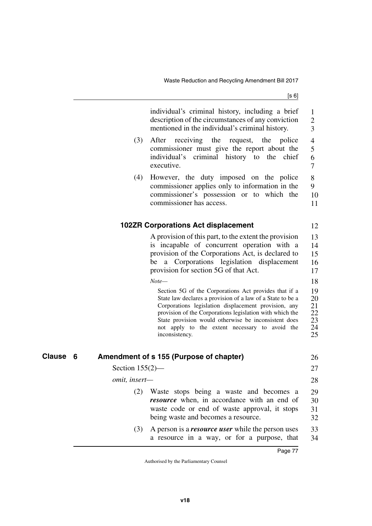individual's criminal history, including a brief description of the circumstances of any conviction

[s 6]

|               | mentioned in the individual's criminal history.                                                                                                                                                                                                                                                                                                                                | 3                                            |
|---------------|--------------------------------------------------------------------------------------------------------------------------------------------------------------------------------------------------------------------------------------------------------------------------------------------------------------------------------------------------------------------------------|----------------------------------------------|
|               | After receiving the request, the police<br>(3)<br>commissioner must give the report about the<br>individual's<br>criminal history to the chief<br>executive.                                                                                                                                                                                                                   | $\overline{4}$<br>5<br>6<br>$\tau$           |
|               | However, the duty imposed on the police<br>(4)<br>commissioner applies only to information in the<br>commissioner's possession or to which the<br>commissioner has access.                                                                                                                                                                                                     | 8<br>9<br>10<br>11                           |
|               | <b>102ZR Corporations Act displacement</b>                                                                                                                                                                                                                                                                                                                                     | 12                                           |
|               | A provision of this part, to the extent the provision<br>is incapable of concurrent operation with a<br>provision of the Corporations Act, is declared to<br>Corporations legislation displacement<br>be<br>a<br>provision for section 5G of that Act.                                                                                                                         | 13<br>14<br>15<br>16<br>17                   |
|               | $Note-$<br>Section 5G of the Corporations Act provides that if a<br>State law declares a provision of a law of a State to be a<br>Corporations legislation displacement provision, any<br>provision of the Corporations legislation with which the<br>State provision would otherwise be inconsistent does<br>not apply to the extent necessary to avoid the<br>inconsistency. | 18<br>19<br>20<br>21<br>22<br>23<br>24<br>25 |
| Clause<br>6   | Amendment of s 155 (Purpose of chapter)                                                                                                                                                                                                                                                                                                                                        | 26                                           |
|               | Section $155(2)$ —                                                                                                                                                                                                                                                                                                                                                             | 27                                           |
| omit, insert- |                                                                                                                                                                                                                                                                                                                                                                                | 28                                           |
|               | (2)<br>Waste stops being a waste and becomes a<br>resource when, in accordance with an end of<br>waste code or end of waste approval, it stops<br>being waste and becomes a resource.                                                                                                                                                                                          | 29<br>30<br>31<br>32                         |
|               | (3)<br>A person is a <i>resource user</i> while the person uses<br>a resource in a way, or for a purpose, that                                                                                                                                                                                                                                                                 | 33<br>34                                     |
|               | Page 77                                                                                                                                                                                                                                                                                                                                                                        |                                              |
|               | Authorised by the Parliamentary Counsel                                                                                                                                                                                                                                                                                                                                        |                                              |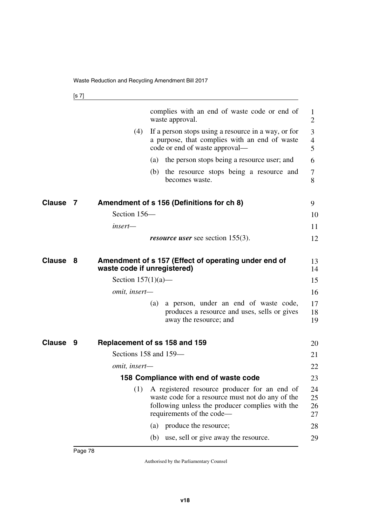| complies with an end of waste code or end of<br>waste approval.<br>(4)<br>If a person stops using a resource in a way, or for<br>a purpose, that complies with an end of waste<br>code or end of waste approval—<br>the person stops being a resource user; and<br>(a)<br>(b) the resource stops being a resource and<br>becomes waste.<br><b>Clause</b><br>Amendment of s 156 (Definitions for ch 8)<br>7<br>Section 156-<br>insert—<br><i>resource user</i> see section 155(3).<br>Clause<br>Amendment of s 157 (Effect of operating under end of<br>8<br>waste code if unregistered)<br>Section $157(1)(a)$ —<br>omit, insert-<br>a person, under an end of waste code,<br>(a)<br>produces a resource and uses, sells or gives<br>away the resource; and<br><b>Clause</b><br>Replacement of ss 158 and 159<br>9<br>Sections 158 and 159-<br><i>omit, insert—</i><br>158 Compliance with end of waste code<br>(1)<br>A registered resource producer for an end of<br>waste code for a resource must not do any of the<br>following unless the producer complies with the<br>requirements of the code—<br>produce the resource;<br>$\left( a\right)$<br>use, sell or give away the resource.<br>(b) |  |  |                      |
|------------------------------------------------------------------------------------------------------------------------------------------------------------------------------------------------------------------------------------------------------------------------------------------------------------------------------------------------------------------------------------------------------------------------------------------------------------------------------------------------------------------------------------------------------------------------------------------------------------------------------------------------------------------------------------------------------------------------------------------------------------------------------------------------------------------------------------------------------------------------------------------------------------------------------------------------------------------------------------------------------------------------------------------------------------------------------------------------------------------------------------------------------------------------------------------------------|--|--|----------------------|
|                                                                                                                                                                                                                                                                                                                                                                                                                                                                                                                                                                                                                                                                                                                                                                                                                                                                                                                                                                                                                                                                                                                                                                                                      |  |  | 1<br>$\overline{2}$  |
|                                                                                                                                                                                                                                                                                                                                                                                                                                                                                                                                                                                                                                                                                                                                                                                                                                                                                                                                                                                                                                                                                                                                                                                                      |  |  | 3                    |
|                                                                                                                                                                                                                                                                                                                                                                                                                                                                                                                                                                                                                                                                                                                                                                                                                                                                                                                                                                                                                                                                                                                                                                                                      |  |  | $\overline{4}$<br>5  |
|                                                                                                                                                                                                                                                                                                                                                                                                                                                                                                                                                                                                                                                                                                                                                                                                                                                                                                                                                                                                                                                                                                                                                                                                      |  |  | 6                    |
|                                                                                                                                                                                                                                                                                                                                                                                                                                                                                                                                                                                                                                                                                                                                                                                                                                                                                                                                                                                                                                                                                                                                                                                                      |  |  | 7<br>8               |
|                                                                                                                                                                                                                                                                                                                                                                                                                                                                                                                                                                                                                                                                                                                                                                                                                                                                                                                                                                                                                                                                                                                                                                                                      |  |  | 9                    |
|                                                                                                                                                                                                                                                                                                                                                                                                                                                                                                                                                                                                                                                                                                                                                                                                                                                                                                                                                                                                                                                                                                                                                                                                      |  |  | 10                   |
|                                                                                                                                                                                                                                                                                                                                                                                                                                                                                                                                                                                                                                                                                                                                                                                                                                                                                                                                                                                                                                                                                                                                                                                                      |  |  | 11                   |
|                                                                                                                                                                                                                                                                                                                                                                                                                                                                                                                                                                                                                                                                                                                                                                                                                                                                                                                                                                                                                                                                                                                                                                                                      |  |  | 12                   |
|                                                                                                                                                                                                                                                                                                                                                                                                                                                                                                                                                                                                                                                                                                                                                                                                                                                                                                                                                                                                                                                                                                                                                                                                      |  |  | 13<br>14             |
|                                                                                                                                                                                                                                                                                                                                                                                                                                                                                                                                                                                                                                                                                                                                                                                                                                                                                                                                                                                                                                                                                                                                                                                                      |  |  | 15                   |
|                                                                                                                                                                                                                                                                                                                                                                                                                                                                                                                                                                                                                                                                                                                                                                                                                                                                                                                                                                                                                                                                                                                                                                                                      |  |  | 16                   |
|                                                                                                                                                                                                                                                                                                                                                                                                                                                                                                                                                                                                                                                                                                                                                                                                                                                                                                                                                                                                                                                                                                                                                                                                      |  |  | 17<br>18<br>19       |
|                                                                                                                                                                                                                                                                                                                                                                                                                                                                                                                                                                                                                                                                                                                                                                                                                                                                                                                                                                                                                                                                                                                                                                                                      |  |  | 20                   |
|                                                                                                                                                                                                                                                                                                                                                                                                                                                                                                                                                                                                                                                                                                                                                                                                                                                                                                                                                                                                                                                                                                                                                                                                      |  |  | 21                   |
|                                                                                                                                                                                                                                                                                                                                                                                                                                                                                                                                                                                                                                                                                                                                                                                                                                                                                                                                                                                                                                                                                                                                                                                                      |  |  | 22                   |
|                                                                                                                                                                                                                                                                                                                                                                                                                                                                                                                                                                                                                                                                                                                                                                                                                                                                                                                                                                                                                                                                                                                                                                                                      |  |  | 23                   |
|                                                                                                                                                                                                                                                                                                                                                                                                                                                                                                                                                                                                                                                                                                                                                                                                                                                                                                                                                                                                                                                                                                                                                                                                      |  |  | 24<br>25<br>26<br>27 |
|                                                                                                                                                                                                                                                                                                                                                                                                                                                                                                                                                                                                                                                                                                                                                                                                                                                                                                                                                                                                                                                                                                                                                                                                      |  |  | 28                   |
|                                                                                                                                                                                                                                                                                                                                                                                                                                                                                                                                                                                                                                                                                                                                                                                                                                                                                                                                                                                                                                                                                                                                                                                                      |  |  | 29                   |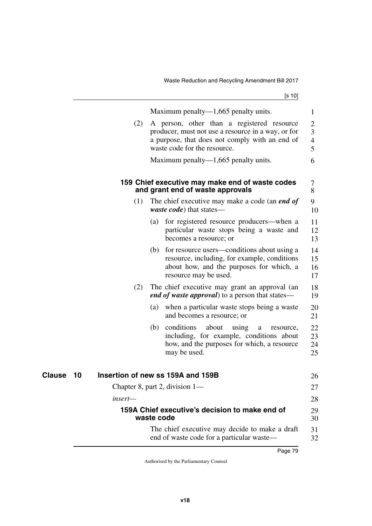Waste Reduction and Recycling Amendment Bill 2017

[s 10]

|              |           | Maximum penalty— $1,665$ penalty units.                                                                                                                              | 1                                     |
|--------------|-----------|----------------------------------------------------------------------------------------------------------------------------------------------------------------------|---------------------------------------|
|              | (2)       | A person, other than a registered resource<br>producer, must not use a resource in a way, or for<br>a purpose, that does not comply with an end of                   | $\overline{2}$<br>$\overline{3}$<br>4 |
|              |           | waste code for the resource.                                                                                                                                         | 5                                     |
|              |           | Maximum penalty— $1,665$ penalty units.                                                                                                                              | 6                                     |
|              |           | 159 Chief executive may make end of waste codes<br>and grant end of waste approvals                                                                                  | 7<br>8                                |
|              | (1)       | The chief executive may make a code (an <i>end of</i><br><i>waste code</i> ) that states—                                                                            | 9<br>10                               |
|              |           | for registered resource producers—when a<br>(a)<br>particular waste stops being a waste and<br>becomes a resource; or                                                | 11<br>12<br>13                        |
|              |           | (b) for resource users—conditions about using a<br>resource, including, for example, conditions<br>about how, and the purposes for which, a<br>resource may be used. | 14<br>15<br>16<br>17                  |
|              | (2)       | The chief executive may grant an approval (an<br><i>end of waste approval</i> ) to a person that states—                                                             | 18<br>19                              |
|              |           | when a particular waste stops being a waste<br>(a)<br>and becomes a resource; or                                                                                     | 20<br>21                              |
|              |           | conditions<br>about<br>(b)<br>using<br>a<br>resource,<br>including, for example, conditions about<br>how, and the purposes for which, a resource<br>may be used.     | 22<br>23<br>24<br>25                  |
| Clause<br>10 |           | Insertion of new ss 159A and 159B                                                                                                                                    | 26                                    |
|              |           | Chapter 8, part 2, division 1—                                                                                                                                       | 27                                    |
|              | $insert-$ |                                                                                                                                                                      | 28                                    |
|              |           | 159A Chief executive's decision to make end of<br>waste code                                                                                                         | 29<br>30                              |
|              |           | The chief executive may decide to make a draft<br>end of waste code for a particular waste—                                                                          | 31<br>32                              |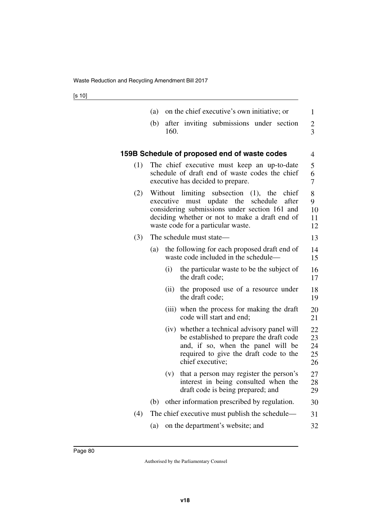|     | (a) |           | on the chief executive's own initiative; or                                                                                                                                                                                             | 1                                |
|-----|-----|-----------|-----------------------------------------------------------------------------------------------------------------------------------------------------------------------------------------------------------------------------------------|----------------------------------|
|     | (b) | 160.      | after inviting submissions under section                                                                                                                                                                                                | $\overline{c}$<br>$\overline{3}$ |
|     |     |           | 159B Schedule of proposed end of waste codes                                                                                                                                                                                            | 4                                |
| (1) |     |           | The chief executive must keep an up-to-date<br>schedule of draft end of waste codes the chief<br>executive has decided to prepare.                                                                                                      | 5<br>6<br>$\overline{7}$         |
| (2) |     | executive | Without limiting subsection<br>(1),<br>chief<br>the<br>must update<br>the<br>schedule<br>after<br>considering submissions under section 161 and<br>deciding whether or not to make a draft end of<br>waste code for a particular waste. | 8<br>9<br>10<br>11<br>12         |
| (3) |     |           | The schedule must state-                                                                                                                                                                                                                | 13                               |
|     | (a) |           | the following for each proposed draft end of<br>waste code included in the schedule—                                                                                                                                                    | 14<br>15                         |
|     |     | (i)       | the particular waste to be the subject of<br>the draft code;                                                                                                                                                                            | 16<br>17                         |
|     |     | (ii)      | the proposed use of a resource under<br>the draft code;                                                                                                                                                                                 | 18<br>19                         |
|     |     |           | (iii) when the process for making the draft<br>code will start and end;                                                                                                                                                                 | 20<br>21                         |
|     |     |           | (iv) whether a technical advisory panel will<br>be established to prepare the draft code<br>and, if so, when the panel will be<br>required to give the draft code to the<br>chief executive;                                            | 22<br>23<br>24<br>25<br>26       |
|     |     | (v)       | that a person may register the person's<br>interest in being consulted when the<br>draft code is being prepared; and                                                                                                                    | 27<br>28<br>29                   |
|     |     |           | (b) other information prescribed by regulation.                                                                                                                                                                                         | 30                               |
| (4) |     |           | The chief executive must publish the schedule—                                                                                                                                                                                          | 31                               |
|     |     |           | (a) on the department's website; and                                                                                                                                                                                                    | 32                               |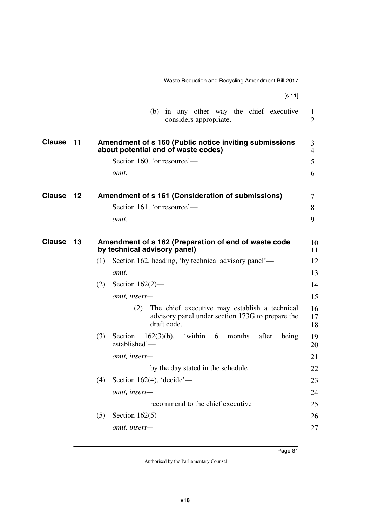|               |         | Waste Reduction and Recycling Amendment Bill 2017                                                                       |                            |
|---------------|---------|-------------------------------------------------------------------------------------------------------------------------|----------------------------|
|               |         | [s 11]                                                                                                                  |                            |
|               |         | (b)<br>in any other way the chief executive<br>considers appropriate.                                                   | $\bf{l}$<br>$\overline{2}$ |
| <b>Clause</b> | 11      | Amendment of s 160 (Public notice inviting submissions<br>about potential end of waste codes)                           | 3<br>4                     |
|               |         | Section 160, 'or resource'—                                                                                             | 5                          |
|               |         | omit.                                                                                                                   | 6                          |
| <b>Clause</b> | $12 \,$ | Amendment of s 161 (Consideration of submissions)                                                                       | 7                          |
|               |         | Section 161, 'or resource'—                                                                                             | 8                          |
|               |         | <i>omit.</i>                                                                                                            | 9                          |
| <b>Clause</b> | 13      | Amendment of s 162 (Preparation of end of waste code<br>by technical advisory panel)                                    | 10<br>11                   |
|               |         | Section 162, heading, 'by technical advisory panel'—<br>(1)                                                             | 12                         |
|               |         | omit.                                                                                                                   | 13                         |
|               |         | Section $162(2)$ —<br>(2)                                                                                               | 14                         |
|               |         | omit, insert-                                                                                                           | 15                         |
|               |         | The chief executive may establish a technical<br>(2)<br>advisory panel under section 173G to prepare the<br>draft code. | 16<br>17<br>18             |
|               |         | 'within<br>(3)<br>$162(3)(b)$ ,<br>Section<br>6<br>months<br>after<br>being<br>established'-                            | 19<br>20                   |
|               |         | omit, insert-                                                                                                           | 21                         |
|               |         | by the day stated in the schedule                                                                                       | 22                         |
|               |         | Section 162(4), 'decide'—<br>(4)                                                                                        | 23                         |
|               |         | omit, insert-                                                                                                           | 24                         |
|               |         | recommend to the chief executive                                                                                        | 25                         |
|               |         | Section $162(5)$ —<br>(5)                                                                                               | 26                         |
|               |         | omit, insert-                                                                                                           | 27                         |
|               |         |                                                                                                                         |                            |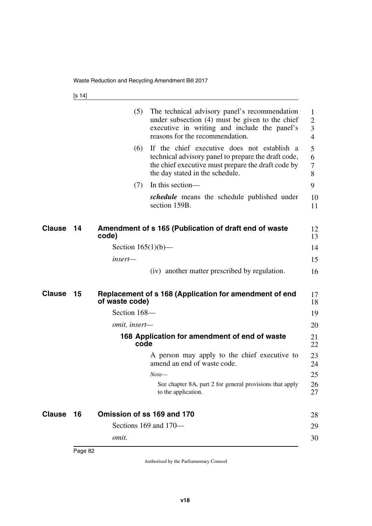[s 14]

|               |    | (5)                        | The technical advisory panel's recommendation<br>under subsection (4) must be given to the chief<br>executive in writing and include the panel's<br>reasons for the recommendation.         | 1<br>$\overline{2}$<br>$\overline{3}$<br>$\overline{4}$ |
|---------------|----|----------------------------|---------------------------------------------------------------------------------------------------------------------------------------------------------------------------------------------|---------------------------------------------------------|
|               |    | (6)                        | If the chief executive does not establish a<br>technical advisory panel to prepare the draft code,<br>the chief executive must prepare the draft code by<br>the day stated in the schedule. | 5<br>6<br>7<br>8                                        |
|               |    | (7)                        | In this section—                                                                                                                                                                            | 9                                                       |
|               |    |                            | <i>schedule</i> means the schedule published under<br>section 159B.                                                                                                                         | 10<br>11                                                |
| <b>Clause</b> | 14 | code)                      | Amendment of s 165 (Publication of draft end of waste                                                                                                                                       | 12<br>13                                                |
|               |    | Section $165(1)(b)$ —      |                                                                                                                                                                                             | 14                                                      |
|               |    | insert—                    |                                                                                                                                                                                             | 15                                                      |
|               |    |                            | (iv) another matter prescribed by regulation.                                                                                                                                               | 16                                                      |
| <b>Clause</b> | 15 | of waste code)             | Replacement of s 168 (Application for amendment of end                                                                                                                                      | 17<br>18                                                |
|               |    | Section 168-               |                                                                                                                                                                                             | 19                                                      |
|               |    | <i>omit, insert—</i>       |                                                                                                                                                                                             | 20                                                      |
|               |    | code                       | 168 Application for amendment of end of waste                                                                                                                                               | 21<br>22                                                |
|               |    |                            | A person may apply to the chief executive to<br>amend an end of waste code.                                                                                                                 | 23<br>24                                                |
|               |    |                            | $Note-$                                                                                                                                                                                     | 25                                                      |
|               |    |                            | See chapter 8A, part 2 for general provisions that apply<br>to the application.                                                                                                             | 26<br>27                                                |
| <b>Clause</b> | 16 | Omission of ss 169 and 170 |                                                                                                                                                                                             | 28                                                      |
|               |    |                            | Sections 169 and 170-                                                                                                                                                                       | 29                                                      |
|               |    | omit.                      |                                                                                                                                                                                             | 30                                                      |
|               |    |                            |                                                                                                                                                                                             |                                                         |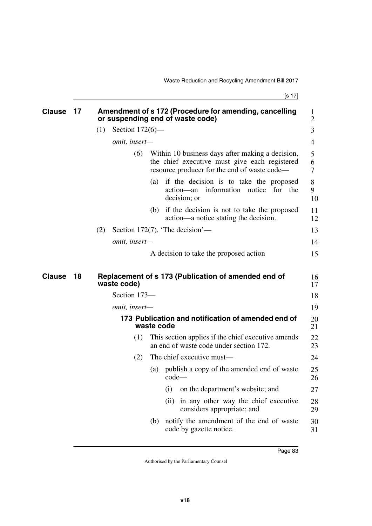| <b>Clause</b> | 17 |     |                      |            | Amendment of s 172 (Procedure for amending, cancelling<br>or suspending end of waste code)                                                        | 1<br>$\overline{2}$ |
|---------------|----|-----|----------------------|------------|---------------------------------------------------------------------------------------------------------------------------------------------------|---------------------|
|               |    | (1) | Section $172(6)$ —   |            |                                                                                                                                                   | 3                   |
|               |    |     | omit, insert-        |            |                                                                                                                                                   | 4                   |
|               |    |     | (6)                  |            | Within 10 business days after making a decision,<br>the chief executive must give each registered<br>resource producer for the end of waste code- | 5<br>6<br>7         |
|               |    |     |                      |            | (a) if the decision is to take the proposed<br>action—an information notice for the<br>decision; or                                               | 8<br>9<br>10        |
|               |    |     |                      |            | (b) if the decision is not to take the proposed<br>action—a notice stating the decision.                                                          | 11<br>12            |
|               |    | (2) |                      |            | Section 172(7), 'The decision'—                                                                                                                   | 13                  |
|               |    |     | omit, insert-        |            |                                                                                                                                                   | 14                  |
|               |    |     |                      |            | A decision to take the proposed action                                                                                                            | 15                  |
| <b>Clause</b> | 18 |     | waste code)          |            | Replacement of s 173 (Publication of amended end of                                                                                               | 16<br>17            |
|               |    |     | Section 173-         |            |                                                                                                                                                   | 18                  |
|               |    |     | <i>omit, insert—</i> |            |                                                                                                                                                   | 19                  |
|               |    |     |                      | waste code | 173 Publication and notification of amended end of                                                                                                | 20<br>21            |
|               |    |     | (1)                  |            | This section applies if the chief executive amends<br>an end of waste code under section 172.                                                     | 22<br>23            |
|               |    |     | (2)                  |            | The chief executive must—                                                                                                                         | 24                  |
|               |    |     |                      | (a)        | publish a copy of the amended end of waste<br>$code-$                                                                                             | 25<br>26            |
|               |    |     |                      |            | on the department's website; and<br>(i)                                                                                                           | 27                  |
|               |    |     |                      |            | in any other way the chief executive<br>(ii)<br>considers appropriate; and                                                                        | 28<br>29            |
|               |    |     |                      | (b)        | notify the amendment of the end of waste<br>code by gazette notice.                                                                               | 30<br>31            |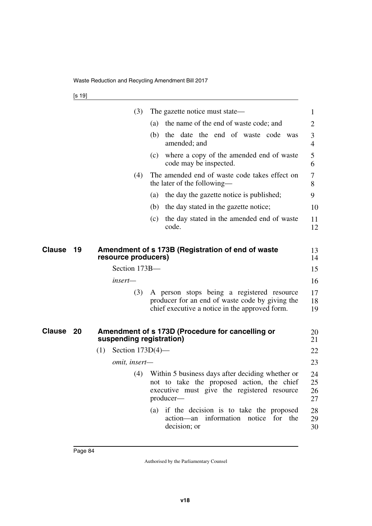|               |    | (3)                        | The gazette notice must state—                                                                                                                             | 1                    |
|---------------|----|----------------------------|------------------------------------------------------------------------------------------------------------------------------------------------------------|----------------------|
|               |    |                            | the name of the end of waste code; and<br>(a)                                                                                                              | 2                    |
|               |    |                            | (b) the date the end of waste code was<br>amended; and                                                                                                     | 3<br>$\overline{4}$  |
|               |    |                            | (c) where a copy of the amended end of waste<br>code may be inspected.                                                                                     | 5<br>6               |
|               |    | (4)                        | The amended end of waste code takes effect on<br>the later of the following—                                                                               | 7<br>8               |
|               |    |                            | the day the gazette notice is published;<br>(a)                                                                                                            | 9                    |
|               |    |                            | (b) the day stated in the gazette notice;                                                                                                                  | 10                   |
|               |    |                            | the day stated in the amended end of waste<br>(c)<br>code.                                                                                                 | 11<br>12             |
| <b>Clause</b> | 19 | resource producers)        | Amendment of s 173B (Registration of end of waste                                                                                                          | 13<br>14             |
|               |    | Section 173B-              |                                                                                                                                                            | 15                   |
|               |    | insert-                    |                                                                                                                                                            | 16                   |
|               |    | (3)                        | A person stops being a registered resource<br>producer for an end of waste code by giving the<br>chief executive a notice in the approved form.            | 17<br>18<br>19       |
| Clause        | 20 | suspending registration)   | Amendment of s 173D (Procedure for cancelling or                                                                                                           | 20<br>21             |
|               |    | Section $173D(4)$ —<br>(1) |                                                                                                                                                            | 22                   |
|               |    | omit, insert-              |                                                                                                                                                            | 23                   |
|               |    | (4)                        | Within 5 business days after deciding whether or<br>not to take the proposed action, the chief<br>executive must give the registered resource<br>producer- | 24<br>25<br>26<br>27 |
|               |    |                            | if the decision is to take the proposed<br>(a)<br>action—an information notice for the<br>decision; or                                                     | 28<br>29<br>30       |
|               |    |                            |                                                                                                                                                            |                      |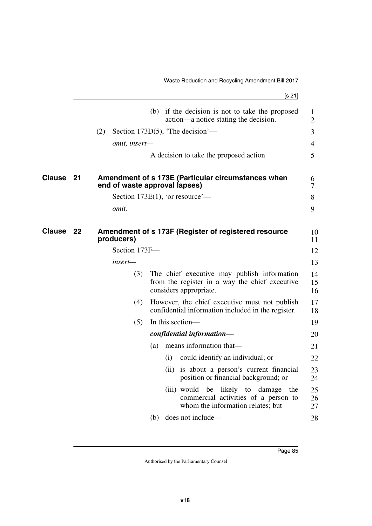[s 21]

|               |    |               | (b) if the decision is not to take the proposed<br>action—a notice stating the decision.                                |                                                                                    | $\mathbf{1}$<br>$\overline{2}$ |
|---------------|----|---------------|-------------------------------------------------------------------------------------------------------------------------|------------------------------------------------------------------------------------|--------------------------------|
|               |    | (2)           | Section 173D(5), 'The decision'—                                                                                        |                                                                                    | 3                              |
|               |    | omit, insert- |                                                                                                                         |                                                                                    | 4                              |
|               |    |               | A decision to take the proposed action                                                                                  |                                                                                    | 5                              |
| <b>Clause</b> | 21 |               | Amendment of s 173E (Particular circumstances when<br>end of waste approval lapses)                                     |                                                                                    | 6<br>$\overline{7}$            |
|               |    |               | Section 173E $(1)$ , 'or resource'—                                                                                     |                                                                                    | 8                              |
|               |    | omit.         |                                                                                                                         |                                                                                    | 9                              |
| <b>Clause</b> | 22 | producers)    | Amendment of s 173F (Register of registered resource                                                                    |                                                                                    | 10<br>11                       |
|               |    | Section 173F- |                                                                                                                         |                                                                                    | 12                             |
|               |    | insert—       |                                                                                                                         |                                                                                    | 13                             |
|               |    | (3)           | The chief executive may publish information<br>from the register in a way the chief executive<br>considers appropriate. |                                                                                    | 14<br>15<br>16                 |
|               |    | (4)           | However, the chief executive must not publish<br>confidential information included in the register.                     |                                                                                    | 17<br>18                       |
|               |    | (5)           | In this section—                                                                                                        |                                                                                    | 19                             |
|               |    |               | confidential information-                                                                                               |                                                                                    | 20                             |
|               |    |               | means information that-<br>(a)                                                                                          |                                                                                    | 21                             |
|               |    |               | could identify an individual; or<br>(i)                                                                                 |                                                                                    | 22                             |
|               |    |               |                                                                                                                         | (ii) is about a person's current financial<br>position or financial background; or | 23<br>24                       |
|               |    |               | (iii) would be likely to damage                                                                                         | the<br>commercial activities of a person to<br>whom the information relates; but   | 25<br>26<br>27                 |
|               |    |               | (b) does not include—                                                                                                   |                                                                                    | 28                             |
|               |    |               |                                                                                                                         |                                                                                    |                                |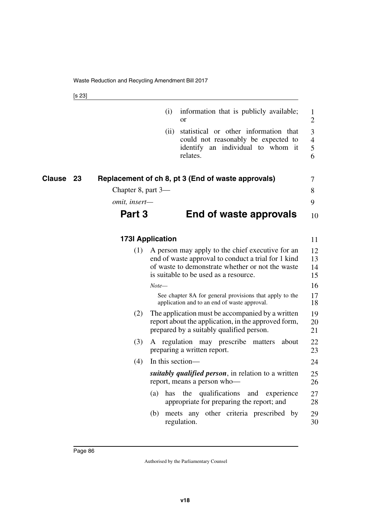[s 23]

|                     |                    | (i)                     | information that is publicly available;<br>or                                                                                                                                                        | 1<br>$\overline{2}$           |
|---------------------|--------------------|-------------------------|------------------------------------------------------------------------------------------------------------------------------------------------------------------------------------------------------|-------------------------------|
|                     |                    | (ii)                    | statistical or other information that<br>could not reasonably be expected to<br>identify an individual to whom it<br>relates.                                                                        | 3<br>$\overline{4}$<br>5<br>6 |
| <b>Clause</b><br>23 |                    |                         | Replacement of ch 8, pt 3 (End of waste approvals)                                                                                                                                                   | 7                             |
|                     | Chapter 8, part 3— |                         |                                                                                                                                                                                                      | 8                             |
|                     | omit, insert-      |                         |                                                                                                                                                                                                      | 9                             |
|                     | Part 3             |                         | End of waste approvals                                                                                                                                                                               | 10                            |
|                     |                    | <b>173I Application</b> |                                                                                                                                                                                                      | 11                            |
|                     | (1)                |                         | A person may apply to the chief executive for an<br>end of waste approval to conduct a trial for 1 kind<br>of waste to demonstrate whether or not the waste<br>is suitable to be used as a resource. | 12<br>13<br>14<br>15          |
|                     |                    | Note—                   |                                                                                                                                                                                                      | 16                            |
|                     |                    |                         | See chapter 8A for general provisions that apply to the<br>application and to an end of waste approval.                                                                                              | 17<br>18                      |
|                     | (2)                |                         | The application must be accompanied by a written<br>report about the application, in the approved form,<br>prepared by a suitably qualified person.                                                  | 19<br>20<br>21                |
|                     | (3)                |                         | A regulation may prescribe<br>about<br>matters<br>preparing a written report.                                                                                                                        | 22<br>23                      |
|                     | (4)                | In this section-        |                                                                                                                                                                                                      | 24                            |
|                     |                    |                         | <i>suitably qualified person</i> , in relation to a written<br>report, means a person who-                                                                                                           | 25<br>26                      |
|                     |                    | (a)<br>has              | qualifications<br>the<br>and experience<br>appropriate for preparing the report; and                                                                                                                 | 27<br>28                      |
|                     |                    | (b)                     | meets any other criteria prescribed by<br>regulation.                                                                                                                                                | 29<br>30                      |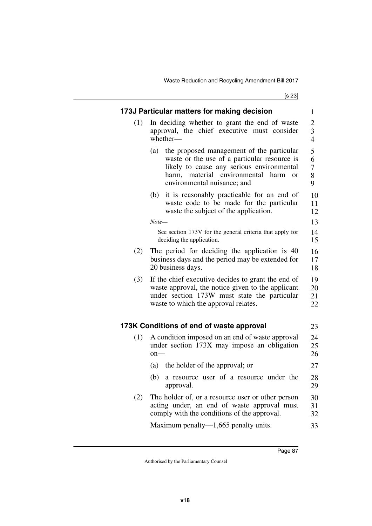[s 23]

|     | 173J Particular matters for making decision                                                                                                                                                                                           | 1                                     |  |
|-----|---------------------------------------------------------------------------------------------------------------------------------------------------------------------------------------------------------------------------------------|---------------------------------------|--|
| (1) | In deciding whether to grant the end of waste<br>approval, the chief executive must consider<br>whether-                                                                                                                              | $\overline{c}$<br>3<br>$\overline{4}$ |  |
|     | the proposed management of the particular<br>(a)<br>waste or the use of a particular resource is<br>likely to cause any serious environmental<br>harm, material environmental<br>harm<br><sub>or</sub><br>environmental nuisance; and | 5<br>6<br>$\boldsymbol{7}$<br>8<br>9  |  |
|     | it is reasonably practicable for an end of<br>(b)<br>waste code to be made for the particular<br>waste the subject of the application.                                                                                                | 10<br>11<br>12                        |  |
|     | Note—                                                                                                                                                                                                                                 | 13                                    |  |
|     | See section 173V for the general criteria that apply for<br>deciding the application.                                                                                                                                                 | 14<br>15                              |  |
| (2) | The period for deciding the application is 40<br>business days and the period may be extended for<br>20 business days.                                                                                                                | 16<br>17<br>18                        |  |
| (3) | If the chief executive decides to grant the end of<br>waste approval, the notice given to the applicant<br>under section 173W must state the particular<br>waste to which the approval relates.                                       |                                       |  |
|     | 173K Conditions of end of waste approval                                                                                                                                                                                              | 23                                    |  |
| (1) | A condition imposed on an end of waste approval<br>under section 173X may impose an obligation<br>$on$ —                                                                                                                              | 24<br>25<br>26                        |  |
|     | the holder of the approval; or<br>(a)                                                                                                                                                                                                 | 27                                    |  |
|     | a resource user of a resource under the<br>(b)<br>approval.                                                                                                                                                                           | 28<br>29                              |  |
| (2) | The holder of, or a resource user or other person<br>acting under, an end of waste approval must                                                                                                                                      | 30<br>31                              |  |
|     | comply with the conditions of the approval.                                                                                                                                                                                           | 32                                    |  |
|     | Maximum penalty— $1,665$ penalty units.                                                                                                                                                                                               | 33                                    |  |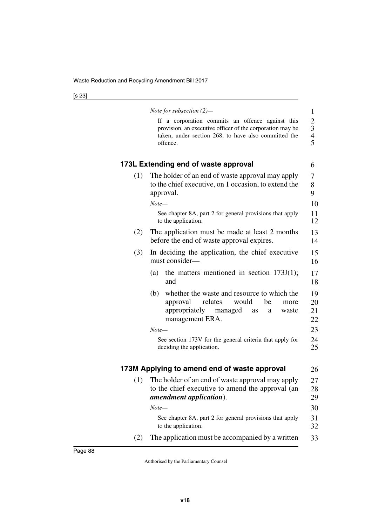|     | Note for subsection $(2)$ —                                                                                                                                                       | $\mathbf{1}$                                    |
|-----|-----------------------------------------------------------------------------------------------------------------------------------------------------------------------------------|-------------------------------------------------|
|     | If a corporation commits an offence against this<br>provision, an executive officer of the corporation may be<br>taken, under section 268, to have also committed the<br>offence. | $\begin{array}{c} 2 \\ 3 \\ 4 \\ 5 \end{array}$ |
|     | 173L Extending end of waste approval                                                                                                                                              | 6                                               |
| (1) | The holder of an end of waste approval may apply<br>to the chief executive, on 1 occasion, to extend the<br>approval.                                                             | 7<br>8<br>9                                     |
|     | $Note-$                                                                                                                                                                           | 10                                              |
|     | See chapter 8A, part 2 for general provisions that apply<br>to the application.                                                                                                   | 11<br>12                                        |
| (2) | The application must be made at least 2 months<br>before the end of waste approval expires.                                                                                       | 13<br>14                                        |
| (3) | In deciding the application, the chief executive<br>must consider-                                                                                                                | 15<br>16                                        |
|     | the matters mentioned in section $173J(1)$ ;<br>(a)<br>and                                                                                                                        | 17<br>18                                        |
|     | whether the waste and resource to which the<br>(b)<br>approval<br>relates<br>would<br>be<br>more<br>appropriately<br>managed<br>waste<br>as<br>a<br>management ERA.               | 19<br>20<br>21<br>22                            |
|     | $Note-$                                                                                                                                                                           | 23                                              |
|     | See section 173V for the general criteria that apply for<br>deciding the application.                                                                                             | 24<br>25                                        |
|     | 173M Applying to amend end of waste approval                                                                                                                                      | 26                                              |
| (1) | The holder of an end of waste approval may apply<br>to the chief executive to amend the approval (an<br><i>amendment application</i> ).                                           | 27<br>28<br>29                                  |
|     | $Note-$                                                                                                                                                                           | 30                                              |
|     | See chapter 8A, part 2 for general provisions that apply<br>to the application.                                                                                                   | 31<br>32                                        |
| (2) | The application must be accompanied by a written                                                                                                                                  | 33                                              |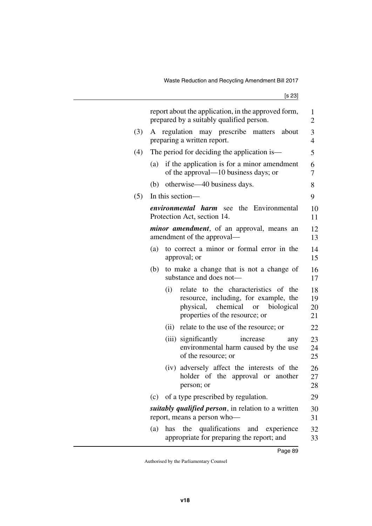|     |     |      | report about the application, in the approved form,<br>prepared by a suitably qualified person.                                                        | 1<br>$\overline{2}$  |
|-----|-----|------|--------------------------------------------------------------------------------------------------------------------------------------------------------|----------------------|
| (3) | A   |      | regulation may prescribe matters about<br>preparing a written report.                                                                                  | 3<br>4               |
| (4) |     |      | The period for deciding the application is—                                                                                                            | 5                    |
|     | (a) |      | if the application is for a minor amendment<br>of the approval—10 business days; or                                                                    | 6<br>7               |
|     |     |      | (b) otherwise—40 business days.                                                                                                                        | 8                    |
| (5) |     |      | In this section—                                                                                                                                       | 9                    |
|     |     |      | <i>environmental harm</i> see the Environmental<br>Protection Act, section 14.                                                                         | 10<br>11             |
|     |     |      | <i>minor amendment</i> , of an approval, means an<br>amendment of the approval—                                                                        | 12<br>13             |
|     | (a) |      | to correct a minor or formal error in the<br>approval; or                                                                                              | 14<br>15             |
|     | (b) |      | to make a change that is not a change of<br>substance and does not-                                                                                    | 16<br>17             |
|     |     | (i)  | relate to the characteristics of<br>the<br>resource, including, for example, the<br>physical, chemical or biological<br>properties of the resource; or | 18<br>19<br>20<br>21 |
|     |     | (ii) | relate to the use of the resource; or                                                                                                                  | 22                   |
|     |     |      | (iii) significantly<br>increase<br>any<br>environmental harm caused by the use<br>of the resource; or                                                  | 23<br>24<br>25       |
|     |     |      | (iv) adversely affect the interests of the<br>holder of the approval or another<br>person; or                                                          | 26<br>27<br>28       |
|     | (c) |      | of a type prescribed by regulation.                                                                                                                    | 29                   |
|     |     |      | <i>suitably qualified person</i> , in relation to a written<br>report, means a person who-                                                             | 30<br>31             |
|     | (a) | has  | qualifications<br>the<br>and<br>experience<br>appropriate for preparing the report; and                                                                | 32<br>33             |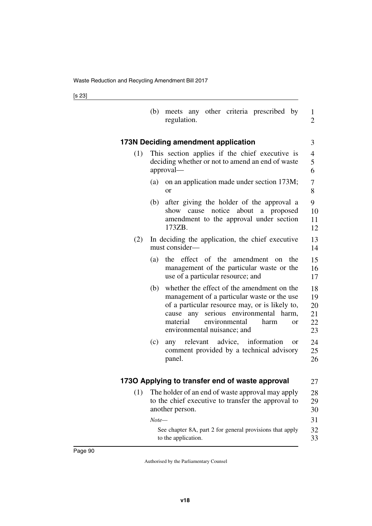|     | meets any other criteria prescribed by<br>(b)<br>regulation.                                                                                                                                                                                                                       | 1<br>$\overline{2}$              |
|-----|------------------------------------------------------------------------------------------------------------------------------------------------------------------------------------------------------------------------------------------------------------------------------------|----------------------------------|
|     | 173N Deciding amendment application                                                                                                                                                                                                                                                | 3                                |
| (1) | This section applies if the chief executive is<br>deciding whether or not to amend an end of waste<br>approval—                                                                                                                                                                    | $\overline{4}$<br>5<br>6         |
|     | on an application made under section 173M;<br>(a)<br><sub>or</sub>                                                                                                                                                                                                                 | 7<br>8                           |
|     | after giving the holder of the approval a<br>(b)<br>show cause notice<br>about a proposed<br>amendment to the approval under section<br>173ZB.                                                                                                                                     | 9<br>10<br>11<br>12              |
| (2) | In deciding the application, the chief executive<br>must consider—                                                                                                                                                                                                                 | 13<br>14                         |
|     | the effect of the amendment<br>(a)<br>the<br><sub>on</sub><br>management of the particular waste or the<br>use of a particular resource; and                                                                                                                                       | 15<br>16<br>17                   |
|     | whether the effect of the amendment on the<br>(b)<br>management of a particular waste or the use<br>of a particular resource may, or is likely to,<br>serious environmental harm,<br>cause<br>any<br>material<br>environmental<br>harm<br><b>or</b><br>environmental nuisance; and | 18<br>19<br>20<br>21<br>22<br>23 |
|     | relevant advice, information<br>(c)<br>any<br><sub>or</sub><br>comment provided by a technical advisory<br>panel.                                                                                                                                                                  | 24<br>25<br>26                   |
|     | 1730 Applying to transfer end of waste approval                                                                                                                                                                                                                                    | 27                               |
| (1) | The holder of an end of waste approval may apply<br>to the chief executive to transfer the approval to<br>another person.<br>$Note-$                                                                                                                                               | 28<br>29<br>30<br>31             |
|     | See chapter 8A, part 2 for general provisions that apply<br>to the application.                                                                                                                                                                                                    | 32<br>33                         |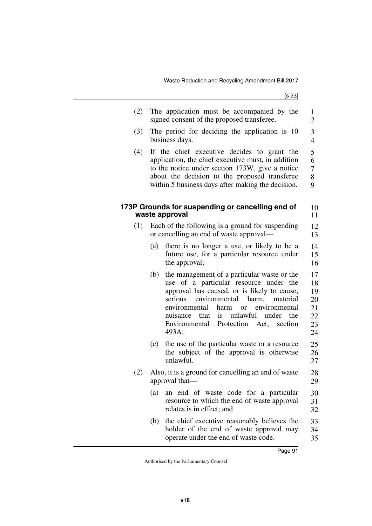[s 23]

| (2) | The application must be accompanied by the<br>signed consent of the proposed transferee.                                                                                                                                                                                                                                                                           | 1<br>$\overline{c}$                          |
|-----|--------------------------------------------------------------------------------------------------------------------------------------------------------------------------------------------------------------------------------------------------------------------------------------------------------------------------------------------------------------------|----------------------------------------------|
| (3) | The period for deciding the application is 10<br>business days.                                                                                                                                                                                                                                                                                                    | 3<br>$\overline{4}$                          |
| (4) | If the chief executive decides to grant the<br>application, the chief executive must, in addition<br>to the notice under section 173W, give a notice<br>about the decision to the proposed transferee<br>within 5 business days after making the decision.                                                                                                         | 5<br>6<br>$\overline{7}$<br>8<br>9           |
|     | 173P Grounds for suspending or cancelling end of<br>waste approval                                                                                                                                                                                                                                                                                                 | 10<br>11                                     |
| (1) | Each of the following is a ground for suspending<br>or cancelling an end of waste approval-                                                                                                                                                                                                                                                                        | 12<br>13                                     |
|     | there is no longer a use, or likely to be a<br>(a)<br>future use, for a particular resource under<br>the approval;                                                                                                                                                                                                                                                 | 14<br>15<br>16                               |
|     | the management of a particular waste or the<br>(b)<br>use of a particular resource under the<br>approval has caused, or is likely to cause,<br>serious<br>environmental<br>harm,<br>material<br>environmental<br>harm<br>environmental<br><sub>or</sub><br>is unlawful under<br>that<br>the<br>nuisance<br>Environmental<br>Protection<br>Act,<br>section<br>493A; | 17<br>18<br>19<br>20<br>21<br>22<br>23<br>24 |
|     | the use of the particular waste or a resource<br>(c)<br>the subject of the approval is otherwise<br>unlawful.                                                                                                                                                                                                                                                      | 25<br>26<br>27                               |
| (2) | Also, it is a ground for cancelling an end of waste<br>approval that-                                                                                                                                                                                                                                                                                              | 28<br>29                                     |
|     | an end of waste code for a particular<br>(a)<br>resource to which the end of waste approval<br>relates is in effect; and                                                                                                                                                                                                                                           | 30<br>31<br>32                               |
|     | the chief executive reasonably believes the<br>(b)<br>holder of the end of waste approval may<br>operate under the end of waste code.                                                                                                                                                                                                                              | 33<br>34<br>35                               |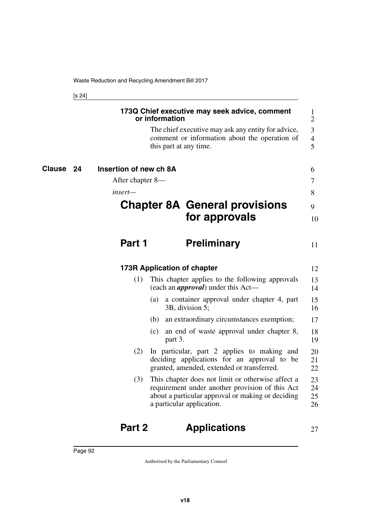[s 24]

|                     |                        | 173Q Chief executive may seek advice, comment<br>or information                                                                                                                        | 1<br>$\overline{2}$      |
|---------------------|------------------------|----------------------------------------------------------------------------------------------------------------------------------------------------------------------------------------|--------------------------|
|                     |                        | The chief executive may ask any entity for advice,<br>comment or information about the operation of<br>this part at any time.                                                          | 3<br>$\overline{4}$<br>5 |
| <b>Clause</b><br>24 | Insertion of new ch 8A |                                                                                                                                                                                        | 6                        |
|                     | After chapter 8—       |                                                                                                                                                                                        | 7                        |
|                     | insert—                |                                                                                                                                                                                        | 8                        |
|                     |                        | <b>Chapter 8A General provisions</b>                                                                                                                                                   | 9                        |
|                     |                        | for approvals                                                                                                                                                                          | 10                       |
|                     | Part 1                 | <b>Preliminary</b>                                                                                                                                                                     | 11                       |
|                     |                        | <b>173R Application of chapter</b>                                                                                                                                                     | 12                       |
|                     | (1)                    | This chapter applies to the following approvals<br>(each an <i>approval</i> ) under this Act—                                                                                          | 13<br>14                 |
|                     |                        | (a) a container approval under chapter 4, part<br>3B, division 5;                                                                                                                      | 15<br>16                 |
|                     |                        | (b) an extraordinary circumstances exemption;                                                                                                                                          | 17                       |
|                     |                        | an end of waste approval under chapter 8,<br>(c)<br>part 3.                                                                                                                            | 18<br>19                 |
|                     | (2)                    | In particular, part 2 applies to making and<br>deciding applications for an approval to be<br>granted, amended, extended or transferred.                                               | 20<br>21<br>22           |
|                     | (3)                    | This chapter does not limit or otherwise affect a<br>requirement under another provision of this Act<br>about a particular approval or making or deciding<br>a particular application. | 23<br>24<br>25<br>26     |
|                     |                        |                                                                                                                                                                                        |                          |

## **Part 2 Applications**

27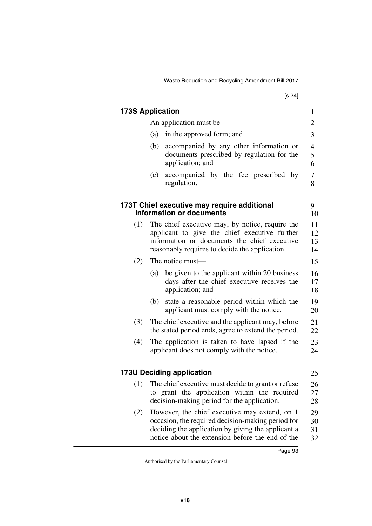|     | <b>173S Application</b>                                                                                                                                                                                      | $\mathbf{1}$             |
|-----|--------------------------------------------------------------------------------------------------------------------------------------------------------------------------------------------------------------|--------------------------|
|     | An application must be—                                                                                                                                                                                      | 2                        |
|     | in the approved form; and<br>(a)                                                                                                                                                                             | 3                        |
|     | (b)<br>accompanied by any other information or<br>documents prescribed by regulation for the<br>application; and                                                                                             | $\overline{4}$<br>5<br>6 |
|     | accompanied by the fee prescribed by<br>(c)<br>regulation.                                                                                                                                                   | 7<br>8                   |
|     | 173T Chief executive may require additional<br>information or documents                                                                                                                                      | 9<br>10                  |
| (1) | The chief executive may, by notice, require the<br>applicant to give the chief executive further<br>information or documents the chief executive<br>reasonably requires to decide the application.           | 11<br>12<br>13<br>14     |
| (2) | The notice must-                                                                                                                                                                                             | 15                       |
|     | be given to the applicant within 20 business<br>(a)<br>days after the chief executive receives the<br>application; and                                                                                       | 16<br>17<br>18           |
|     | state a reasonable period within which the<br>(b)<br>applicant must comply with the notice.                                                                                                                  | 19<br>20                 |
| (3) | The chief executive and the applicant may, before<br>the stated period ends, agree to extend the period.                                                                                                     | 21<br>22                 |
| (4) | The application is taken to have lapsed if the<br>applicant does not comply with the notice.                                                                                                                 | 23<br>24                 |
|     | <b>173U Deciding application</b>                                                                                                                                                                             | 25                       |
|     | (1) The chief executive must decide to grant or refuse<br>to grant the application within the required<br>decision-making period for the application.                                                        | 26<br>27<br>28           |
| (2) | However, the chief executive may extend, on 1<br>occasion, the required decision-making period for<br>deciding the application by giving the applicant a<br>notice about the extension before the end of the | 29<br>30<br>31<br>32     |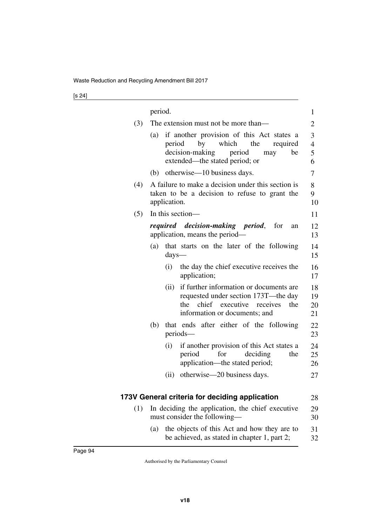|     | period. |                  |                                                                                                                                                                  | 1                    |
|-----|---------|------------------|------------------------------------------------------------------------------------------------------------------------------------------------------------------|----------------------|
| (3) |         |                  | The extension must not be more than—                                                                                                                             | 2                    |
|     | (a)     | period           | if another provision of this Act states a<br>by<br>which<br>the<br>required<br>decision-making period<br>be<br>may<br>extended—the stated period; or             | 3<br>4<br>5<br>6     |
|     |         |                  | (b) otherwise—10 business days.                                                                                                                                  | 7                    |
| (4) |         | application.     | A failure to make a decision under this section is<br>taken to be a decision to refuse to grant the                                                              | 8<br>9<br>10         |
| (5) |         |                  | In this section—                                                                                                                                                 | 11                   |
|     |         |                  | required decision-making period,<br>for<br>an<br>application, means the period—                                                                                  | 12<br>13             |
|     | (a)     | $\frac{days}{x}$ | that starts on the later of the following                                                                                                                        | 14<br>15             |
|     |         | (i)              | the day the chief executive receives the<br>application;                                                                                                         | 16<br>17             |
|     |         | (ii)             | if further information or documents are<br>requested under section 173T—the day<br>chief<br>executive<br>the<br>receives<br>the<br>information or documents; and | 18<br>19<br>20<br>21 |
|     | (b)     |                  | that ends after either of the following<br>periods—                                                                                                              | 22<br>23             |
|     |         | (i)              | if another provision of this Act states a<br>for<br>deciding<br>period<br>the<br>application—the stated period;                                                  | 24<br>25<br>26       |
|     |         | (ii)             | otherwise—20 business days.                                                                                                                                      | 27                   |
|     |         |                  | 173V General criteria for deciding application                                                                                                                   | 28                   |
| (1) |         |                  | In deciding the application, the chief executive                                                                                                                 | 29                   |
|     |         |                  | must consider the following-                                                                                                                                     | 30                   |
|     | (a)     |                  | the objects of this Act and how they are to                                                                                                                      | 31                   |

be achieved, as stated in chapter 1, part 2;

32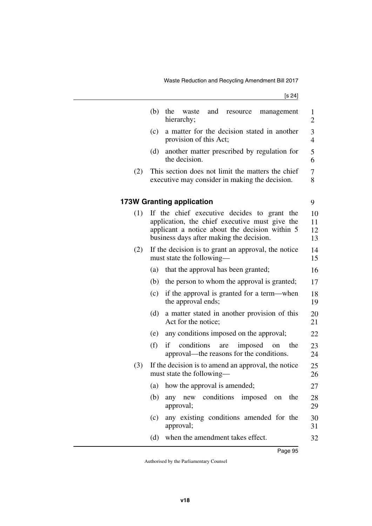[s 24]

|     | (b)<br>the<br>and<br>waste<br>resource<br>management<br>hierarchy;                                                                                                                          | 1<br>2               |
|-----|---------------------------------------------------------------------------------------------------------------------------------------------------------------------------------------------|----------------------|
|     | a matter for the decision stated in another<br>(c)<br>provision of this Act;                                                                                                                | 3<br>$\overline{4}$  |
|     | another matter prescribed by regulation for<br>(d)<br>the decision.                                                                                                                         | 5<br>6               |
| (2) | This section does not limit the matters the chief<br>executive may consider in making the decision.                                                                                         | 7<br>8               |
|     | <b>173W Granting application</b>                                                                                                                                                            | 9                    |
| (1) | If the chief executive decides to grant the<br>application, the chief executive must give the<br>applicant a notice about the decision within 5<br>business days after making the decision. | 10<br>11<br>12<br>13 |
| (2) | If the decision is to grant an approval, the notice<br>must state the following—                                                                                                            | 14<br>15             |
|     | that the approval has been granted;<br>(a)                                                                                                                                                  | 16                   |
|     | (b)<br>the person to whom the approval is granted;                                                                                                                                          | 17                   |
|     | if the approval is granted for a term—when<br>(c)<br>the approval ends;                                                                                                                     | 18<br>19             |
|     | (d)<br>a matter stated in another provision of this<br>Act for the notice;                                                                                                                  | 20<br>21             |
|     | any conditions imposed on the approval;<br>(e)                                                                                                                                              | 22                   |
|     | (f)<br>conditions<br>if<br>are<br>imposed<br>the<br>on<br>approval—the reasons for the conditions.                                                                                          | 23<br>24             |
| (3) | If the decision is to amend an approval, the notice<br>must state the following-                                                                                                            | 25<br>26             |
|     | (a) how the approval is amended;                                                                                                                                                            | 27                   |
|     | any new conditions imposed on the<br>(b)<br>approval;                                                                                                                                       | 28<br>29             |
|     | any existing conditions amended for the<br>(c)<br>approval;                                                                                                                                 | 30<br>31             |
|     | when the amendment takes effect.<br>(d)                                                                                                                                                     | 32                   |
|     |                                                                                                                                                                                             |                      |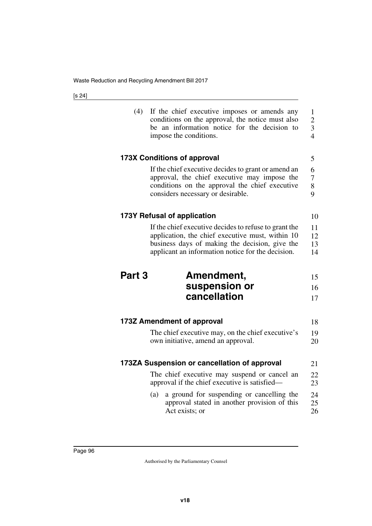| (4)               | If the chief executive imposes or amends any<br>conditions on the approval, the notice must also<br>be an information notice for the decision to<br>impose the conditions.                                       | $\mathbf{1}$<br>$\overline{c}$<br>3<br>$\overline{4}$ |
|-------------------|------------------------------------------------------------------------------------------------------------------------------------------------------------------------------------------------------------------|-------------------------------------------------------|
|                   | <b>173X Conditions of approval</b>                                                                                                                                                                               | 5                                                     |
|                   | If the chief executive decides to grant or amend an<br>approval, the chief executive may impose the<br>conditions on the approval the chief executive<br>considers necessary or desirable.                       | 6<br>7<br>8<br>9                                      |
|                   | 173Y Refusal of application                                                                                                                                                                                      | 10                                                    |
|                   | If the chief executive decides to refuse to grant the<br>application, the chief executive must, within 10<br>business days of making the decision, give the<br>applicant an information notice for the decision. | 11<br>12<br>13<br>14                                  |
|                   |                                                                                                                                                                                                                  |                                                       |
| Part <sub>3</sub> | Amendment,<br>suspension or<br>cancellation                                                                                                                                                                      | 15<br>16<br>17                                        |
|                   | 173Z Amendment of approval                                                                                                                                                                                       | 18                                                    |
|                   | The chief executive may, on the chief executive's<br>own initiative, amend an approval.                                                                                                                          | 19<br>20                                              |
|                   | 173ZA Suspension or cancellation of approval                                                                                                                                                                     | 21                                                    |
|                   | The chief executive may suspend or cancel an<br>approval if the chief executive is satisfied—                                                                                                                    | 22<br>23                                              |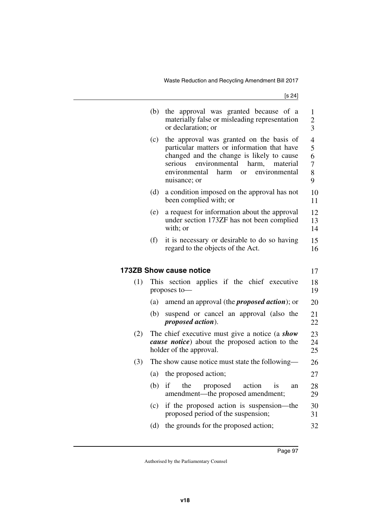|     | (b)  | the approval was granted because of a<br>materially false or misleading representation<br>or declaration; or                                                                                                                                                     | $\mathbf{1}$<br>$\overline{c}$<br>3     |
|-----|------|------------------------------------------------------------------------------------------------------------------------------------------------------------------------------------------------------------------------------------------------------------------|-----------------------------------------|
|     | (c)  | the approval was granted on the basis of<br>particular matters or information that have<br>changed and the change is likely to cause<br>serious<br>environmental<br>harm,<br>material<br>environmental<br>harm<br>environmental<br><sub>or</sub><br>nuisance; or | 4<br>5<br>6<br>$\overline{7}$<br>8<br>9 |
|     | (d)  | a condition imposed on the approval has not<br>been complied with; or                                                                                                                                                                                            | 10<br>11                                |
|     | (e)  | a request for information about the approval<br>under section 173ZF has not been complied<br>with; or                                                                                                                                                            | 12<br>13<br>14                          |
|     | (f)  | it is necessary or desirable to do so having<br>regard to the objects of the Act.                                                                                                                                                                                | 15<br>16                                |
|     |      | <b>173ZB Show cause notice</b>                                                                                                                                                                                                                                   | 17                                      |
| (1) | This | section applies if the chief executive<br>proposes to-                                                                                                                                                                                                           | 18<br>19                                |
|     | (a)  | amend an approval (the <i>proposed action</i> ); or                                                                                                                                                                                                              | 20                                      |
|     | (b)  | suspend or cancel an approval (also the<br>proposed action).                                                                                                                                                                                                     | 21<br>22                                |
| (2) |      | The chief executive must give a notice (a show<br>cause notice) about the proposed action to the<br>holder of the approval.                                                                                                                                      | 23<br>24<br>25                          |
| (3) |      | The show cause notice must state the following—                                                                                                                                                                                                                  | 26                                      |
|     | (a)  | the proposed action;                                                                                                                                                                                                                                             | 27                                      |
|     | (b)  | if<br>the<br>proposed<br>action<br>is<br>an<br>amendment—the proposed amendment;                                                                                                                                                                                 | 28<br>29                                |
|     | (c)  | if the proposed action is suspension—the<br>proposed period of the suspension;                                                                                                                                                                                   | 30<br>31                                |
|     | (d)  | the grounds for the proposed action;                                                                                                                                                                                                                             | 32                                      |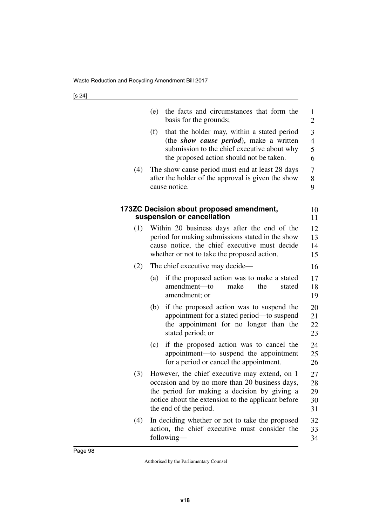|     | (e)<br>the facts and circumstances that form the<br>basis for the grounds;                                                                                                                                                      | $\mathbf{1}$<br>$\overline{2}$ |
|-----|---------------------------------------------------------------------------------------------------------------------------------------------------------------------------------------------------------------------------------|--------------------------------|
|     | (f)<br>that the holder may, within a stated period<br>(the show cause period), make a written<br>submission to the chief executive about why<br>the proposed action should not be taken.                                        | 3<br>$\overline{4}$<br>5<br>6  |
| (4) | The show cause period must end at least 28 days<br>after the holder of the approval is given the show<br>cause notice.                                                                                                          | $\boldsymbol{7}$<br>8<br>9     |
|     | 173ZC Decision about proposed amendment,<br>suspension or cancellation                                                                                                                                                          | 10<br>11                       |
| (1) | Within 20 business days after the end of the<br>period for making submissions stated in the show<br>cause notice, the chief executive must decide<br>whether or not to take the proposed action.                                | 12<br>13<br>14<br>15           |
| (2) | The chief executive may decide—                                                                                                                                                                                                 | 16                             |
|     | if the proposed action was to make a stated<br>(a)<br>amendment-to<br>make<br>the<br>stated<br>amendment; or                                                                                                                    | 17<br>18<br>19                 |
|     | if the proposed action was to suspend the<br>(b)<br>appointment for a stated period—to suspend<br>the appointment for no longer than the<br>stated period; or                                                                   | 20<br>21<br>22<br>23           |
|     | if the proposed action was to cancel the<br>(c)<br>appointment-to suspend the appointment<br>for a period or cancel the appointment.                                                                                            | 24<br>25<br>26                 |
| (3) | However, the chief executive may extend, on 1<br>occasion and by no more than 20 business days,<br>the period for making a decision by giving a<br>notice about the extension to the applicant before<br>the end of the period. | 27<br>28<br>29<br>30<br>31     |
| (4) | In deciding whether or not to take the proposed<br>action, the chief executive must consider the<br>following—                                                                                                                  | 32<br>33<br>34                 |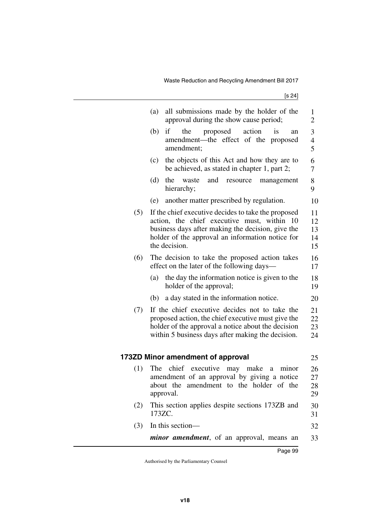|     | (a)<br>all submissions made by the holder of the<br>approval during the show cause period;                                                                                                                                   | 1<br>$\overline{2}$                |
|-----|------------------------------------------------------------------------------------------------------------------------------------------------------------------------------------------------------------------------------|------------------------------------|
|     | (b)<br>proposed<br>action<br>is<br>if<br>the<br>an<br>amendment—the effect of the proposed<br>amendment;                                                                                                                     | 3<br>$\overline{\mathcal{L}}$<br>5 |
|     | the objects of this Act and how they are to<br>(c)<br>be achieved, as stated in chapter 1, part 2;                                                                                                                           | 6<br>7                             |
|     | (d)<br>the<br>and<br>waste<br>resource<br>management<br>hierarchy;                                                                                                                                                           | 8<br>9                             |
|     | another matter prescribed by regulation.<br>(e)                                                                                                                                                                              | 10                                 |
| (5) | If the chief executive decides to take the proposed<br>action, the chief executive must, within 10<br>business days after making the decision, give the<br>holder of the approval an information notice for<br>the decision. | 11<br>12<br>13<br>14<br>15         |
| (6) | The decision to take the proposed action takes<br>effect on the later of the following days—                                                                                                                                 | 16<br>17                           |
|     | the day the information notice is given to the<br>(a)<br>holder of the approval;                                                                                                                                             | 18<br>19                           |
|     | a day stated in the information notice.<br>(b)                                                                                                                                                                               | 20                                 |
| (7) | If the chief executive decides not to take the<br>proposed action, the chief executive must give the<br>holder of the approval a notice about the decision<br>within 5 business days after making the decision.              | 21<br>22<br>23<br>24               |
|     | 173ZD Minor amendment of approval                                                                                                                                                                                            | 25                                 |
| (1) | The<br>chief executive may make a<br>minor<br>amendment of an approval by giving a notice<br>about the amendment to the holder of the<br>approval.                                                                           | 26<br>27<br>28<br>29               |
| (2) | This section applies despite sections 173ZB and<br>173ZC.                                                                                                                                                                    | 30<br>31                           |
| (3) | In this section-                                                                                                                                                                                                             | 32                                 |
|     | <i>minor amendment</i> , of an approval, means an                                                                                                                                                                            | 33                                 |
|     |                                                                                                                                                                                                                              |                                    |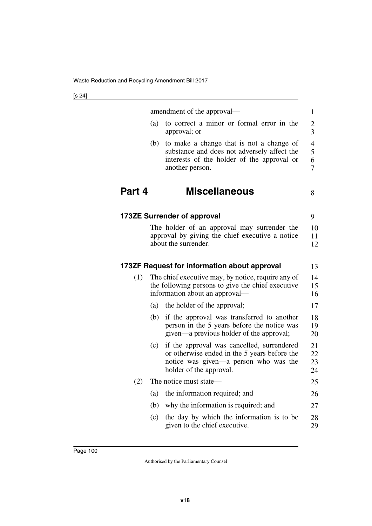|        |     | amendment of the approval—                                                                                                                                     | 1                                            |
|--------|-----|----------------------------------------------------------------------------------------------------------------------------------------------------------------|----------------------------------------------|
|        | (a) | to correct a minor or formal error in the<br>approval; or                                                                                                      | $\overline{c}$<br>$\overline{3}$             |
|        | (b) | to make a change that is not a change of<br>substance and does not adversely affect the<br>interests of the holder of the approval or<br>another person.       | 4<br>5<br>$\boldsymbol{6}$<br>$\overline{7}$ |
| Part 4 |     | <b>Miscellaneous</b>                                                                                                                                           | 8                                            |
|        |     | <b>173ZE Surrender of approval</b>                                                                                                                             | 9                                            |
|        |     | The holder of an approval may surrender the<br>approval by giving the chief executive a notice<br>about the surrender.                                         | 10<br>11<br>12                               |
|        |     | 173ZF Request for information about approval                                                                                                                   | 13                                           |
| (1)    |     | The chief executive may, by notice, require any of<br>the following persons to give the chief executive<br>information about an approval—                      | 14<br>15<br>16                               |
|        | (a) | the holder of the approval;                                                                                                                                    | 17                                           |
|        | (b) | if the approval was transferred to another<br>person in the 5 years before the notice was<br>given—a previous holder of the approval;                          | 18<br>19<br>20                               |
|        | (c) | if the approval was cancelled, surrendered<br>or otherwise ended in the 5 years before the<br>notice was given—a person who was the<br>holder of the approval. | 21<br>22<br>23<br>24                         |
| (2)    |     | The notice must state—                                                                                                                                         | 25                                           |
|        | (a) | the information required; and                                                                                                                                  | 26                                           |
|        | (b) | why the information is required; and                                                                                                                           | 27                                           |
|        | (c) | the day by which the information is to be<br>given to the chief executive.                                                                                     | 28<br>29                                     |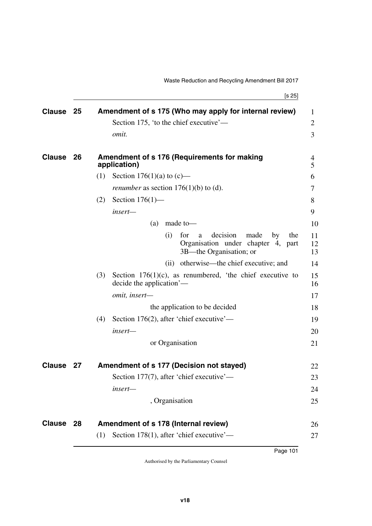[s 25]

| <b>Clause</b> | 25  | Amendment of s 175 (Who may apply for internal review)                                                            | 1              |
|---------------|-----|-------------------------------------------------------------------------------------------------------------------|----------------|
|               |     | Section 175, 'to the chief executive'—                                                                            | $\overline{2}$ |
|               |     | omit.                                                                                                             | 3              |
| <b>Clause</b> | 26  | Amendment of s 176 (Requirements for making<br>application)                                                       | 4<br>5         |
|               |     | Section 176(1)(a) to $(c)$ —<br>(1)                                                                               | 6              |
|               |     | <i>renumber</i> as section $176(1)(b)$ to (d).                                                                    | 7              |
|               |     | Section $176(1)$ —<br>(2)                                                                                         | 8              |
|               |     | insert-                                                                                                           | 9              |
|               |     | made to-<br>(a)                                                                                                   | 10             |
|               |     | decision<br>(i)<br>made<br>the<br>for<br>by<br>a<br>Organisation under chapter 4, part<br>3B—the Organisation; or | 11<br>12<br>13 |
|               |     | otherwise—the chief executive; and<br>(ii)                                                                        | 14             |
|               |     | (3)<br>Section $176(1)(c)$ , as renumbered, 'the chief executive to<br>decide the application'—                   | 15<br>16       |
|               |     | omit, insert-                                                                                                     | 17             |
|               |     | the application to be decided                                                                                     | 18             |
|               |     | Section 176(2), after 'chief executive'—<br>(4)                                                                   | 19             |
|               |     | insert-                                                                                                           | 20             |
|               |     | or Organisation                                                                                                   | 21             |
| <b>Clause</b> | -27 | Amendment of s 177 (Decision not stayed)                                                                          | 22             |
|               |     | Section 177(7), after 'chief executive'—                                                                          | 23             |
|               |     | insert—                                                                                                           | 24             |
|               |     | , Organisation                                                                                                    | 25             |
| <b>Clause</b> | 28  | Amendment of s 178 (Internal review)                                                                              | 26             |
|               |     | Section 178(1), after 'chief executive'—<br>(1)                                                                   | 27             |
|               |     | Page 101                                                                                                          |                |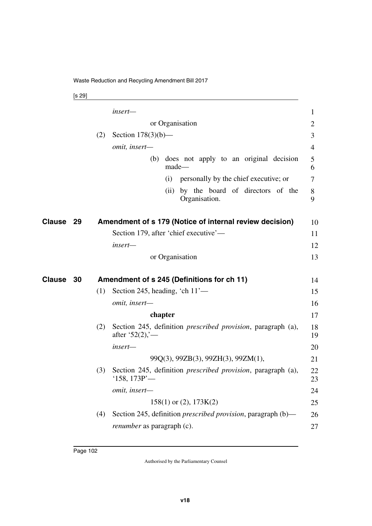[s 29]

|        |    |     | insert-                               |         |                                                                      | 1        |
|--------|----|-----|---------------------------------------|---------|----------------------------------------------------------------------|----------|
|        |    |     |                                       |         | or Organisation                                                      | 2        |
|        |    | (2) | Section $178(3)(b)$ —                 |         |                                                                      | 3        |
|        |    |     | omit, insert-                         |         |                                                                      | 4        |
|        |    |     | (b)                                   |         | does not apply to an original decision<br>made-                      | 5<br>6   |
|        |    |     |                                       | (i)     | personally by the chief executive; or                                | 7        |
|        |    |     |                                       | (ii)    | by the board of directors of the<br>Organisation.                    | 8<br>9   |
| Clause | 29 |     |                                       |         | Amendment of s 179 (Notice of internal review decision)              | 10       |
|        |    |     | Section 179, after 'chief executive'— |         |                                                                      | 11       |
|        |    |     | insert-                               |         |                                                                      | 12       |
|        |    |     |                                       |         | or Organisation                                                      | 13       |
| Clause | 30 |     |                                       |         | Amendment of s 245 (Definitions for ch 11)                           | 14       |
|        |    | (1) | Section 245, heading, 'ch $11'$ —     |         |                                                                      | 15       |
|        |    |     | omit, insert-                         |         |                                                                      | 16       |
|        |    |     |                                       | chapter |                                                                      | 17       |
|        |    | (2) | after '52 $(2)$ '—                    |         | Section 245, definition <i>prescribed provision</i> , paragraph (a), | 18<br>19 |
|        |    |     | insert-                               |         |                                                                      | 20       |
|        |    |     |                                       |         | 99Q(3), 99ZB(3), 99ZH(3), 99ZM(1),                                   | 21       |
|        |    | (3) | $'158, 173P'$ —                       |         | Section 245, definition <i>prescribed provision</i> , paragraph (a), | 22<br>23 |
|        |    |     | omit, insert-                         |         |                                                                      | 24       |
|        |    |     |                                       |         | $158(1)$ or (2), $173K(2)$                                           | 25       |
|        |    | (4) |                                       |         | Section 245, definition <i>prescribed provision</i> , paragraph (b)— | 26       |
|        |    |     | <i>renumber</i> as paragraph (c).     |         |                                                                      | 27       |
|        |    |     |                                       |         |                                                                      |          |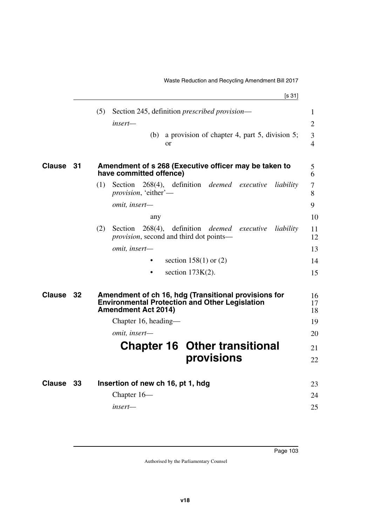|               |    | (5)<br>Section 245, definition <i>prescribed provision</i> —<br>$insert-$<br>a provision of chapter 4, part 5, division 5;<br>(b)<br><sub>or</sub>                                   | $\mathbf{1}$<br>$\overline{2}$<br>3<br>$\overline{4}$ |
|---------------|----|--------------------------------------------------------------------------------------------------------------------------------------------------------------------------------------|-------------------------------------------------------|
| <b>Clause</b> | 31 | Amendment of s 268 (Executive officer may be taken to<br>have committed offence)                                                                                                     | 5<br>6                                                |
|               |    | Section 268(4), definition <i>deemed</i> executive<br>(1)<br>liability<br><i>provision</i> , 'either'-                                                                               | $\tau$<br>8                                           |
|               |    | omit, insert-<br>any                                                                                                                                                                 | 9<br>10                                               |
|               |    | 268(4), definition <i>deemed</i> executive<br>(2)<br>Section<br>liability<br><i>provision</i> , second and third dot points—                                                         | 11<br>12                                              |
|               |    | omit, insert-                                                                                                                                                                        | 13                                                    |
|               |    | section $158(1)$ or $(2)$                                                                                                                                                            | 14                                                    |
|               |    | section $173K(2)$ .                                                                                                                                                                  | 15                                                    |
| <b>Clause</b> | 32 | Amendment of ch 16, hdg (Transitional provisions for<br><b>Environmental Protection and Other Legislation</b><br><b>Amendment Act 2014)</b><br>Chapter 16, heading—<br>omit, insert- | 16<br>17<br>18<br>19<br>20                            |
|               |    | <b>Chapter 16 Other transitional</b>                                                                                                                                                 | 21                                                    |
|               |    | provisions                                                                                                                                                                           | 22                                                    |
| <b>Clause</b> | 33 | Insertion of new ch 16, pt 1, hdg                                                                                                                                                    | 23                                                    |
|               |    | Chapter $16-$                                                                                                                                                                        | 24                                                    |
|               |    | insert-                                                                                                                                                                              | 25                                                    |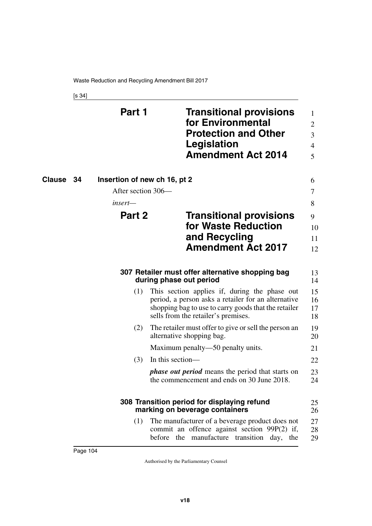[s 34]

|                     | Part 1                       | <b>Transitional provisions</b><br>for Environmental<br><b>Protection and Other</b><br>Legislation<br><b>Amendment Act 2014</b>                                                                      | 1<br>2<br>3<br>4<br>5 |
|---------------------|------------------------------|-----------------------------------------------------------------------------------------------------------------------------------------------------------------------------------------------------|-----------------------|
| <b>Clause</b><br>34 | Insertion of new ch 16, pt 2 |                                                                                                                                                                                                     | 6                     |
|                     | After section 306—           |                                                                                                                                                                                                     | 7                     |
|                     | insert—                      |                                                                                                                                                                                                     | 8                     |
|                     | Part 2                       | <b>Transitional provisions</b>                                                                                                                                                                      | 9                     |
|                     |                              | for Waste Reduction                                                                                                                                                                                 | 10                    |
|                     |                              | and Recycling                                                                                                                                                                                       | 11                    |
|                     |                              | <b>Amendment Act 2017</b>                                                                                                                                                                           | 12                    |
|                     |                              | 307 Retailer must offer alternative shopping bag<br>during phase out period                                                                                                                         | 13<br>14              |
|                     | (1)                          | This section applies if, during the phase out<br>period, a person asks a retailer for an alternative<br>shopping bag to use to carry goods that the retailer<br>sells from the retailer's premises. | 15<br>16<br>17<br>18  |
|                     | (2)                          | The retailer must offer to give or sell the person an<br>alternative shopping bag.                                                                                                                  | 19<br>20              |
|                     |                              | Maximum penalty—50 penalty units.                                                                                                                                                                   | 21                    |
|                     | (3)                          | In this section—                                                                                                                                                                                    | 22                    |
|                     |                              | <i>phase out period</i> means the period that starts on<br>the commencement and ends on 30 June 2018.                                                                                               | 23<br>24              |
|                     |                              | 308 Transition period for displaying refund<br>marking on beverage containers                                                                                                                       | 25<br>26              |
|                     | (1)                          | The manufacturer of a beverage product does not<br>commit an offence against section 99P(2) if,<br>before the manufacture transition day, the                                                       | 27<br>28<br>29        |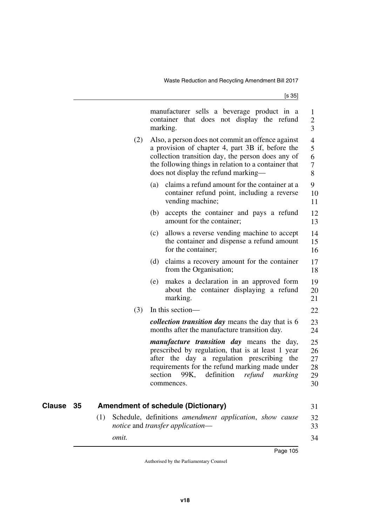|     |       |         | manufacturer sells a beverage product in a<br>container that does not display the refund<br>marking.                                                                                                                                                          | $\mathbf 1$<br>$\overline{c}$<br>$\overline{3}$ |
|-----|-------|---------|---------------------------------------------------------------------------------------------------------------------------------------------------------------------------------------------------------------------------------------------------------------|-------------------------------------------------|
|     | (2)   |         | Also, a person does not commit an offence against<br>a provision of chapter 4, part 3B if, before the<br>collection transition day, the person does any of<br>the following things in relation to a container that<br>does not display the refund marking—    | $\overline{4}$<br>5<br>6<br>$\overline{7}$<br>8 |
|     |       | (a)     | claims a refund amount for the container at a<br>container refund point, including a reverse<br>vending machine;                                                                                                                                              | 9<br>10<br>11                                   |
|     |       | (b)     | accepts the container and pays a refund<br>amount for the container;                                                                                                                                                                                          | 12<br>13                                        |
|     |       | (c)     | allows a reverse vending machine to accept<br>the container and dispense a refund amount<br>for the container;                                                                                                                                                | 14<br>15<br>16                                  |
|     |       | (d)     | claims a recovery amount for the container<br>from the Organisation;                                                                                                                                                                                          | 17<br>18                                        |
|     |       | (e)     | makes a declaration in an approved form<br>about the container displaying a refund<br>marking.                                                                                                                                                                | 19<br>20<br>21                                  |
|     | (3)   |         | In this section-                                                                                                                                                                                                                                              | 22                                              |
|     |       |         | <i>collection transition day</i> means the day that is 6<br>months after the manufacture transition day.                                                                                                                                                      | 23<br>24                                        |
|     |       | section | <i>manufacture transition day</i> means the day,<br>prescribed by regulation, that is at least 1 year<br>after the day a regulation prescribing the<br>requirements for the refund marking made under<br>99K,<br>definition<br>refund<br>marking<br>commences | 25<br>26<br>27<br>28<br>29<br>30                |
|     |       |         |                                                                                                                                                                                                                                                               |                                                 |
|     |       |         | <b>Amendment of schedule (Dictionary)</b>                                                                                                                                                                                                                     | 31                                              |
| (1) |       |         | Schedule, definitions amendment application, show cause<br>notice and transfer application-                                                                                                                                                                   | 32<br>33                                        |
|     | omit. |         |                                                                                                                                                                                                                                                               | 34                                              |

*omit.*

**Clause** 35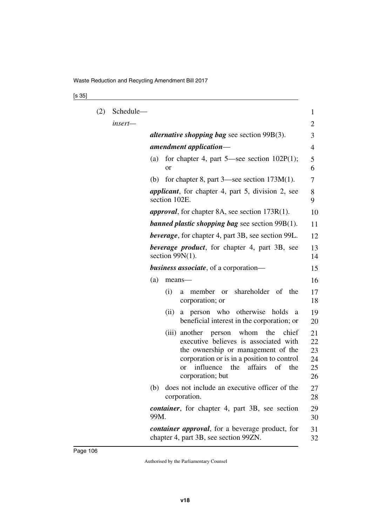## [s 35]

| (2) | Schedule- |                                                                                                                                                                                                                                                               | 1                                |
|-----|-----------|---------------------------------------------------------------------------------------------------------------------------------------------------------------------------------------------------------------------------------------------------------------|----------------------------------|
|     | insert-   |                                                                                                                                                                                                                                                               | 2                                |
|     |           | <i>alternative shopping bag see section 99B(3).</i>                                                                                                                                                                                                           | 3                                |
|     |           | amendment application-                                                                                                                                                                                                                                        | 4                                |
|     |           | for chapter 4, part $5$ —see section $102P(1)$ ;<br>(a)<br>or                                                                                                                                                                                                 | 5<br>6                           |
|     |           | for chapter 8, part $3$ —see section 173M $(1)$ .<br>(b)                                                                                                                                                                                                      | 7                                |
|     |           | <i>applicant</i> , for chapter 4, part 5, division 2, see<br>section 102E.                                                                                                                                                                                    | 8<br>9                           |
|     |           | <i>approval</i> , for chapter 8A, see section 173R(1).                                                                                                                                                                                                        | 10                               |
|     |           | <b>banned plastic shopping bag</b> see section $99B(1)$ .                                                                                                                                                                                                     | 11                               |
|     |           | <b>beverage</b> , for chapter 4, part 3B, see section 99L.                                                                                                                                                                                                    | 12                               |
|     |           | <i>beverage product</i> , for chapter 4, part 3B, see<br>section $99N(1)$ .                                                                                                                                                                                   | 13<br>14                         |
|     |           | <b>business associate</b> , of a corporation—                                                                                                                                                                                                                 | 15                               |
|     |           | (a)<br>means-                                                                                                                                                                                                                                                 | 16                               |
|     |           | shareholder of the<br>(i)<br>member<br><sub>or</sub><br>a<br>corporation; or                                                                                                                                                                                  | 17<br>18                         |
|     |           | a person who<br>otherwise<br>(ii)<br>holds<br>a<br>beneficial interest in the corporation; or                                                                                                                                                                 | 19<br>20                         |
|     |           | another person<br>whom<br>the<br>chief<br>(iii)<br>executive believes is associated with<br>the ownership or management of the<br>corporation or is in a position to control<br>influence<br>affairs<br>of<br>the<br>the<br><sub>or</sub><br>corporation; but | 21<br>22<br>23<br>24<br>25<br>26 |
|     |           | does not include an executive officer of the<br>(b)<br>corporation.                                                                                                                                                                                           | 27<br>28                         |
|     |           | container, for chapter 4, part 3B, see section<br>99M.                                                                                                                                                                                                        | 29<br>30                         |
|     |           | <i>container approval</i> , for a beverage product, for<br>chapter 4, part 3B, see section 99ZN.                                                                                                                                                              | 31<br>32                         |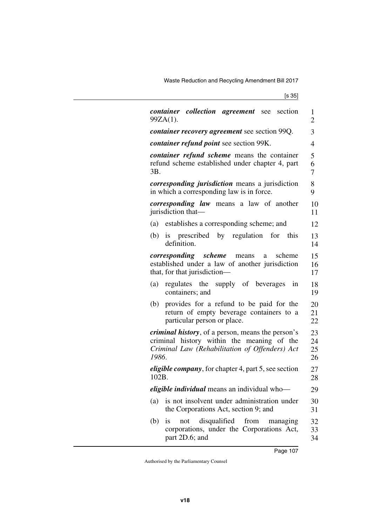Waste Reduction and Recycling Amendment Bill 2017

[s 35]

| <i>container collection agreement</i> see section<br>99ZA(1).                                                                                                      | 1<br>$\overline{2}$  |
|--------------------------------------------------------------------------------------------------------------------------------------------------------------------|----------------------|
| <i>container recovery agreement</i> see section 99Q.                                                                                                               | 3                    |
| container refund point see section 99K.                                                                                                                            | 4                    |
| <i>container refund scheme</i> means the container<br>refund scheme established under chapter 4, part<br>3B.                                                       | 5<br>6<br>7          |
| <i>corresponding jurisdiction</i> means a jurisdiction<br>in which a corresponding law is in force.                                                                | 8<br>9               |
| <i>corresponding law</i> means a law of another<br>jurisdiction that—                                                                                              | 10<br>11             |
| (a) establishes a corresponding scheme; and                                                                                                                        | 12                   |
| (b)<br>is prescribed by regulation for<br>this<br>definition.                                                                                                      | 13<br>14             |
| <i>corresponding scheme</i> means<br>scheme<br>a<br>established under a law of another jurisdiction<br>that, for that jurisdiction—                                | 15<br>16<br>17       |
| regulates the supply of beverages<br>(a)<br>in<br>containers; and                                                                                                  | 18<br>19             |
| provides for a refund to be paid for the<br>(b)<br>return of empty beverage containers to a<br>particular person or place.                                         | 20<br>21<br>22       |
| <i>criminal history</i> , of a person, means the person's<br>criminal history within the meaning of the<br>Criminal Law (Rehabilitation of Offenders) Act<br>1986. | 23<br>24<br>25<br>26 |
| <i>eligible company</i> , for chapter 4, part 5, see section<br>102B.                                                                                              | 27<br>28             |
| <i>eligible individual</i> means an individual who-                                                                                                                | 29                   |
| is not insolvent under administration under<br>(a)<br>the Corporations Act, section 9; and                                                                         | 30<br>31             |
| disqualified from<br>(b)<br><i>is</i><br>not<br>managing<br>corporations, under the Corporations Act,<br>part 2D.6; and                                            | 32<br>33<br>34       |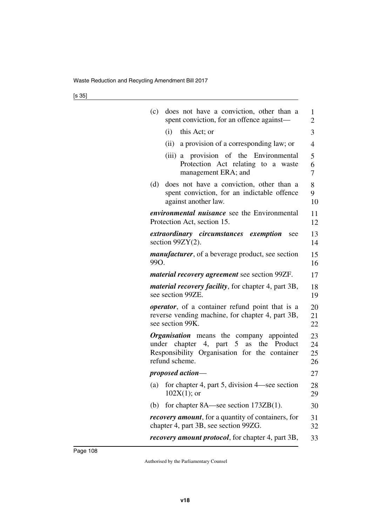| (c)  | does not have a conviction, other than a<br>spent conviction, for an offence against—                                                                 | 1<br>2               |
|------|-------------------------------------------------------------------------------------------------------------------------------------------------------|----------------------|
|      | (i)<br>this Act; or                                                                                                                                   | 3                    |
|      | (ii) a provision of a corresponding law; or                                                                                                           | $\overline{4}$       |
|      | (iii) a provision of the Environmental<br>Protection Act relating to a waste<br>management ERA; and                                                   | 5<br>6<br>7          |
| (d)  | does not have a conviction, other than a<br>spent conviction, for an indictable offence<br>against another law.                                       | 8<br>9<br>10         |
|      | <i>environmental nuisance</i> see the Environmental<br>Protection Act, section 15.                                                                    | 11<br>12             |
|      | extraordinary circumstances exemption<br>see<br>section $99ZY(2)$ .                                                                                   | 13<br>14             |
| 99O. | <i>manufacturer</i> , of a beverage product, see section                                                                                              | 15<br>16             |
|      | <i>material recovery agreement</i> see section 99ZF.                                                                                                  | 17                   |
|      | <i>material recovery facility</i> , for chapter 4, part 3B,<br>see section 99ZE.                                                                      | 18<br>19             |
|      | <i>operator</i> , of a container refund point that is a<br>reverse vending machine, for chapter 4, part 3B,<br>see section 99K.                       | 20<br>21<br>22       |
|      | Organisation means the company appointed<br>under chapter 4, part 5 as the Product<br>Responsibility Organisation for the container<br>refund scheme. | 23<br>24<br>25<br>26 |
|      | proposed action-                                                                                                                                      | 27                   |
|      | (a) for chapter 4, part 5, division 4—see section<br>$102X(1)$ ; or                                                                                   | 28<br>29             |
| (b)  | for chapter $8A$ —see section $173ZB(1)$ .                                                                                                            | 30                   |
|      | recovery amount, for a quantity of containers, for<br>chapter 4, part 3B, see section 99ZG.                                                           | 31<br>32             |
|      | <i>recovery amount protocol</i> , for chapter 4, part 3B,                                                                                             | 33                   |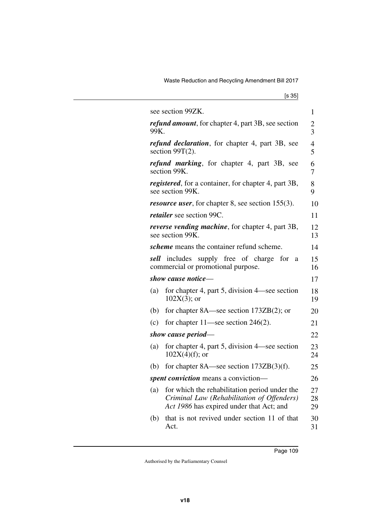|                    | see section 99ZK.                                                                                                                       | 1                   |
|--------------------|-----------------------------------------------------------------------------------------------------------------------------------------|---------------------|
| 99K.               | refund amount, for chapter 4, part 3B, see section                                                                                      | 2<br>3              |
|                    | refund declaration, for chapter 4, part 3B, see<br>section $99T(2)$ .                                                                   | $\overline{4}$<br>5 |
|                    | refund marking, for chapter 4, part 3B, see<br>section 99K.                                                                             | 6<br>7              |
|                    | <i>registered</i> , for a container, for chapter 4, part 3B,<br>see section 99K.                                                        | 8<br>9              |
|                    | <i>resource user</i> , for chapter 8, see section 155(3).                                                                               | 10                  |
|                    | <i>retailer</i> see section 99C.                                                                                                        | 11                  |
|                    | <i>reverse vending machine</i> , for chapter 4, part 3B,<br>see section 99K.                                                            | 12<br>13            |
|                    | scheme means the container refund scheme.                                                                                               | 14                  |
| sell               | includes<br>supply free of charge<br>for<br>a<br>commercial or promotional purpose.                                                     | 15<br>16            |
|                    | show cause notice-                                                                                                                      | 17                  |
| (a)                | for chapter 4, part 5, division 4—see section<br>$102X(3)$ ; or                                                                         | 18<br>19            |
| (b)                | for chapter $8A$ —see section $173ZB(2)$ ; or                                                                                           | 20                  |
| (c)                | for chapter $11$ —see section $246(2)$ .                                                                                                | 21                  |
| show cause period— |                                                                                                                                         | 22                  |
| (a)                | for chapter 4, part 5, division 4—see section<br>$102X(4)(f)$ ; or                                                                      | 23<br>24            |
| (b)                | for chapter $8A$ —see section $173ZB(3)(f)$ .                                                                                           | 25                  |
|                    | spent conviction means a conviction-                                                                                                    |                     |
| (a)                | for which the rehabilitation period under the<br>Criminal Law (Rehabilitation of Offenders)<br>Act 1986 has expired under that Act; and | 27<br>28<br>29      |
| (b)                | that is not revived under section 11 of that<br>Act.                                                                                    | 30<br>31            |